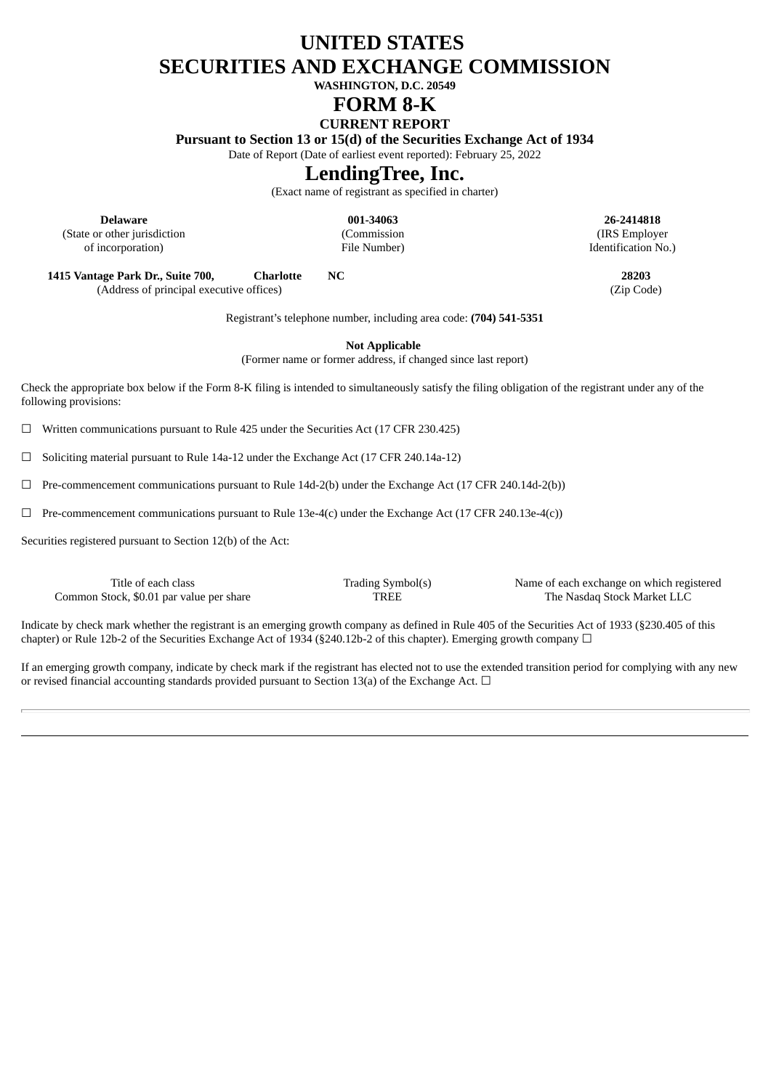# **UNITED STATES SECURITIES AND EXCHANGE COMMISSION**

**WASHINGTON, D.C. 20549**

## **FORM 8-K**

## **CURRENT REPORT**

**Pursuant to Section 13 or 15(d) of the Securities Exchange Act of 1934**

Date of Report (Date of earliest event reported): February 25, 2022

# **LendingTree, Inc.**

(Exact name of registrant as specified in charter)

**Delaware 001-34063 26-2414818** (State or other jurisdiction (Commission (IRS Employer of incorporation) File Number) File Number and Theorem and Theorem Identification No.)

**1415 Vantage Park Dr., Suite 700, Charlotte NC 28203** (Address of principal executive offices) (Zip Code)

Registrant's telephone number, including area code: **(704) 541-5351**

**Not Applicable**

(Former name or former address, if changed since last report)

Check the appropriate box below if the Form 8-K filing is intended to simultaneously satisfy the filing obligation of the registrant under any of the following provisions:

 $\Box$  Written communications pursuant to Rule 425 under the Securities Act (17 CFR 230.425)

☐ Soliciting material pursuant to Rule 14a-12 under the Exchange Act (17 CFR 240.14a-12)

☐ Pre-commencement communications pursuant to Rule 14d-2(b) under the Exchange Act (17 CFR 240.14d-2(b))

 $\Box$  Pre-commencement communications pursuant to Rule 13e-4(c) under the Exchange Act (17 CFR 240.13e-4(c))

Securities registered pursuant to Section 12(b) of the Act:

Common Stock, \$0.01 par value per share TREE TREE The Nasdaq Stock Market LLC

Title of each class Trading Symbol(s) Name of each exchange on which registered

Indicate by check mark whether the registrant is an emerging growth company as defined in Rule 405 of the Securities Act of 1933 (§230.405 of this chapter) or Rule 12b-2 of the Securities Exchange Act of 1934 (§240.12b-2 of this chapter). Emerging growth company  $\Box$ 

If an emerging growth company, indicate by check mark if the registrant has elected not to use the extended transition period for complying with any new or revised financial accounting standards provided pursuant to Section 13(a) of the Exchange Act.  $\Box$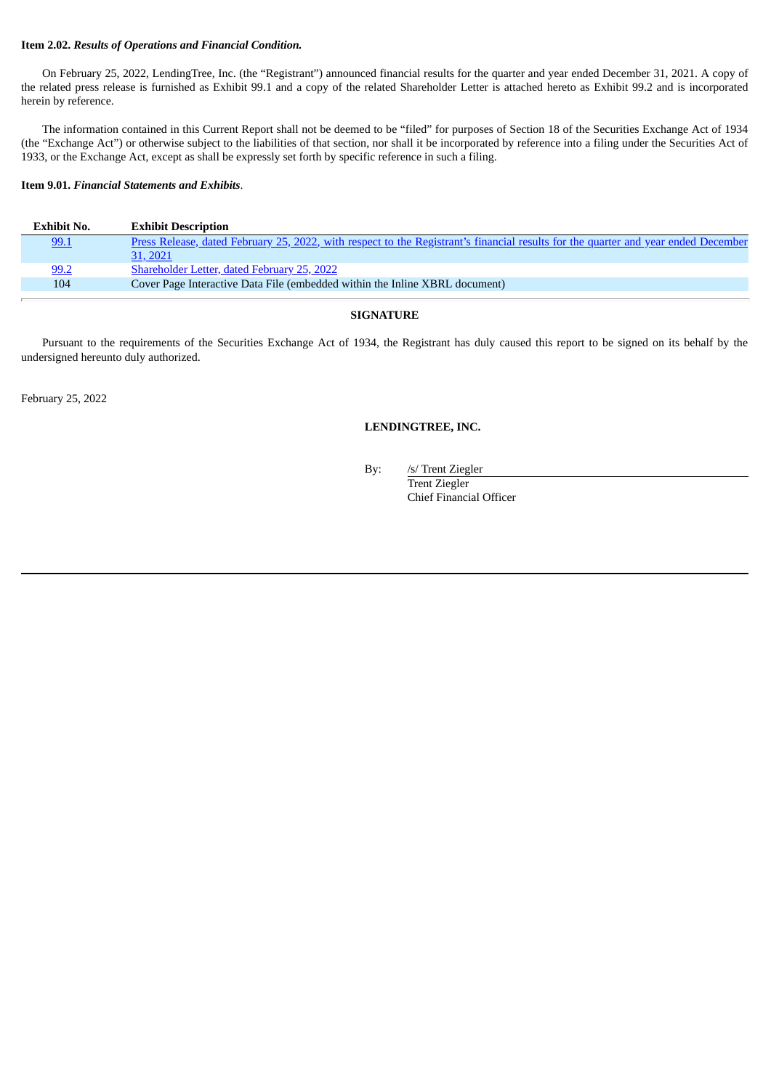#### **Item 2.02.** *Results of Operations and Financial Condition.*

On February 25, 2022, LendingTree, Inc. (the "Registrant") announced financial results for the quarter and year ended December 31, 2021. A copy of the related press release is furnished as Exhibit 99.1 and a copy of the related Shareholder Letter is attached hereto as Exhibit 99.2 and is incorporated herein by reference.

The information contained in this Current Report shall not be deemed to be "filed" for purposes of Section 18 of the Securities Exchange Act of 1934 (the "Exchange Act") or otherwise subject to the liabilities of that section, nor shall it be incorporated by reference into a filing under the Securities Act of 1933, or the Exchange Act, except as shall be expressly set forth by specific reference in such a filing.

#### **Item 9.01.** *Financial Statements and Exhibits*.

| Exhibit No. | <b>Exhibit Description</b>                                                                                                         |
|-------------|------------------------------------------------------------------------------------------------------------------------------------|
| 99.1        | Press Release, dated February 25, 2022, with respect to the Registrant's financial results for the quarter and year ended December |
|             | 31, 2021                                                                                                                           |
| 99.2        | <b>Shareholder Letter, dated February 25, 2022</b>                                                                                 |
| 104         | Cover Page Interactive Data File (embedded within the Inline XBRL document)                                                        |

#### **SIGNATURE**

Pursuant to the requirements of the Securities Exchange Act of 1934, the Registrant has duly caused this report to be signed on its behalf by the undersigned hereunto duly authorized.

February 25, 2022

#### **LENDINGTREE, INC.**

By: /s/ Trent Ziegler

Trent Ziegler Chief Financial Officer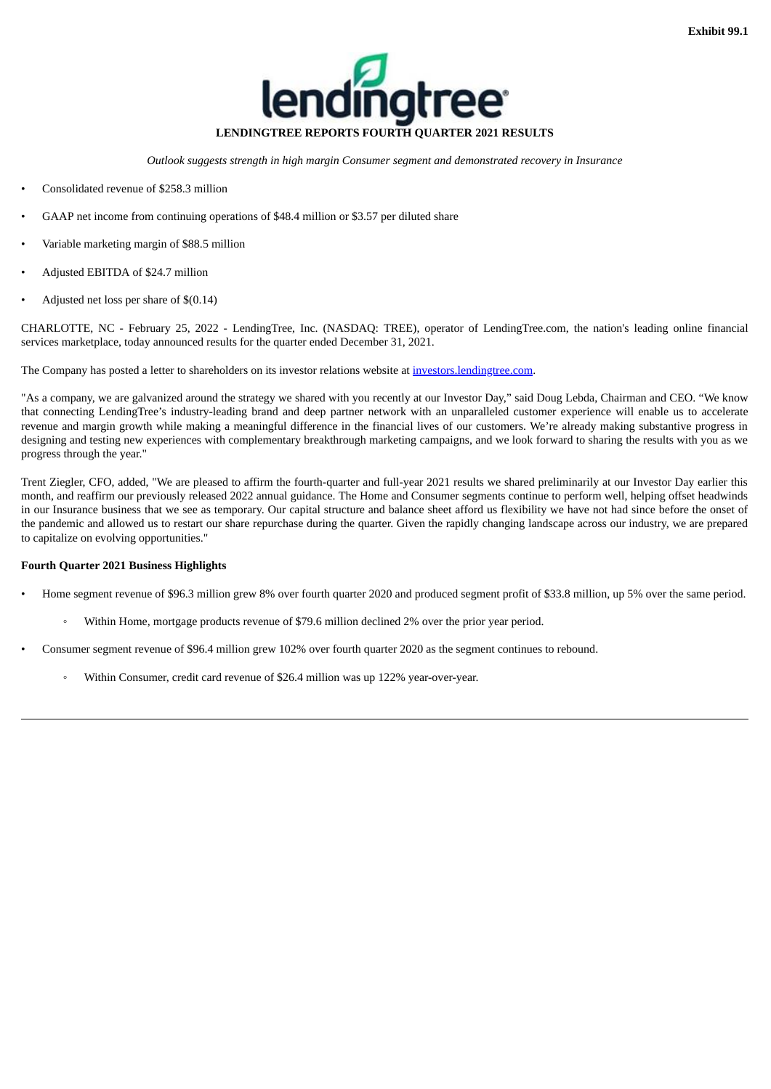

*Outlook suggests strength in high margin Consumer segment and demonstrated recovery in Insurance*

- <span id="page-2-0"></span>• Consolidated revenue of \$258.3 million
- GAAP net income from continuing operations of \$48.4 million or \$3.57 per diluted share
- Variable marketing margin of \$88.5 million
- Adjusted EBITDA of \$24.7 million
- Adjusted net loss per share of \$(0.14)

CHARLOTTE, NC - February 25, 2022 - LendingTree, Inc. (NASDAQ: TREE), operator of LendingTree.com, the nation's leading online financial services marketplace, today announced results for the quarter ended December 31, 2021.

The Company has posted a letter to shareholders on its investor relations website at investors.lendingtree.com.

"As a company, we are galvanized around the strategy we shared with you recently at our Investor Day," said Doug Lebda, Chairman and CEO. "We know that connecting LendingTree's industry-leading brand and deep partner network with an unparalleled customer experience will enable us to accelerate revenue and margin growth while making a meaningful difference in the financial lives of our customers. We're already making substantive progress in designing and testing new experiences with complementary breakthrough marketing campaigns, and we look forward to sharing the results with you as we progress through the year."

Trent Ziegler, CFO, added, "We are pleased to affirm the fourth-quarter and full-year 2021 results we shared preliminarily at our Investor Day earlier this month, and reaffirm our previously released 2022 annual guidance. The Home and Consumer segments continue to perform well, helping offset headwinds in our Insurance business that we see as temporary. Our capital structure and balance sheet afford us flexibility we have not had since before the onset of the pandemic and allowed us to restart our share repurchase during the quarter. Given the rapidly changing landscape across our industry, we are prepared to capitalize on evolving opportunities."

#### **Fourth Quarter 2021 Business Highlights**

- Home segment revenue of \$96.3 million grew 8% over fourth quarter 2020 and produced segment profit of \$33.8 million, up 5% over the same period.
	- Within Home, mortgage products revenue of \$79.6 million declined 2% over the prior year period.
- Consumer segment revenue of \$96.4 million grew 102% over fourth quarter 2020 as the segment continues to rebound.
	- Within Consumer, credit card revenue of \$26.4 million was up 122% year-over-year.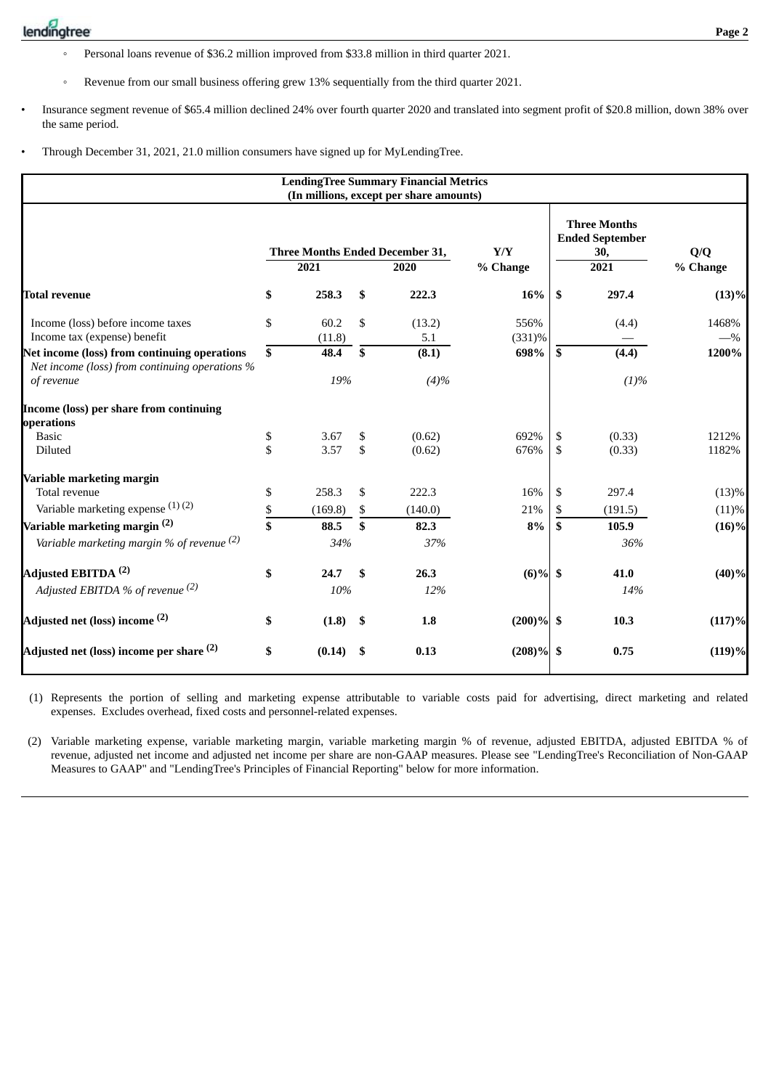- Personal loans revenue of \$36.2 million improved from \$33.8 million in third quarter 2021.
- Revenue from our small business offering grew 13% sequentially from the third quarter 2021.
- Insurance segment revenue of \$65.4 million declined 24% over fourth quarter 2020 and translated into segment profit of \$20.8 million, down 38% over the same period.
- Through December 31, 2021, 21.0 million consumers have signed up for MyLendingTree.

|                                                                                                              |          |                |          | <b>LendingTree Summary Financial Metrics</b><br>(In millions, except per share amounts) |                 |                                                              |                  |                |
|--------------------------------------------------------------------------------------------------------------|----------|----------------|----------|-----------------------------------------------------------------------------------------|-----------------|--------------------------------------------------------------|------------------|----------------|
|                                                                                                              |          | 2021           |          | <b>Three Months Ended December 31,</b><br>2020                                          |                 | <b>Three Months</b><br><b>Ended September</b><br>30,<br>2021 | Q/Q<br>% Change  |                |
| <b>Total revenue</b>                                                                                         | \$       | 258.3          | \$       | 222.3                                                                                   | % Change<br>16% | \$                                                           | 297.4            | (13)%          |
| Income (loss) before income taxes<br>Income tax (expense) benefit                                            | \$       | 60.2<br>(11.8) | \$       | (13.2)<br>5.1                                                                           | 556%<br>(331)%  |                                                              | (4.4)            | 1468%<br>$-$ % |
| Net income (loss) from continuing operations<br>Net income (loss) from continuing operations %<br>of revenue | \$       | 48.4<br>19%    | \$       | (8.1)<br>(4)%                                                                           | 698%            | \$                                                           | (4.4)<br>(1)%    | 1200%          |
| Income (loss) per share from continuing<br>operations                                                        |          |                |          |                                                                                         |                 |                                                              |                  |                |
| <b>Basic</b><br>Diluted                                                                                      | \$<br>\$ | 3.67<br>3.57   | \$<br>\$ | (0.62)<br>(0.62)                                                                        | 692%<br>676%    | \$<br>\$                                                     | (0.33)<br>(0.33) | 1212%<br>1182% |
| Variable marketing margin<br>Total revenue                                                                   | \$       | 258.3          | \$       | 222.3                                                                                   | 16%             | \$                                                           | 297.4            | (13)%          |
| Variable marketing expense (1)(2)                                                                            | \$       | (169.8)        | \$       | (140.0)                                                                                 | 21%             | \$                                                           | (191.5)          | (11)%          |
| Variable marketing margin <sup>(2)</sup><br>Variable marketing margin % of revenue $(2)$                     | \$       | 88.5<br>34%    | \$       | 82.3<br>37%                                                                             | 8%              | \$                                                           | 105.9<br>36%     | $(16)\%$       |
| Adjusted EBITDA <sup>(2)</sup><br>Adjusted EBITDA % of revenue (2)                                           | \$       | 24.7<br>10%    | \$       | 26.3<br>12%                                                                             | $(6)\%$ \$      |                                                              | 41.0<br>14%      | (40)%          |
| Adjusted net (loss) income <sup>(2)</sup>                                                                    | \$       | (1.8)          | \$       | 1.8                                                                                     | $(200)\%$ \$    |                                                              | 10.3             | (117)%         |
| Adjusted net (loss) income per share <sup>(2)</sup>                                                          | \$       | (0.14)         | - \$     | 0.13                                                                                    | $(208)\%$       | -\$                                                          | 0.75             | (119)%         |

(1) Represents the portion of selling and marketing expense attributable to variable costs paid for advertising, direct marketing and related expenses. Excludes overhead, fixed costs and personnel-related expenses.

(2) Variable marketing expense, variable marketing margin, variable marketing margin % of revenue, adjusted EBITDA, adjusted EBITDA % of revenue, adjusted net income and adjusted net income per share are non-GAAP measures. Please see "LendingTree's Reconciliation of Non-GAAP Measures to GAAP" and "LendingTree's Principles of Financial Reporting" below for more information.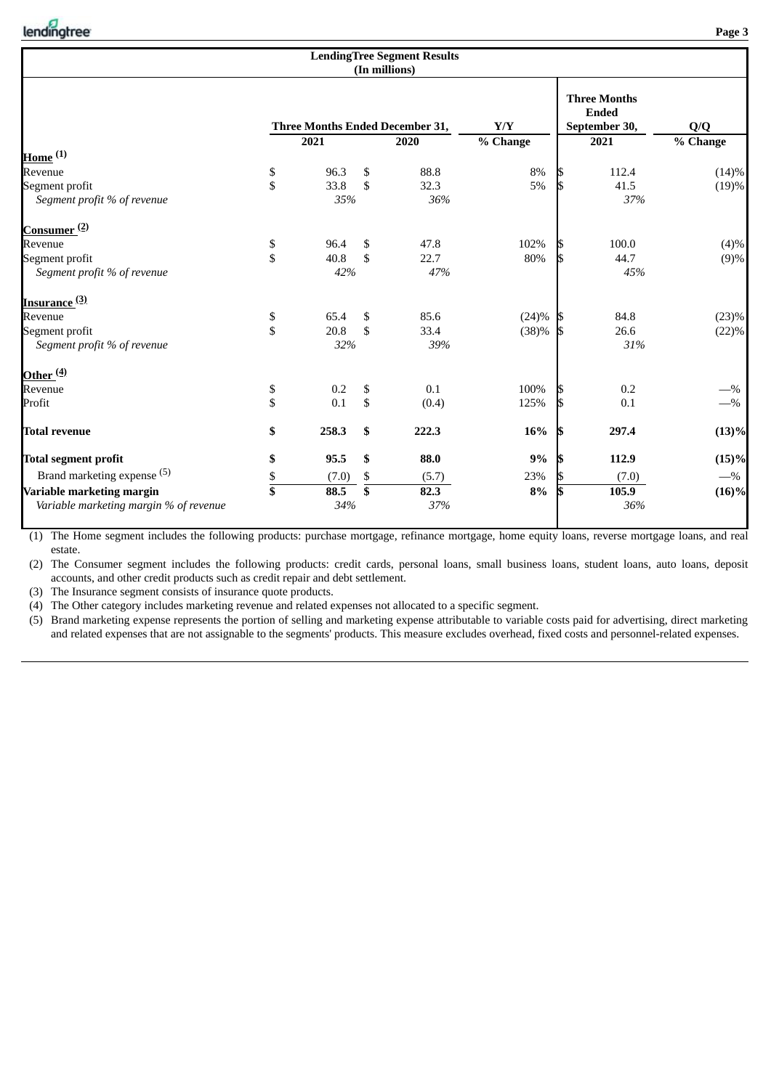|                                        |                |       | <b>LendingTree Segment Results</b><br>(In millions) |          |     |                                                      |          |
|----------------------------------------|----------------|-------|-----------------------------------------------------|----------|-----|------------------------------------------------------|----------|
|                                        |                |       | Three Months Ended December 31,                     | Y/Y      |     | <b>Three Months</b><br><b>Ended</b><br>September 30, | Q/Q      |
| <u>Home</u> <sup>(1)</sup>             |                | 2021  | 2020                                                | % Change |     | 2021                                                 | % Change |
| Revenue                                | \$             | 96.3  | \$<br>88.8                                          | $8\%$    | 15  | 112.4                                                | (14)%    |
| Segment profit                         | \$             | 33.8  | \$<br>32.3                                          | 5%       | ß   | 41.5                                                 | (19)%    |
| Segment profit % of revenue            |                | 35%   | 36%                                                 |          |     | 37%                                                  |          |
| Consumer <sup>(2)</sup>                |                |       |                                                     |          |     |                                                      |          |
| Revenue                                | \$             | 96.4  | \$<br>47.8                                          | 102%     |     | 100.0                                                | (4)%     |
| Segment profit                         | \$             | 40.8  | \$<br>22.7                                          | 80%      |     | 44.7                                                 | (9)%     |
| Segment profit % of revenue            |                | 42%   | 47%                                                 |          |     | 45%                                                  |          |
| <u>Insurance <sup>(3)</sup></u>        |                |       |                                                     |          |     |                                                      |          |
| Revenue                                | \$             | 65.4  | \$<br>85.6                                          | (24)%    | 1S  | 84.8                                                 | (23)%    |
| Segment profit                         | \$             | 20.8  | \$<br>33.4                                          | (38)%    | - 5 | 26.6                                                 | (22)%    |
| Segment profit % of revenue            |                | 32%   | 39%                                                 |          |     | 31%                                                  |          |
| Other <sup>(4)</sup>                   |                |       |                                                     |          |     |                                                      |          |
| Revenue                                | \$             | 0.2   | \$<br>0.1                                           | 100%     |     | 0.2                                                  | $-$ %    |
| Profit                                 | \$             | 0.1   | \$<br>(0.4)                                         | 125%     | IБ  | 0.1                                                  | $-$ %    |
| <b>Total revenue</b>                   | \$             | 258.3 | \$<br>222.3                                         | 16%      | IS  | 297.4                                                | (13)%    |
| <b>Total segment profit</b>            | \$             | 95.5  | \$<br>88.0                                          | 9%       |     | 112.9                                                | (15)%    |
| Brand marketing expense (5)            | \$             | (7.0) | \$<br>(5.7)                                         | 23%      |     | (7.0)                                                | $-$ %    |
| Variable marketing margin              | $\overline{s}$ | 88.5  | \$<br>82.3                                          | $8\%$    | l\$ | 105.9                                                | $(16)\%$ |
| Variable marketing margin % of revenue |                | 34%   | 37%                                                 |          |     | 36%                                                  |          |

(1) The Home segment includes the following products: purchase mortgage, refinance mortgage, home equity loans, reverse mortgage loans, and real estate.

(2) The Consumer segment includes the following products: credit cards, personal loans, small business loans, student loans, auto loans, deposit accounts, and other credit products such as credit repair and debt settlement.

(3) The Insurance segment consists of insurance quote products.

(4) The Other category includes marketing revenue and related expenses not allocated to a specific segment.

(5) Brand marketing expense represents the portion of selling and marketing expense attributable to variable costs paid for advertising, direct marketing and related expenses that are not assignable to the segments' products. This measure excludes overhead, fixed costs and personnel-related expenses.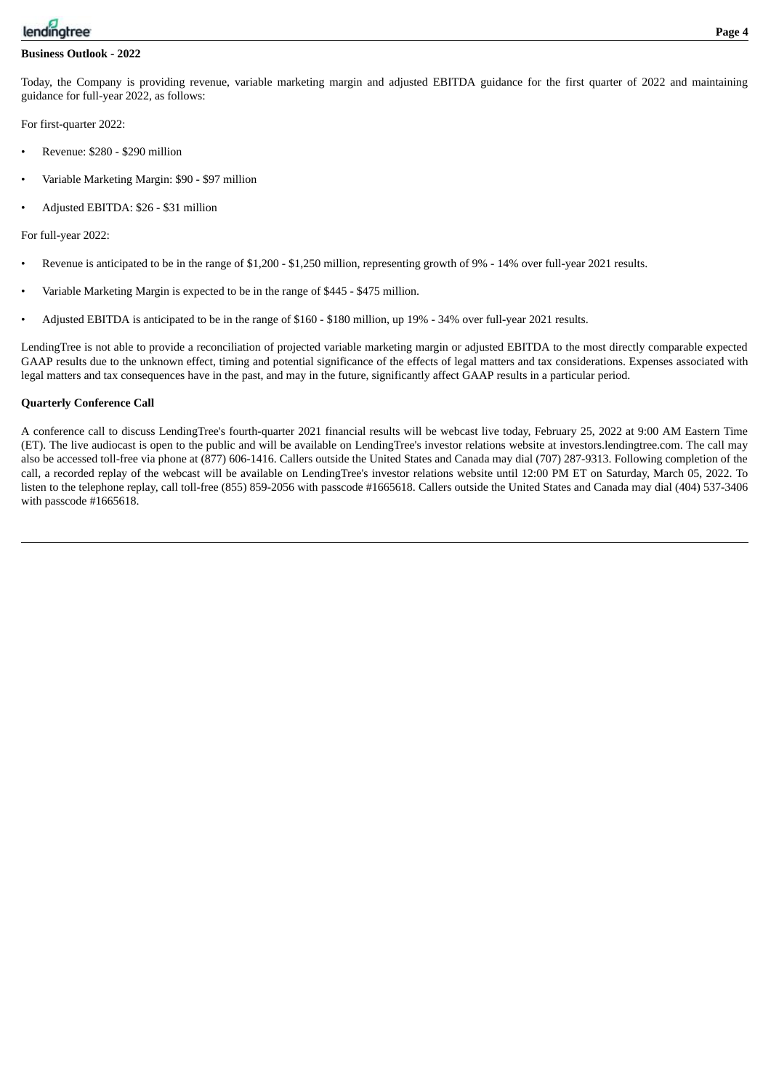

#### **Business Outlook - 2022**

Today, the Company is providing revenue, variable marketing margin and adjusted EBITDA guidance for the first quarter of 2022 and maintaining guidance for full-year 2022, as follows:

For first-quarter 2022:

- Revenue: \$280 \$290 million
- Variable Marketing Margin: \$90 \$97 million
- Adjusted EBITDA: \$26 \$31 million

For full-year 2022:

- Revenue is anticipated to be in the range of \$1,200 \$1,250 million, representing growth of 9% 14% over full-year 2021 results.
- Variable Marketing Margin is expected to be in the range of \$445 \$475 million.
- Adjusted EBITDA is anticipated to be in the range of \$160 \$180 million, up 19% 34% over full-year 2021 results.

LendingTree is not able to provide a reconciliation of projected variable marketing margin or adjusted EBITDA to the most directly comparable expected GAAP results due to the unknown effect, timing and potential significance of the effects of legal matters and tax considerations. Expenses associated with legal matters and tax consequences have in the past, and may in the future, significantly affect GAAP results in a particular period.

#### **Quarterly Conference Call**

A conference call to discuss LendingTree's fourth-quarter 2021 financial results will be webcast live today, February 25, 2022 at 9:00 AM Eastern Time (ET). The live audiocast is open to the public and will be available on LendingTree's investor relations website at investors.lendingtree.com. The call may also be accessed toll-free via phone at (877) 606-1416. Callers outside the United States and Canada may dial (707) 287-9313. Following completion of the call, a recorded replay of the webcast will be available on LendingTree's investor relations website until 12:00 PM ET on Saturday, March 05, 2022. To listen to the telephone replay, call toll-free (855) 859-2056 with passcode #1665618. Callers outside the United States and Canada may dial (404) 537-3406 with passcode #1665618.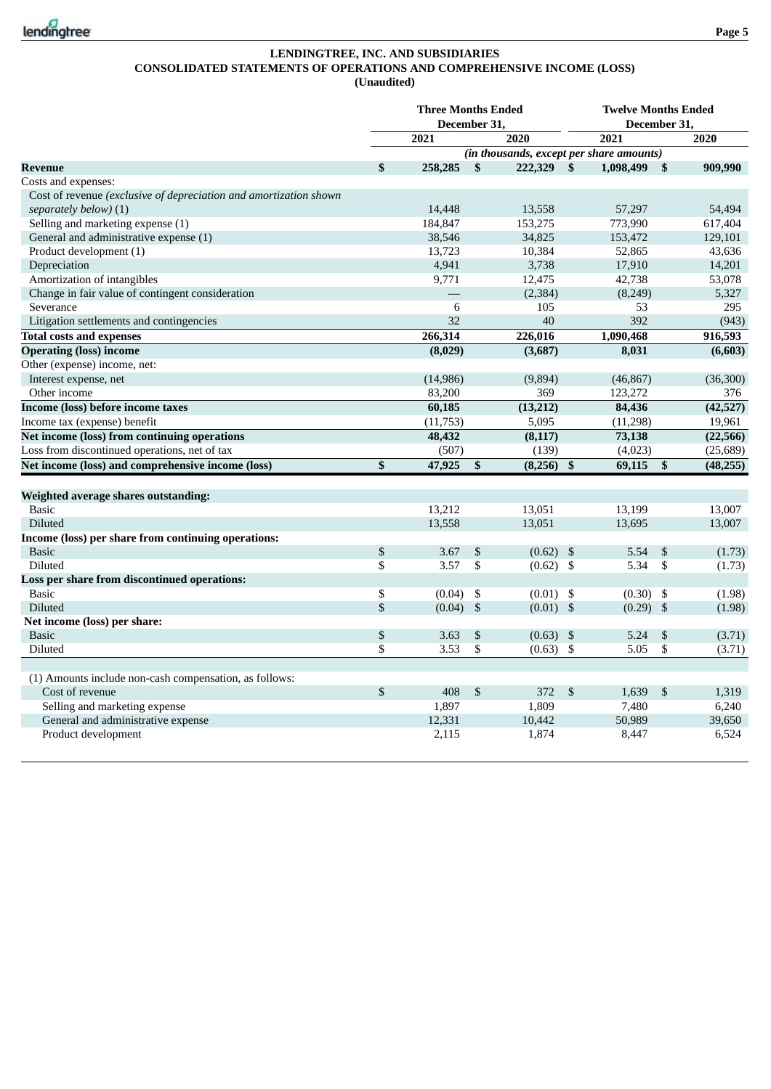

## **LENDINGTREE, INC. AND SUBSIDIARIES CONSOLIDATED STATEMENTS OF OPERATIONS AND COMPREHENSIVE INCOME (LOSS) (Unaudited)**

|                                                                   | <b>Three Months Ended</b><br>December 31. |                |                                          | <b>Twelve Months Ended</b><br>December 31. |             |                |           |
|-------------------------------------------------------------------|-------------------------------------------|----------------|------------------------------------------|--------------------------------------------|-------------|----------------|-----------|
|                                                                   | 2021                                      |                | 2020                                     |                                            | 2021        |                | 2020      |
|                                                                   |                                           |                | (in thousands, except per share amounts) |                                            |             |                |           |
| <b>Revenue</b>                                                    | \$<br>258,285                             | $\mathbf{s}$   | 222,329 \$                               |                                            | 1,098,499   | $\mathbf{s}$   | 909,990   |
| Costs and expenses:                                               |                                           |                |                                          |                                            |             |                |           |
| Cost of revenue (exclusive of depreciation and amortization shown |                                           |                |                                          |                                            |             |                |           |
| separately below) (1)                                             | 14,448                                    |                | 13,558                                   |                                            | 57,297      |                | 54,494    |
| Selling and marketing expense (1)                                 | 184,847                                   |                | 153,275                                  |                                            | 773,990     |                | 617,404   |
| General and administrative expense (1)                            | 38,546                                    |                | 34,825                                   |                                            | 153,472     |                | 129,101   |
| Product development (1)                                           | 13,723                                    |                | 10,384                                   |                                            | 52,865      |                | 43,636    |
| Depreciation                                                      | 4,941                                     |                | 3,738                                    |                                            | 17,910      |                | 14,201    |
| Amortization of intangibles                                       | 9,771                                     |                | 12,475                                   |                                            | 42,738      |                | 53,078    |
| Change in fair value of contingent consideration                  |                                           |                | (2, 384)                                 |                                            | (8, 249)    |                | 5,327     |
| Severance                                                         | 6                                         |                | 105                                      |                                            | 53          |                | 295       |
| Litigation settlements and contingencies                          | 32                                        |                | 40                                       |                                            | 392         |                | (943)     |
| <b>Total costs and expenses</b>                                   | 266,314                                   |                | 226,016                                  |                                            | 1,090,468   |                | 916,593   |
| <b>Operating (loss) income</b>                                    | (8,029)                                   |                | (3,687)                                  |                                            | 8,031       |                | (6,603)   |
| Other (expense) income, net:                                      |                                           |                |                                          |                                            |             |                |           |
| Interest expense, net                                             | (14, 986)                                 |                | (9,894)                                  |                                            | (46, 867)   |                | (36, 300) |
| Other income                                                      | 83,200                                    |                | 369                                      |                                            | 123,272     |                | 376       |
| Income (loss) before income taxes                                 | 60,185                                    |                | (13,212)                                 |                                            | 84,436      |                | (42, 527) |
| Income tax (expense) benefit                                      | (11,753)                                  |                | 5,095                                    |                                            | (11, 298)   |                | 19,961    |
| Net income (loss) from continuing operations                      | 48,432                                    |                | (8, 117)                                 |                                            | 73,138      |                | (22, 566) |
| Loss from discontinued operations, net of tax                     | (507)                                     |                | (139)                                    |                                            | (4,023)     |                | (25, 689) |
| Net income (loss) and comprehensive income (loss)                 | \$<br>47,925                              | \$             | (8,256)                                  | \$                                         | 69,115      | \$             | (48, 255) |
|                                                                   |                                           |                |                                          |                                            |             |                |           |
| Weighted average shares outstanding:                              |                                           |                |                                          |                                            |             |                |           |
| <b>Basic</b>                                                      | 13,212                                    |                | 13,051                                   |                                            | 13,199      |                | 13,007    |
| Diluted                                                           | 13,558                                    |                | 13,051                                   |                                            | 13,695      |                | 13,007    |
| Income (loss) per share from continuing operations:               |                                           |                |                                          |                                            |             |                |           |
| <b>Basic</b>                                                      | \$<br>3.67                                | \$             | $(0.62)$ \$                              |                                            | 5.54        | $\mathfrak{S}$ | (1.73)    |
| <b>Diluted</b>                                                    | \$<br>3.57                                | \$             | $(0.62)$ \$                              |                                            | 5.34        | \$             | (1.73)    |
| Loss per share from discontinued operations:                      |                                           |                |                                          |                                            |             |                |           |
| <b>Basic</b>                                                      | \$<br>(0.04)                              | \$             | $(0.01)$ \$                              |                                            | $(0.30)$ \$ |                | (1.98)    |
| Diluted                                                           | \$<br>(0.04)                              | $\mathfrak{S}$ | $(0.01)$ \$                              |                                            | $(0.29)$ \$ |                | (1.98)    |
| Net income (loss) per share:                                      |                                           |                |                                          |                                            |             |                |           |
| <b>Basic</b>                                                      | \$<br>3.63                                | \$             | (0.63)                                   | \$                                         | 5.24        | \$             | (3.71)    |
| Diluted                                                           | \$<br>3.53                                | \$             | (0.63)                                   | \$                                         | 5.05        | \$             | (3.71)    |
|                                                                   |                                           |                |                                          |                                            |             |                |           |
| (1) Amounts include non-cash compensation, as follows:            |                                           |                |                                          |                                            |             |                |           |
| Cost of revenue                                                   | \$<br>408                                 | $\mathbb{S}$   | 372                                      | $\mathfrak{S}$                             | 1,639       | \$             | 1,319     |
| Selling and marketing expense                                     | 1,897                                     |                | 1,809                                    |                                            | 7,480       |                | 6,240     |
| General and administrative expense                                | 12,331                                    |                | 10,442                                   |                                            | 50,989      |                | 39,650    |
| Product development                                               | 2,115                                     |                | 1,874                                    |                                            | 8,447       |                | 6,524     |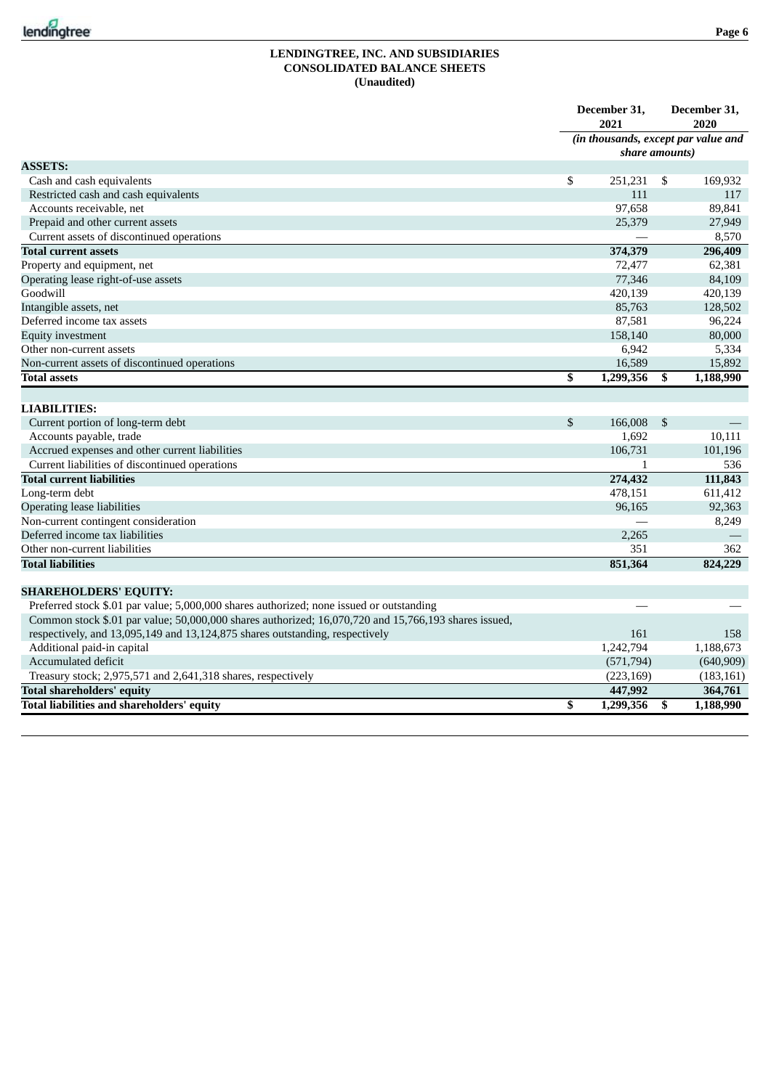

#### **LENDINGTREE, INC. AND SUBSIDIARIES CONSOLIDATED BALANCE SHEETS (Unaudited)**

|                                                                                                      | December 31,<br>2021 |                | December 31,<br>2020                |
|------------------------------------------------------------------------------------------------------|----------------------|----------------|-------------------------------------|
|                                                                                                      |                      |                | (in thousands, except par value and |
|                                                                                                      | share amounts)       |                |                                     |
| <b>ASSETS:</b>                                                                                       |                      |                |                                     |
| Cash and cash equivalents                                                                            | \$<br>251,231        | - \$           | 169,932                             |
| Restricted cash and cash equivalents                                                                 | 111                  |                | 117                                 |
| Accounts receivable, net                                                                             | 97,658               |                | 89.841                              |
| Prepaid and other current assets                                                                     | 25,379               |                | 27,949                              |
| Current assets of discontinued operations                                                            |                      |                | 8,570                               |
| <b>Total current assets</b>                                                                          | 374,379              |                | 296,409                             |
| Property and equipment, net                                                                          | 72,477               |                | 62,381                              |
| Operating lease right-of-use assets                                                                  | 77,346               |                | 84,109                              |
| Goodwill                                                                                             | 420,139              |                | 420,139                             |
| Intangible assets, net                                                                               | 85,763               |                | 128,502                             |
| Deferred income tax assets                                                                           | 87,581               |                | 96,224                              |
| <b>Equity investment</b>                                                                             | 158,140              |                | 80,000                              |
| Other non-current assets                                                                             | 6,942                |                | 5,334                               |
| Non-current assets of discontinued operations                                                        | 16,589               |                | 15,892                              |
| <b>Total assets</b>                                                                                  | \$<br>1,299,356      | \$             | 1,188,990                           |
|                                                                                                      |                      |                |                                     |
| <b>LIABILITIES:</b>                                                                                  |                      |                |                                     |
| Current portion of long-term debt                                                                    | \$<br>166,008        | $\mathfrak{S}$ |                                     |
| Accounts payable, trade                                                                              | 1.692                |                | 10,111                              |
| Accrued expenses and other current liabilities                                                       | 106,731              |                | 101,196                             |
| Current liabilities of discontinued operations                                                       | 1                    |                | 536                                 |
| <b>Total current liabilities</b>                                                                     | 274,432              |                | 111,843                             |
| Long-term debt                                                                                       | 478,151              |                | 611,412                             |
| <b>Operating lease liabilities</b>                                                                   | 96,165               |                | 92,363                              |
| Non-current contingent consideration                                                                 |                      |                | 8,249                               |
| Deferred income tax liabilities                                                                      | 2,265                |                |                                     |
| Other non-current liabilities                                                                        | 351                  |                | 362                                 |
| <b>Total liabilities</b>                                                                             | 851,364              |                | 824,229                             |
|                                                                                                      |                      |                |                                     |
| <b>SHAREHOLDERS' EQUITY:</b>                                                                         |                      |                |                                     |
| Preferred stock \$.01 par value; 5,000,000 shares authorized; none issued or outstanding             |                      |                |                                     |
| Common stock \$.01 par value; 50,000,000 shares authorized; 16,070,720 and 15,766,193 shares issued, |                      |                |                                     |
| respectively, and 13,095,149 and 13,124,875 shares outstanding, respectively                         | 161                  |                | 158                                 |
| Additional paid-in capital<br>Accumulated deficit                                                    | 1,242,794            |                | 1,188,673                           |
|                                                                                                      | (571, 794)           |                | (640,909)                           |
| Treasury stock; 2,975,571 and 2,641,318 shares, respectively                                         | (223, 169)           |                | (183, 161)                          |
| <b>Total shareholders' equity</b>                                                                    | 447,992              |                | 364,761                             |
| <b>Total liabilities and shareholders' equity</b>                                                    | \$<br>1,299,356      | \$             | 1,188,990                           |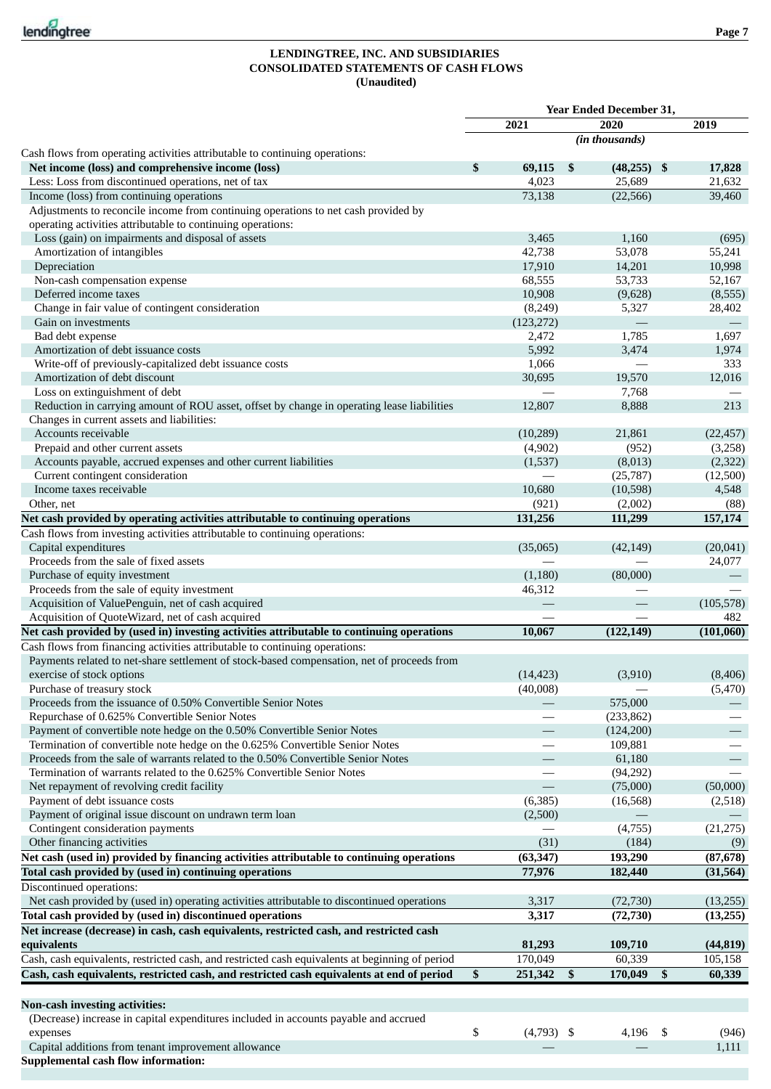## **LENDINGTREE, INC. AND SUBSIDIARIES CONSOLIDATED STATEMENTS OF CASH FLOWS (Unaudited)**

|                                                                                                 |                    | Year Ended December 31, |     |                          |
|-------------------------------------------------------------------------------------------------|--------------------|-------------------------|-----|--------------------------|
|                                                                                                 | 2021               | 2020                    |     | 2019                     |
|                                                                                                 |                    | (in thousands)          |     |                          |
| Cash flows from operating activities attributable to continuing operations:                     |                    |                         |     |                          |
| Net income (loss) and comprehensive income (loss)                                               | \$<br>69,115       | \$<br>$(48,255)$ \$     |     | 17,828                   |
| Less: Loss from discontinued operations, net of tax                                             | 4,023              | 25,689                  |     | 21,632                   |
| Income (loss) from continuing operations                                                        | 73,138             | (22, 566)               |     | 39,460                   |
| Adjustments to reconcile income from continuing operations to net cash provided by              |                    |                         |     |                          |
| operating activities attributable to continuing operations:                                     |                    |                         |     |                          |
| Loss (gain) on impairments and disposal of assets                                               | 3,465              | 1,160                   |     | (695)                    |
| Amortization of intangibles                                                                     | 42,738             | 53,078                  |     | 55,241                   |
| Depreciation                                                                                    | 17,910             | 14,201                  |     | 10,998                   |
| Non-cash compensation expense                                                                   | 68,555             | 53,733                  |     | 52,167                   |
| Deferred income taxes                                                                           | 10,908             | (9,628)                 |     | (8, 555)                 |
| Change in fair value of contingent consideration                                                | (8, 249)           | 5,327                   |     | 28,402                   |
| Gain on investments                                                                             | (123, 272)         |                         |     |                          |
| Bad debt expense<br>Amortization of debt issuance costs                                         | 2,472<br>5,992     | 1,785<br>3,474          |     | 1,697<br>1,974           |
| Write-off of previously-capitalized debt issuance costs                                         | 1,066              |                         |     | 333                      |
| Amortization of debt discount                                                                   | 30,695             | 19,570                  |     | 12,016                   |
| Loss on extinguishment of debt                                                                  |                    | 7,768                   |     |                          |
| Reduction in carrying amount of ROU asset, offset by change in operating lease liabilities      | 12,807             | 8,888                   |     | 213                      |
| Changes in current assets and liabilities:                                                      |                    |                         |     |                          |
| Accounts receivable                                                                             | (10, 289)          | 21,861                  |     | (22, 457)                |
| Prepaid and other current assets                                                                | (4,902)            | (952)                   |     | (3,258)                  |
| Accounts payable, accrued expenses and other current liabilities                                | (1,537)            | (8,013)                 |     | (2,322)                  |
| Current contingent consideration                                                                |                    | (25, 787)               |     | (12,500)                 |
| Income taxes receivable                                                                         | 10,680             | (10, 598)               |     | 4,548                    |
| Other, net                                                                                      | (921)              | (2,002)                 |     | (88)                     |
| Net cash provided by operating activities attributable to continuing operations                 | 131,256            | 111,299                 |     | 157,174                  |
| Cash flows from investing activities attributable to continuing operations:                     |                    |                         |     |                          |
| Capital expenditures                                                                            | (35,065)           | (42, 149)               |     | (20, 041)                |
| Proceeds from the sale of fixed assets                                                          |                    |                         |     | 24,077                   |
| Purchase of equity investment                                                                   | (1,180)            | (80,000)                |     |                          |
| Proceeds from the sale of equity investment                                                     | 46,312             |                         |     |                          |
| Acquisition of ValuePenguin, net of cash acquired                                               |                    |                         |     | (105, 578)               |
| Acquisition of QuoteWizard, net of cash acquired                                                |                    |                         |     | 482                      |
| Net cash provided by (used in) investing activities attributable to continuing operations       | 10,067             | (122, 149)              |     | (101,060)                |
| Cash flows from financing activities attributable to continuing operations:                     |                    |                         |     |                          |
| Payments related to net-share settlement of stock-based compensation, net of proceeds from      |                    |                         |     |                          |
| exercise of stock options                                                                       | (14, 423)          | (3,910)                 |     | (8,406)                  |
| Purchase of treasury stock                                                                      | (40,008)           |                         |     | (5, 470)                 |
| Proceeds from the issuance of 0.50% Convertible Senior Notes                                    |                    | 575,000                 |     |                          |
| Repurchase of 0.625% Convertible Senior Notes                                                   |                    | (233, 862)              |     |                          |
| Payment of convertible note hedge on the 0.50% Convertible Senior Notes                         |                    | (124,200)               |     |                          |
| Termination of convertible note hedge on the 0.625% Convertible Senior Notes                    |                    | 109,881                 |     |                          |
| Proceeds from the sale of warrants related to the 0.50% Convertible Senior Notes                |                    | 61,180                  |     | $\overline{\phantom{0}}$ |
| Termination of warrants related to the 0.625% Convertible Senior Notes                          |                    | (94, 292)               |     |                          |
| Net repayment of revolving credit facility                                                      |                    | (75,000)                |     | (50,000)                 |
| Payment of debt issuance costs                                                                  | (6, 385)           | (16, 568)               |     | (2,518)                  |
| Payment of original issue discount on undrawn term loan<br>Contingent consideration payments    | (2,500)            | (4,755)                 |     | (21, 275)                |
| Other financing activities                                                                      | (31)               | (184)                   |     |                          |
| Net cash (used in) provided by financing activities attributable to continuing operations       | (63, 347)          | 193,290                 |     | (9)<br>(87, 678)         |
| Total cash provided by (used in) continuing operations                                          |                    |                         |     |                          |
| Discontinued operations:                                                                        | 77,976             | 182,440                 |     | (31, 564)                |
| Net cash provided by (used in) operating activities attributable to discontinued operations     | 3,317              |                         |     | (13,255)                 |
| Total cash provided by (used in) discontinued operations                                        | 3,317              | (72, 730)               |     |                          |
| Net increase (decrease) in cash, cash equivalents, restricted cash, and restricted cash         |                    | (72, 730)               |     | (13,255)                 |
| equivalents                                                                                     | 81,293             | 109,710                 |     | (44, 819)                |
|                                                                                                 | 170,049            |                         |     |                          |
| Cash, cash equivalents, restricted cash, and restricted cash equivalents at beginning of period |                    | 60,339                  |     | 105,158                  |
| Cash, cash equivalents, restricted cash, and restricted cash equivalents at end of period       | \$<br>251,342      | \$<br>170,049           | \$  | 60,339                   |
|                                                                                                 |                    |                         |     |                          |
| <b>Non-cash investing activities:</b>                                                           |                    |                         |     |                          |
| (Decrease) increase in capital expenditures included in accounts payable and accrued            |                    |                         |     |                          |
| expenses<br>Capital additions from tenant improvement allowance                                 | \$<br>$(4,793)$ \$ | 4,196                   | -\$ | (946)<br>1,111           |
| <b>Supplemental cash flow information:</b>                                                      |                    |                         |     |                          |
|                                                                                                 |                    |                         |     |                          |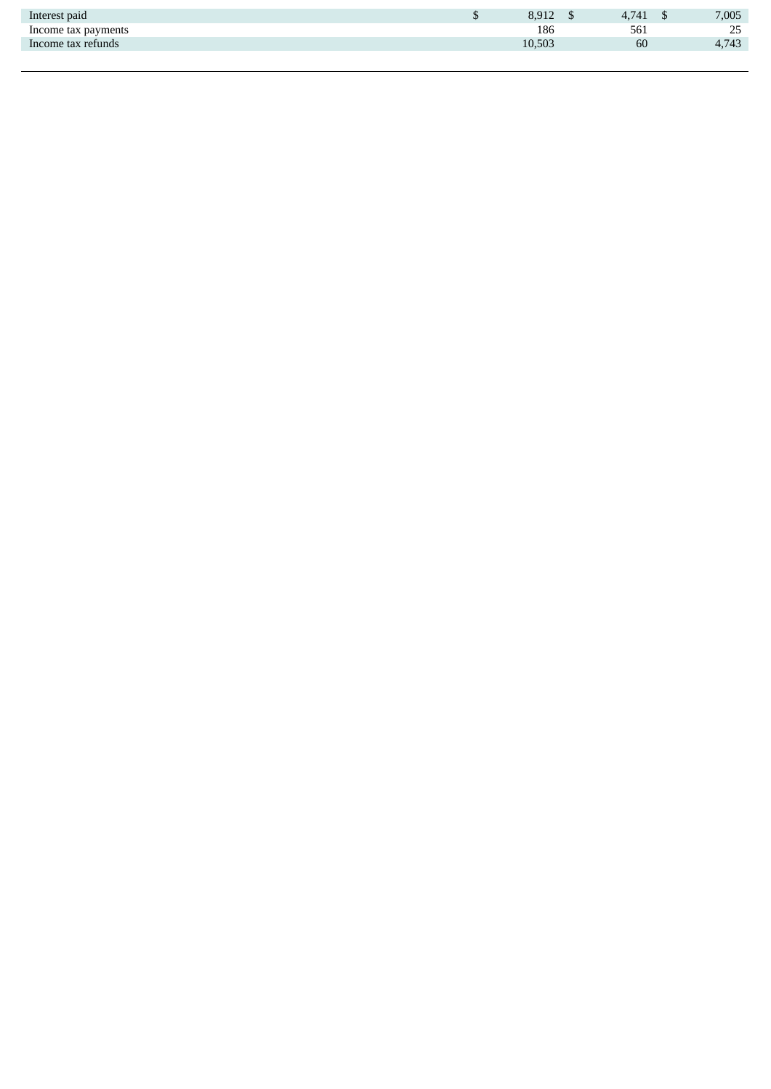| Interest paid       | 8,912  | 741 | 7,005 |
|---------------------|--------|-----|-------|
| Income tax payments | 186    | 561 | 25    |
| Income tax refunds  | 10,503 | 60  | 4,743 |
|                     |        |     |       |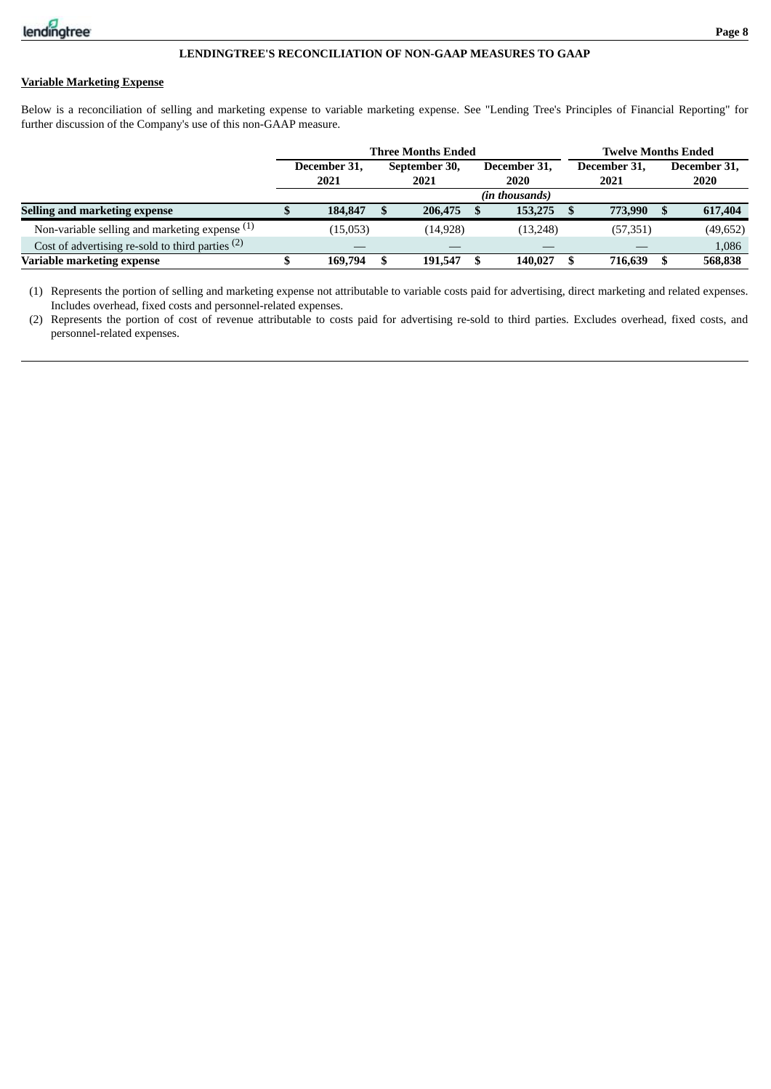## **Variable Marketing Expense**

Below is a reconciliation of selling and marketing expense to variable marketing expense. See "Lending Tree's Principles of Financial Reporting" for further discussion of the Company's use of this non-GAAP measure.

|                                                    |  |              |  | <b>Three Months Ended</b> | <b>Twelve Months Ended</b> |              |  |           |              |           |
|----------------------------------------------------|--|--------------|--|---------------------------|----------------------------|--------------|--|-----------|--------------|-----------|
|                                                    |  | December 31, |  | September 30,             | December 31,               | December 31. |  |           | December 31, |           |
|                                                    |  | 2021         |  | 2021                      |                            | 2020         |  | 2021      | 2020         |           |
|                                                    |  |              |  |                           |                            |              |  |           |              |           |
| Selling and marketing expense                      |  | 184,847      |  | 206,475                   |                            | 153,275      |  | 773,990   |              | 617,404   |
| Non-variable selling and marketing expense $(1)$   |  | (15,053)     |  | (14, 928)                 |                            | (13, 248)    |  | (57, 351) |              | (49, 652) |
| Cost of advertising re-sold to third parties $(2)$ |  |              |  |                           |                            |              |  |           |              | 1,086     |
| Variable marketing expense                         |  | 169.794      |  | 191,547                   |                            | 140.027      |  | 716.639   |              | 568,838   |

(1) Represents the portion of selling and marketing expense not attributable to variable costs paid for advertising, direct marketing and related expenses. Includes overhead, fixed costs and personnel-related expenses.

(2) Represents the portion of cost of revenue attributable to costs paid for advertising re-sold to third parties. Excludes overhead, fixed costs, and personnel-related expenses.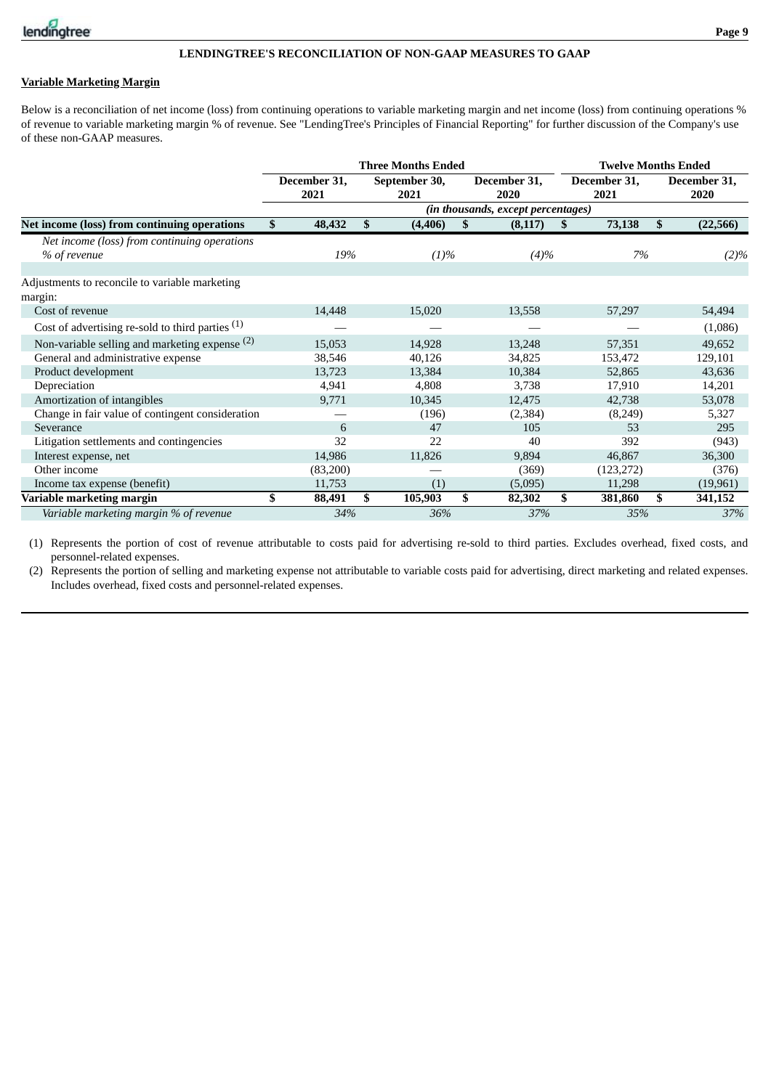

## **Variable Marketing Margin**

Below is a reconciliation of net income (loss) from continuing operations to variable marketing margin and net income (loss) from continuing operations % of revenue to variable marketing margin % of revenue. See "LendingTree's Principles of Financial Reporting" for further discussion of the Company's use of these non-GAAP measures.

|                                                    |    |                      | <b>Three Months Ended</b> |                                    | <b>Twelve Months Ended</b> |                      |                      |           |  |
|----------------------------------------------------|----|----------------------|---------------------------|------------------------------------|----------------------------|----------------------|----------------------|-----------|--|
|                                                    |    | December 31,<br>2021 | September 30,<br>2021     | December 31,<br>2020               |                            | December 31,<br>2021 | December 31,<br>2020 |           |  |
|                                                    |    |                      |                           | (in thousands, except percentages) |                            |                      |                      |           |  |
| Net income (loss) from continuing operations       | S  | 48,432               | \$<br>(4, 406)            | \$<br>(8, 117)                     | S                          | 73,138               | \$                   | (22, 566) |  |
| Net income (loss) from continuing operations       |    |                      |                           |                                    |                            |                      |                      |           |  |
| % of revenue                                       |    | 19%                  | (1)%                      | $(4)\%$                            |                            | 7%                   |                      | (2)%      |  |
|                                                    |    |                      |                           |                                    |                            |                      |                      |           |  |
| Adjustments to reconcile to variable marketing     |    |                      |                           |                                    |                            |                      |                      |           |  |
| margin:                                            |    |                      |                           |                                    |                            |                      |                      |           |  |
| Cost of revenue                                    |    | 14,448               | 15,020                    | 13,558                             |                            | 57,297               |                      | 54,494    |  |
| Cost of advertising re-sold to third parties $(1)$ |    |                      |                           |                                    |                            |                      |                      | (1,086)   |  |
| Non-variable selling and marketing expense (2)     |    | 15,053               | 14,928                    | 13,248                             |                            | 57,351               |                      | 49,652    |  |
| General and administrative expense                 |    | 38,546               | 40,126                    | 34,825                             |                            | 153,472              |                      | 129,101   |  |
| Product development                                |    | 13,723               | 13,384                    | 10,384                             |                            | 52,865               |                      | 43,636    |  |
| Depreciation                                       |    | 4,941                | 4,808                     | 3,738                              |                            | 17,910               |                      | 14,201    |  |
| Amortization of intangibles                        |    | 9,771                | 10,345                    | 12,475                             |                            | 42,738               |                      | 53,078    |  |
| Change in fair value of contingent consideration   |    |                      | (196)                     | (2,384)                            |                            | (8,249)              |                      | 5,327     |  |
| Severance                                          |    | 6                    | 47                        | 105                                |                            | 53                   |                      | 295       |  |
| Litigation settlements and contingencies           |    | 32                   | 22                        | 40                                 |                            | 392                  |                      | (943)     |  |
| Interest expense, net                              |    | 14,986               | 11,826                    | 9,894                              |                            | 46,867               |                      | 36,300    |  |
| Other income                                       |    | (83,200)             |                           | (369)                              |                            | (123, 272)           |                      | (376)     |  |
| Income tax expense (benefit)                       |    | 11,753               | (1)                       | (5,095)                            |                            | 11,298               |                      | (19,961)  |  |
| Variable marketing margin                          | \$ | 88,491               | \$<br>105,903             | \$<br>82,302                       | \$                         | 381,860              | \$                   | 341,152   |  |
| Variable marketing margin % of revenue             |    | 34%                  | 36%                       | 37%                                |                            | 35%                  |                      | 37%       |  |

(1) Represents the portion of cost of revenue attributable to costs paid for advertising re-sold to third parties. Excludes overhead, fixed costs, and personnel-related expenses.

(2) Represents the portion of selling and marketing expense not attributable to variable costs paid for advertising, direct marketing and related expenses. Includes overhead, fixed costs and personnel-related expenses.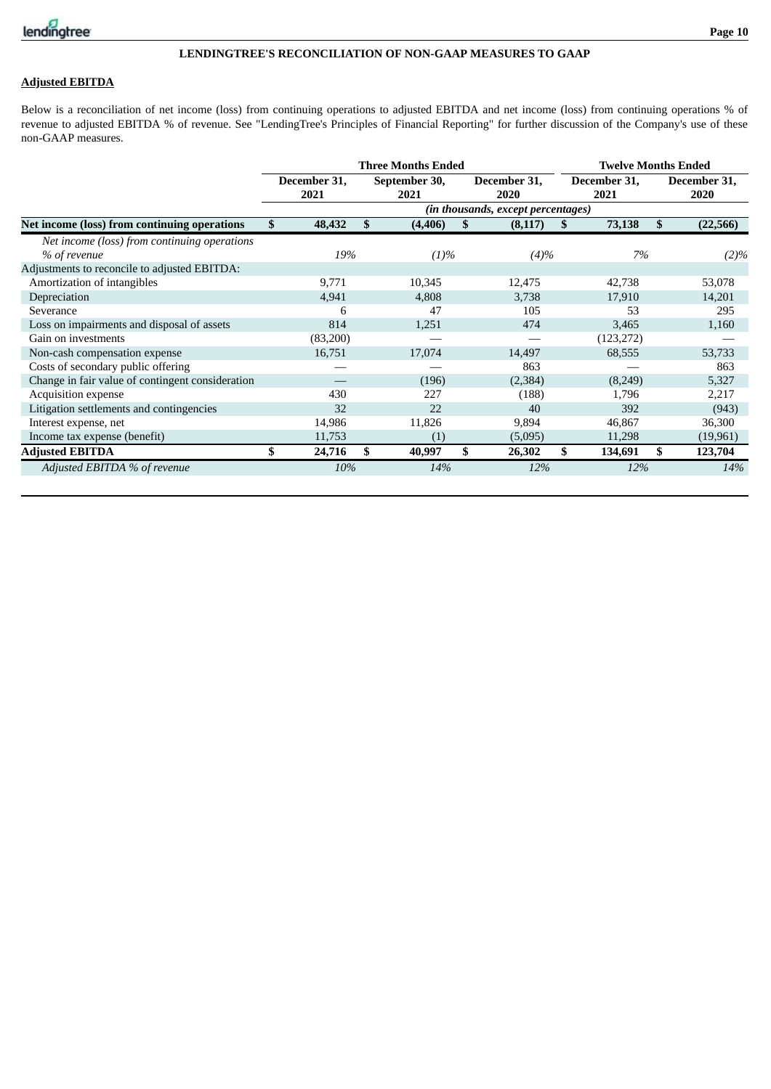

## **Adjusted EBITDA**

Below is a reconciliation of net income (loss) from continuing operations to adjusted EBITDA and net income (loss) from continuing operations % of revenue to adjusted EBITDA % of revenue. See "LendingTree's Principles of Financial Reporting" for further discussion of the Company's use of these non-GAAP measures.

|                                                  |                      | <b>Three Months Ended</b> |     | <b>Twelve Months Ended</b>         |                      |            |    |                      |
|--------------------------------------------------|----------------------|---------------------------|-----|------------------------------------|----------------------|------------|----|----------------------|
|                                                  | December 31,<br>2021 | September 30,<br>2021     |     | December 31,<br>2020               | December 31,<br>2021 |            |    | December 31,<br>2020 |
|                                                  |                      |                           |     | (in thousands, except percentages) |                      |            |    |                      |
| Net income (loss) from continuing operations     | \$<br>48,432         | \$<br>(4, 406)            | SS. | (8, 117)                           | SS-                  | 73,138     | \$ | (22, 566)            |
| Net income (loss) from continuing operations     |                      |                           |     |                                    |                      |            |    |                      |
| % of revenue                                     | 19%                  | (1)%                      |     | $(4)\%$                            |                      | 7%         |    | $(2)\%$              |
| Adjustments to reconcile to adjusted EBITDA:     |                      |                           |     |                                    |                      |            |    |                      |
| Amortization of intangibles                      | 9,771                | 10,345                    |     | 12,475                             |                      | 42,738     |    | 53,078               |
| Depreciation                                     | 4,941                | 4,808                     |     | 3,738                              |                      | 17,910     |    | 14,201               |
| Severance                                        | 6                    | 47                        |     | 105                                |                      | 53         |    | 295                  |
| Loss on impairments and disposal of assets       | 814                  | 1,251                     |     | 474                                |                      | 3,465      |    | 1,160                |
| Gain on investments                              | (83,200)             |                           |     |                                    |                      | (123, 272) |    |                      |
| Non-cash compensation expense                    | 16,751               | 17,074                    |     | 14,497                             |                      | 68,555     |    | 53,733               |
| Costs of secondary public offering               |                      |                           |     | 863                                |                      |            |    | 863                  |
| Change in fair value of contingent consideration |                      | (196)                     |     | (2, 384)                           |                      | (8,249)    |    | 5,327                |
| Acquisition expense                              | 430                  | 227                       |     | (188)                              |                      | 1,796      |    | 2,217                |
| Litigation settlements and contingencies         | 32                   | 22                        |     | 40                                 |                      | 392        |    | (943)                |
| Interest expense, net                            | 14,986               | 11,826                    |     | 9,894                              |                      | 46,867     |    | 36,300               |
| Income tax expense (benefit)                     | 11,753               | (1)                       |     | (5,095)                            |                      | 11,298     |    | (19,961)             |
| <b>Adjusted EBITDA</b>                           | 24,716               | \$<br>40,997              | \$  | 26,302                             | \$                   | 134,691    | \$ | 123,704              |
| Adjusted EBITDA % of revenue                     | 10%                  | 14%                       |     | 12%                                |                      | 12%        |    | 14%                  |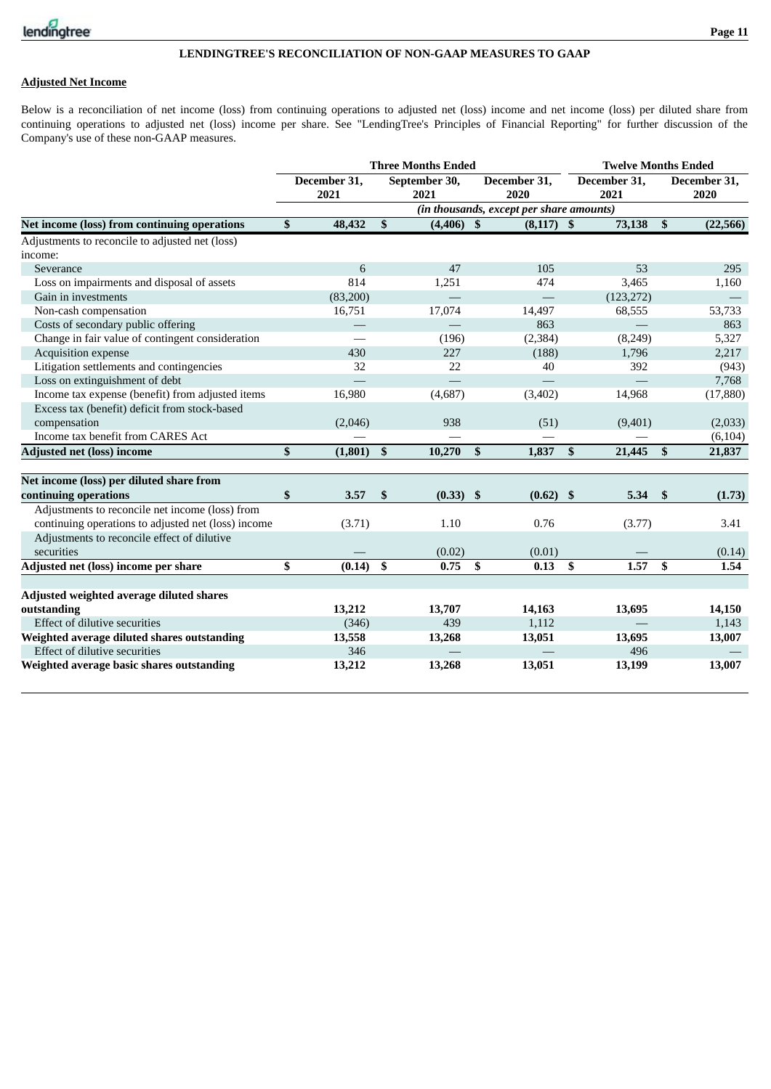## **Adjusted Net Income**

Below is a reconciliation of net income (loss) from continuing operations to adjusted net (loss) income and net income (loss) per diluted share from continuing operations to adjusted net (loss) income per share. See "LendingTree's Principles of Financial Reporting" for further discussion of the Company's use of these non-GAAP measures.

|                                                     |                      |              | <b>Three Months Ended</b> |                           |                                          | <b>Twelve Months Ended</b> |                      |                           |                      |  |  |
|-----------------------------------------------------|----------------------|--------------|---------------------------|---------------------------|------------------------------------------|----------------------------|----------------------|---------------------------|----------------------|--|--|
|                                                     | December 31,<br>2021 |              | September 30,<br>2021     |                           | December 31,<br>2020                     |                            | December 31,<br>2021 |                           | December 31,<br>2020 |  |  |
|                                                     |                      |              |                           |                           | (in thousands, except per share amounts) |                            |                      |                           |                      |  |  |
| Net income (loss) from continuing operations        | \$<br>48,432         | $\mathbf{s}$ | $(4, 406)$ \$             |                           | $(8,117)$ \$                             |                            | 73,138               | $\boldsymbol{\mathsf{s}}$ | (22, 566)            |  |  |
| Adjustments to reconcile to adjusted net (loss)     |                      |              |                           |                           |                                          |                            |                      |                           |                      |  |  |
| income:                                             |                      |              |                           |                           |                                          |                            |                      |                           |                      |  |  |
| Severance                                           | 6                    |              | 47                        |                           | 105                                      |                            | 53                   |                           | 295                  |  |  |
| Loss on impairments and disposal of assets          | 814                  |              | 1,251                     |                           | 474                                      |                            | 3,465                |                           | 1,160                |  |  |
| Gain in investments                                 | (83,200)             |              |                           |                           |                                          |                            | (123, 272)           |                           |                      |  |  |
| Non-cash compensation                               | 16,751               |              | 17,074                    |                           | 14,497                                   |                            | 68,555               |                           | 53,733               |  |  |
| Costs of secondary public offering                  |                      |              |                           |                           | 863                                      |                            |                      |                           | 863                  |  |  |
| Change in fair value of contingent consideration    |                      |              | (196)                     |                           | (2, 384)                                 |                            | (8, 249)             |                           | 5,327                |  |  |
| Acquisition expense                                 | 430                  |              | 227                       |                           | (188)                                    |                            | 1,796                |                           | 2,217                |  |  |
| Litigation settlements and contingencies            | 32                   |              | 22                        |                           | 40                                       |                            | 392                  |                           | (943)                |  |  |
| Loss on extinguishment of debt                      |                      |              |                           |                           |                                          |                            |                      |                           | 7,768                |  |  |
| Income tax expense (benefit) from adjusted items    | 16,980               |              | (4,687)                   |                           | (3,402)                                  |                            | 14,968               |                           | (17, 880)            |  |  |
| Excess tax (benefit) deficit from stock-based       |                      |              |                           |                           |                                          |                            |                      |                           |                      |  |  |
| compensation                                        | (2,046)              |              | 938                       |                           | (51)                                     |                            | (9,401)              |                           | (2,033)              |  |  |
| Income tax benefit from CARES Act                   |                      |              |                           |                           |                                          |                            |                      |                           | (6, 104)             |  |  |
| <b>Adjusted net (loss) income</b>                   | \$<br>(1,801)        | \$           | 10,270                    | \$                        | 1,837                                    | $\mathbf{s}$               | 21,445               | $\mathbf{s}$              | 21,837               |  |  |
|                                                     |                      |              |                           |                           |                                          |                            |                      |                           |                      |  |  |
| Net income (loss) per diluted share from            |                      |              |                           |                           |                                          |                            |                      |                           |                      |  |  |
| continuing operations                               | \$<br>3.57           | \$           | (0.33)                    | $\boldsymbol{\mathsf{s}}$ | (0.62)                                   | -\$                        | 5.34                 | \$                        | (1.73)               |  |  |
| Adjustments to reconcile net income (loss) from     |                      |              |                           |                           |                                          |                            |                      |                           |                      |  |  |
| continuing operations to adjusted net (loss) income | (3.71)               |              | 1.10                      |                           | 0.76                                     |                            | (3.77)               |                           | 3.41                 |  |  |
| Adjustments to reconcile effect of dilutive         |                      |              |                           |                           |                                          |                            |                      |                           |                      |  |  |
| securities                                          |                      |              | (0.02)                    |                           | (0.01)                                   |                            |                      |                           | (0.14)               |  |  |
| Adjusted net (loss) income per share                | \$<br>(0.14)         | \$           | 0.75                      | \$                        | 0.13                                     | \$                         | 1.57                 | \$                        | 1.54                 |  |  |
|                                                     |                      |              |                           |                           |                                          |                            |                      |                           |                      |  |  |
| Adjusted weighted average diluted shares            |                      |              |                           |                           |                                          |                            |                      |                           |                      |  |  |
| outstanding                                         | 13,212               |              | 13,707                    |                           | 14,163                                   |                            | 13,695               |                           | 14,150               |  |  |
| Effect of dilutive securities                       | (346)                |              | 439                       |                           | 1,112                                    |                            |                      |                           | 1,143                |  |  |
| Weighted average diluted shares outstanding         | 13,558               |              | 13,268                    |                           | 13,051                                   |                            | 13,695               |                           | 13,007               |  |  |
| Effect of dilutive securities                       | 346                  |              |                           |                           |                                          |                            | 496                  |                           |                      |  |  |
| Weighted average basic shares outstanding           | 13,212               |              | 13,268                    |                           | 13,051                                   |                            | 13,199               |                           | 13,007               |  |  |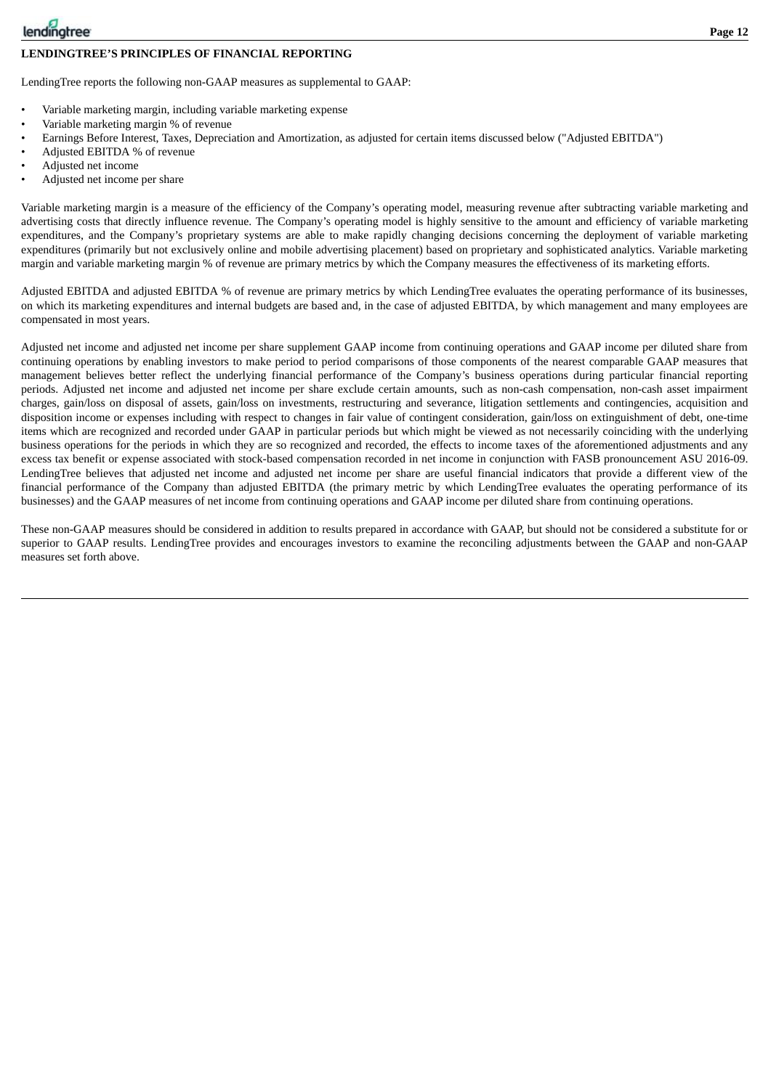

#### **LENDINGTREE'S PRINCIPLES OF FINANCIAL REPORTING**

LendingTree reports the following non-GAAP measures as supplemental to GAAP:

- Variable marketing margin, including variable marketing expense
- Variable marketing margin % of revenue
- Earnings Before Interest, Taxes, Depreciation and Amortization, as adjusted for certain items discussed below ("Adjusted EBITDA")
- Adjusted EBITDA % of revenue
- Adjusted net income
- Adjusted net income per share

Variable marketing margin is a measure of the efficiency of the Company's operating model, measuring revenue after subtracting variable marketing and advertising costs that directly influence revenue. The Company's operating model is highly sensitive to the amount and efficiency of variable marketing expenditures, and the Company's proprietary systems are able to make rapidly changing decisions concerning the deployment of variable marketing expenditures (primarily but not exclusively online and mobile advertising placement) based on proprietary and sophisticated analytics. Variable marketing margin and variable marketing margin % of revenue are primary metrics by which the Company measures the effectiveness of its marketing efforts.

Adjusted EBITDA and adjusted EBITDA % of revenue are primary metrics by which LendingTree evaluates the operating performance of its businesses, on which its marketing expenditures and internal budgets are based and, in the case of adjusted EBITDA, by which management and many employees are compensated in most years.

Adjusted net income and adjusted net income per share supplement GAAP income from continuing operations and GAAP income per diluted share from continuing operations by enabling investors to make period to period comparisons of those components of the nearest comparable GAAP measures that management believes better reflect the underlying financial performance of the Company's business operations during particular financial reporting periods. Adjusted net income and adjusted net income per share exclude certain amounts, such as non-cash compensation, non-cash asset impairment charges, gain/loss on disposal of assets, gain/loss on investments, restructuring and severance, litigation settlements and contingencies, acquisition and disposition income or expenses including with respect to changes in fair value of contingent consideration, gain/loss on extinguishment of debt, one-time items which are recognized and recorded under GAAP in particular periods but which might be viewed as not necessarily coinciding with the underlying business operations for the periods in which they are so recognized and recorded, the effects to income taxes of the aforementioned adjustments and any excess tax benefit or expense associated with stock-based compensation recorded in net income in conjunction with FASB pronouncement ASU 2016-09. LendingTree believes that adjusted net income and adjusted net income per share are useful financial indicators that provide a different view of the financial performance of the Company than adjusted EBITDA (the primary metric by which LendingTree evaluates the operating performance of its businesses) and the GAAP measures of net income from continuing operations and GAAP income per diluted share from continuing operations.

These non-GAAP measures should be considered in addition to results prepared in accordance with GAAP, but should not be considered a substitute for or superior to GAAP results. LendingTree provides and encourages investors to examine the reconciling adjustments between the GAAP and non-GAAP measures set forth above.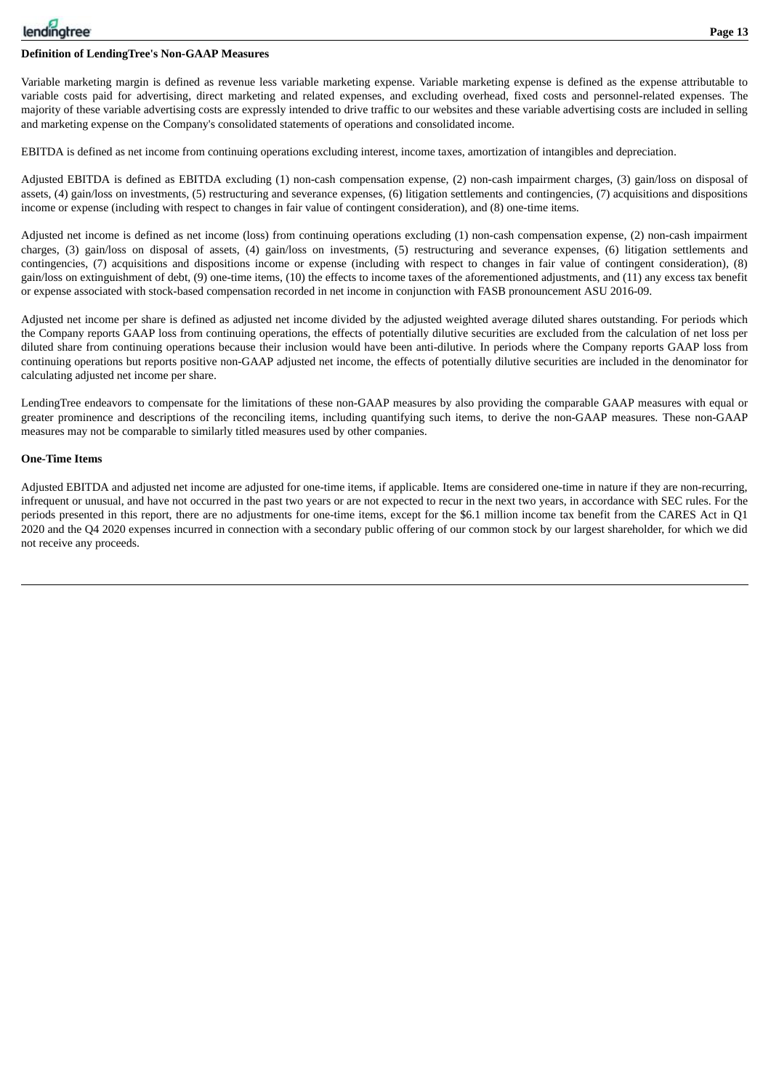Variable marketing margin is defined as revenue less variable marketing expense. Variable marketing expense is defined as the expense attributable to variable costs paid for advertising, direct marketing and related expenses, and excluding overhead, fixed costs and personnel-related expenses. The majority of these variable advertising costs are expressly intended to drive traffic to our websites and these variable advertising costs are included in selling and marketing expense on the Company's consolidated statements of operations and consolidated income.

EBITDA is defined as net income from continuing operations excluding interest, income taxes, amortization of intangibles and depreciation.

Adjusted EBITDA is defined as EBITDA excluding (1) non-cash compensation expense, (2) non-cash impairment charges, (3) gain/loss on disposal of assets, (4) gain/loss on investments, (5) restructuring and severance expenses, (6) litigation settlements and contingencies, (7) acquisitions and dispositions income or expense (including with respect to changes in fair value of contingent consideration), and (8) one-time items.

Adjusted net income is defined as net income (loss) from continuing operations excluding (1) non-cash compensation expense, (2) non-cash impairment charges, (3) gain/loss on disposal of assets, (4) gain/loss on investments, (5) restructuring and severance expenses, (6) litigation settlements and contingencies, (7) acquisitions and dispositions income or expense (including with respect to changes in fair value of contingent consideration), (8) gain/loss on extinguishment of debt, (9) one-time items, (10) the effects to income taxes of the aforementioned adjustments, and (11) any excess tax benefit or expense associated with stock-based compensation recorded in net income in conjunction with FASB pronouncement ASU 2016-09.

Adjusted net income per share is defined as adjusted net income divided by the adjusted weighted average diluted shares outstanding. For periods which the Company reports GAAP loss from continuing operations, the effects of potentially dilutive securities are excluded from the calculation of net loss per diluted share from continuing operations because their inclusion would have been anti-dilutive. In periods where the Company reports GAAP loss from continuing operations but reports positive non-GAAP adjusted net income, the effects of potentially dilutive securities are included in the denominator for calculating adjusted net income per share.

LendingTree endeavors to compensate for the limitations of these non-GAAP measures by also providing the comparable GAAP measures with equal or greater prominence and descriptions of the reconciling items, including quantifying such items, to derive the non-GAAP measures. These non-GAAP measures may not be comparable to similarly titled measures used by other companies.

#### **One-Time Items**

Adjusted EBITDA and adjusted net income are adjusted for one-time items, if applicable. Items are considered one-time in nature if they are non-recurring, infrequent or unusual, and have not occurred in the past two years or are not expected to recur in the next two years, in accordance with SEC rules. For the periods presented in this report, there are no adjustments for one-time items, except for the \$6.1 million income tax benefit from the CARES Act in Q1 2020 and the Q4 2020 expenses incurred in connection with a secondary public offering of our common stock by our largest shareholder, for which we did not receive any proceeds.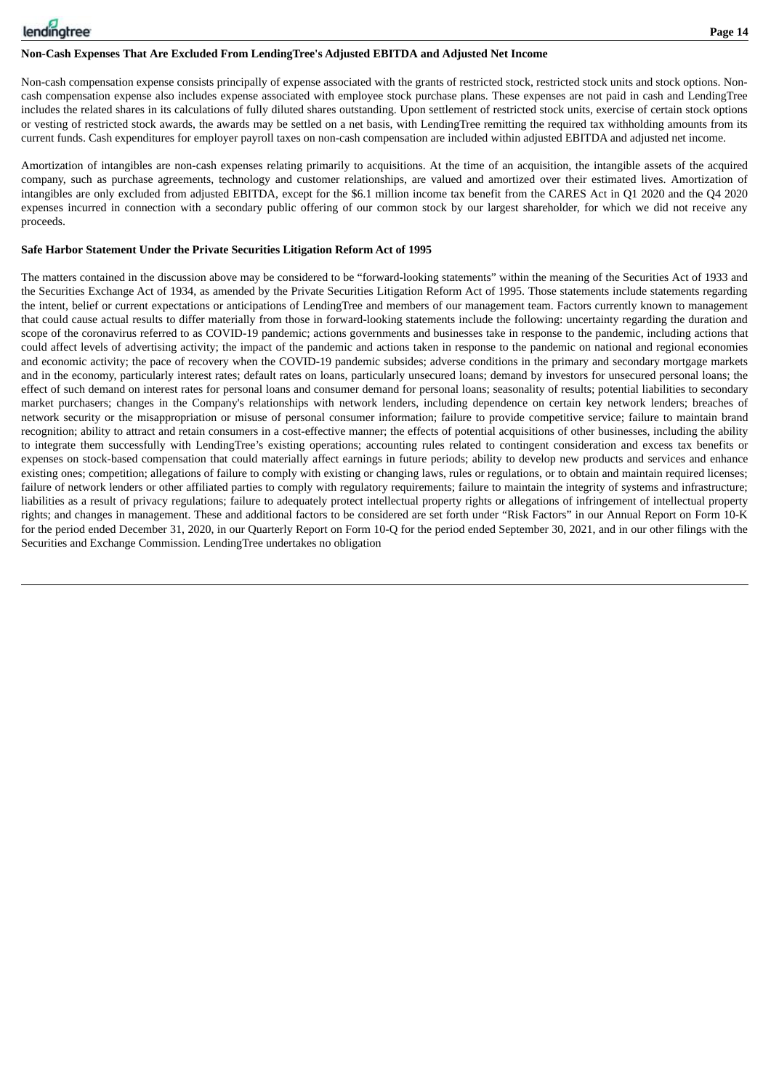## **Non-Cash Expenses That Are Excluded From LendingTree's Adjusted EBITDA and Adjusted Net Income**

Non-cash compensation expense consists principally of expense associated with the grants of restricted stock, restricted stock units and stock options. Noncash compensation expense also includes expense associated with employee stock purchase plans. These expenses are not paid in cash and LendingTree includes the related shares in its calculations of fully diluted shares outstanding. Upon settlement of restricted stock units, exercise of certain stock options or vesting of restricted stock awards, the awards may be settled on a net basis, with LendingTree remitting the required tax withholding amounts from its current funds. Cash expenditures for employer payroll taxes on non-cash compensation are included within adjusted EBITDA and adjusted net income.

Amortization of intangibles are non-cash expenses relating primarily to acquisitions. At the time of an acquisition, the intangible assets of the acquired company, such as purchase agreements, technology and customer relationships, are valued and amortized over their estimated lives. Amortization of intangibles are only excluded from adjusted EBITDA, except for the \$6.1 million income tax benefit from the CARES Act in Q1 2020 and the Q4 2020 expenses incurred in connection with a secondary public offering of our common stock by our largest shareholder, for which we did not receive any proceeds.

## **Safe Harbor Statement Under the Private Securities Litigation Reform Act of 1995**

The matters contained in the discussion above may be considered to be "forward-looking statements" within the meaning of the Securities Act of 1933 and the Securities Exchange Act of 1934, as amended by the Private Securities Litigation Reform Act of 1995. Those statements include statements regarding the intent, belief or current expectations or anticipations of LendingTree and members of our management team. Factors currently known to management that could cause actual results to differ materially from those in forward-looking statements include the following: uncertainty regarding the duration and scope of the coronavirus referred to as COVID-19 pandemic; actions governments and businesses take in response to the pandemic, including actions that could affect levels of advertising activity; the impact of the pandemic and actions taken in response to the pandemic on national and regional economies and economic activity; the pace of recovery when the COVID-19 pandemic subsides; adverse conditions in the primary and secondary mortgage markets and in the economy, particularly interest rates; default rates on loans, particularly unsecured loans; demand by investors for unsecured personal loans; the effect of such demand on interest rates for personal loans and consumer demand for personal loans; seasonality of results; potential liabilities to secondary market purchasers; changes in the Company's relationships with network lenders, including dependence on certain key network lenders; breaches of network security or the misappropriation or misuse of personal consumer information; failure to provide competitive service; failure to maintain brand recognition; ability to attract and retain consumers in a cost-effective manner; the effects of potential acquisitions of other businesses, including the ability to integrate them successfully with LendingTree's existing operations; accounting rules related to contingent consideration and excess tax benefits or expenses on stock-based compensation that could materially affect earnings in future periods; ability to develop new products and services and enhance existing ones; competition; allegations of failure to comply with existing or changing laws, rules or regulations, or to obtain and maintain required licenses; failure of network lenders or other affiliated parties to comply with regulatory requirements; failure to maintain the integrity of systems and infrastructure; liabilities as a result of privacy regulations; failure to adequately protect intellectual property rights or allegations of infringement of intellectual property rights; and changes in management. These and additional factors to be considered are set forth under "Risk Factors" in our Annual Report on Form 10-K for the period ended December 31, 2020, in our Quarterly Report on Form 10-Q for the period ended September 30, 2021, and in our other filings with the Securities and Exchange Commission. LendingTree undertakes no obligation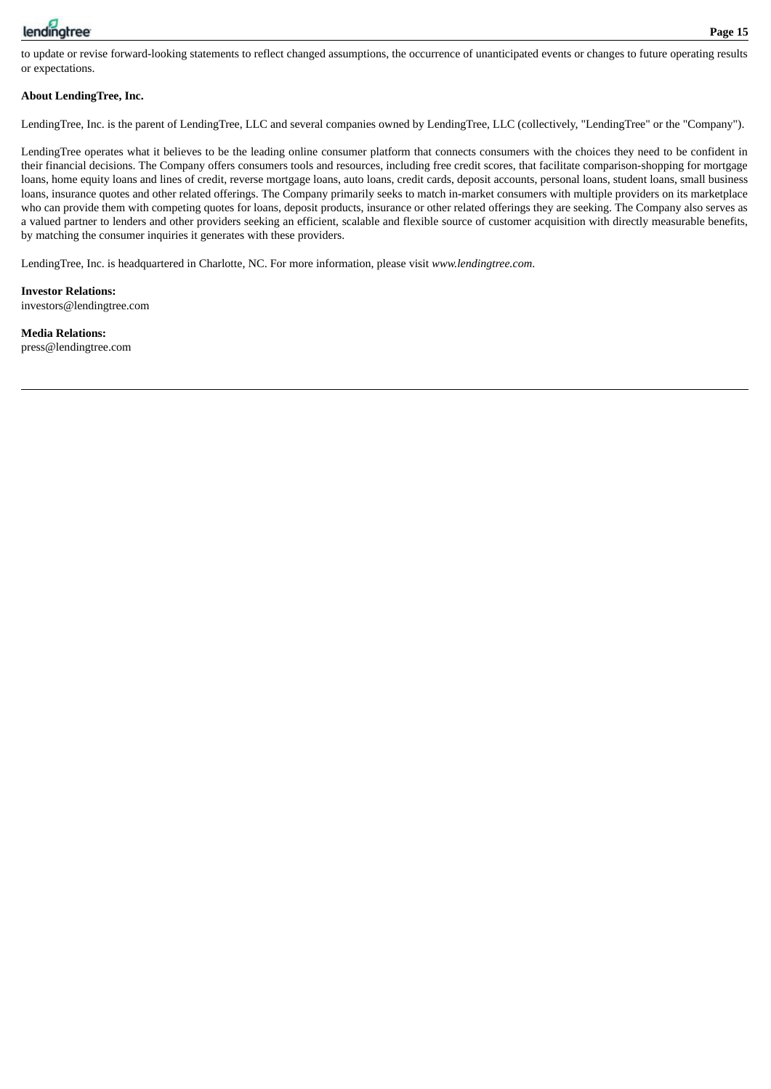

to update or revise forward-looking statements to reflect changed assumptions, the occurrence of unanticipated events or changes to future operating results or expectations.

## **About LendingTree, Inc.**

LendingTree, Inc. is the parent of LendingTree, LLC and several companies owned by LendingTree, LLC (collectively, "LendingTree" or the "Company").

LendingTree operates what it believes to be the leading online consumer platform that connects consumers with the choices they need to be confident in their financial decisions. The Company offers consumers tools and resources, including free credit scores, that facilitate comparison-shopping for mortgage loans, home equity loans and lines of credit, reverse mortgage loans, auto loans, credit cards, deposit accounts, personal loans, student loans, small business loans, insurance quotes and other related offerings. The Company primarily seeks to match in-market consumers with multiple providers on its marketplace who can provide them with competing quotes for loans, deposit products, insurance or other related offerings they are seeking. The Company also serves as a valued partner to lenders and other providers seeking an efficient, scalable and flexible source of customer acquisition with directly measurable benefits, by matching the consumer inquiries it generates with these providers.

LendingTree, Inc. is headquartered in Charlotte, NC. For more information, please visit *www.lendingtree.com*.

**Investor Relations:** investors@lendingtree.com

**Media Relations:** press@lendingtree.com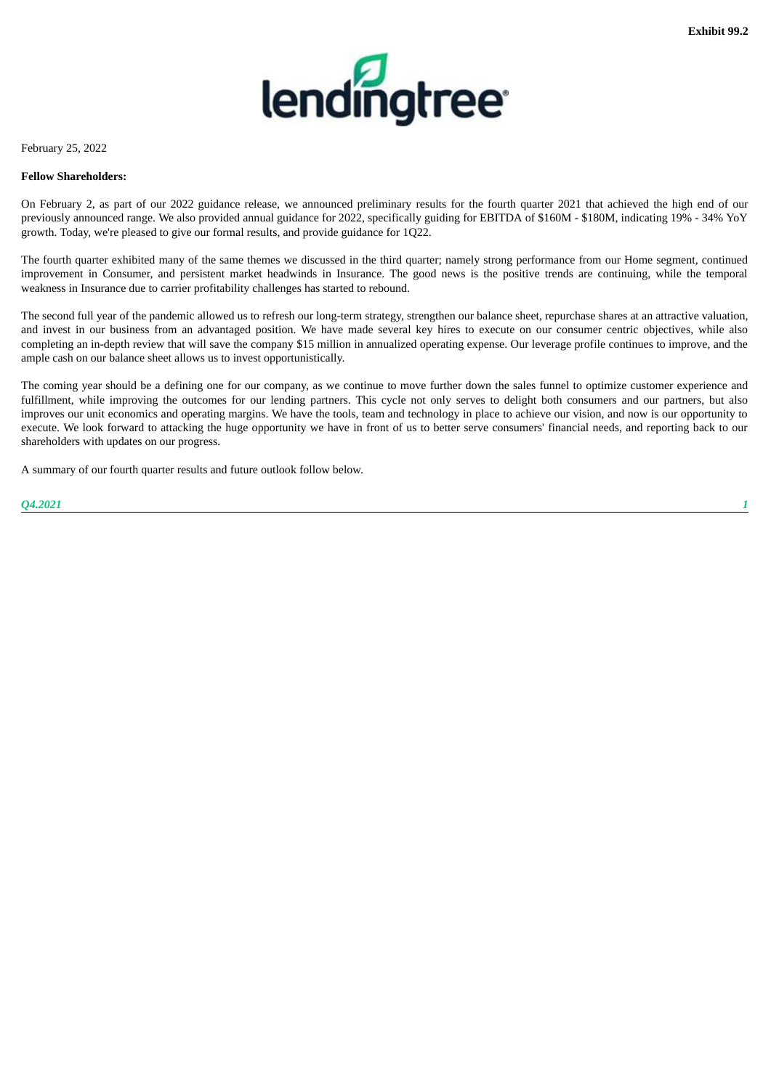

<span id="page-18-0"></span>February 25, 2022

#### **Fellow Shareholders:**

On February 2, as part of our 2022 guidance release, we announced preliminary results for the fourth quarter 2021 that achieved the high end of our previously announced range. We also provided annual guidance for 2022, specifically guiding for EBITDA of \$160M - \$180M, indicating 19% - 34% YoY growth. Today, we're pleased to give our formal results, and provide guidance for 1Q22.

The fourth quarter exhibited many of the same themes we discussed in the third quarter; namely strong performance from our Home segment, continued improvement in Consumer, and persistent market headwinds in Insurance. The good news is the positive trends are continuing, while the temporal weakness in Insurance due to carrier profitability challenges has started to rebound.

The second full year of the pandemic allowed us to refresh our long-term strategy, strengthen our balance sheet, repurchase shares at an attractive valuation, and invest in our business from an advantaged position. We have made several key hires to execute on our consumer centric objectives, while also completing an in-depth review that will save the company \$15 million in annualized operating expense. Our leverage profile continues to improve, and the ample cash on our balance sheet allows us to invest opportunistically.

The coming year should be a defining one for our company, as we continue to move further down the sales funnel to optimize customer experience and fulfillment, while improving the outcomes for our lending partners. This cycle not only serves to delight both consumers and our partners, but also improves our unit economics and operating margins. We have the tools, team and technology in place to achieve our vision, and now is our opportunity to execute. We look forward to attacking the huge opportunity we have in front of us to better serve consumers' financial needs, and reporting back to our shareholders with updates on our progress.

A summary of our fourth quarter results and future outlook follow below.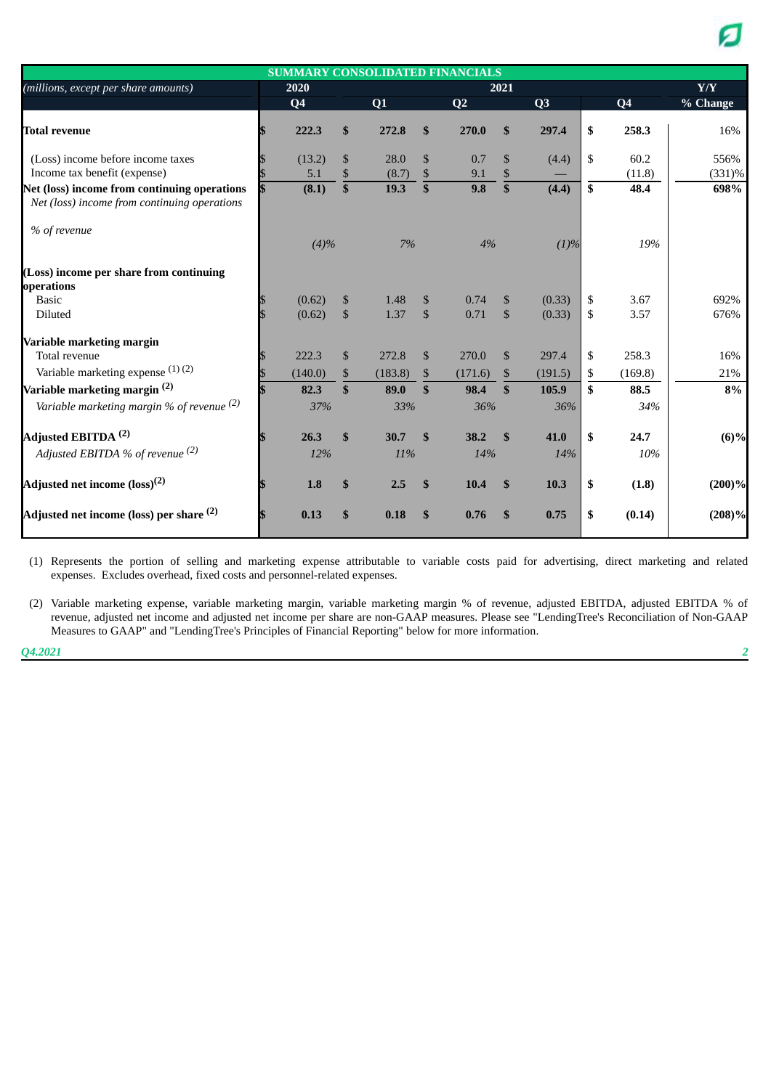| <b>SUMMARY CONSOLIDATED FINANCIALS</b>                                                       |  |                  |                    |              |                   |                |                    |                  |          |                |              |
|----------------------------------------------------------------------------------------------|--|------------------|--------------------|--------------|-------------------|----------------|--------------------|------------------|----------|----------------|--------------|
| (millions, except per share amounts)                                                         |  | 2020             |                    |              |                   |                | 2021               |                  |          |                | Y/Y          |
|                                                                                              |  | Q <sub>4</sub>   |                    | Q1           |                   | Q <sub>2</sub> |                    | Q3               |          | Q <sub>4</sub> | % Change     |
| <b>Total revenue</b>                                                                         |  | 222.3            | S                  | 272.8        | \$                | 270.0          | \$                 | 297.4            | \$       | 258.3          | 16%          |
| (Loss) income before income taxes                                                            |  | (13.2)           | \$                 | 28.0         | \$                | 0.7            | \$                 | (4.4)            | \$       | 60.2           | 556%         |
| Income tax benefit (expense)                                                                 |  | 5.1              | \$                 | (8.7)        | \$                | 9.1            | \$                 |                  |          | (11.8)         | $(331)\%$    |
| Net (loss) income from continuing operations<br>Net (loss) income from continuing operations |  | (8.1)            | \$                 | 19.3         | $\overline{\$}$   | 9.8            | $\overline{\$}$    | (4.4)            | \$       | 48.4           | 698%         |
| % of revenue                                                                                 |  | (4)%             |                    | 7%           |                   | 4%             |                    | (1)%             |          | 19%            |              |
| (Loss) income per share from continuing<br>operations                                        |  |                  |                    |              |                   |                |                    |                  |          |                |              |
| <b>Basic</b><br>Diluted                                                                      |  | (0.62)<br>(0.62) | \$<br>$\mathbb{S}$ | 1.48<br>1.37 | \$<br>$\mathbb S$ | 0.74<br>0.71   | \$<br>$\mathbb{S}$ | (0.33)<br>(0.33) | \$<br>\$ | 3.67<br>3.57   | 692%<br>676% |
| Variable marketing margin                                                                    |  |                  |                    |              |                   |                |                    |                  |          |                |              |
| Total revenue                                                                                |  | 222.3            | \$                 | 272.8        | $\mathbb{S}$      | 270.0          | $\mathcal{S}$      | 297.4            | \$       | 258.3          | 16%          |
| Variable marketing expense $(1)$ $(2)$                                                       |  | (140.0)          | \$                 | (183.8)      | \$                | (171.6)        | \$                 | (191.5)          | \$       | (169.8)        | 21%          |
| Variable marketing margin <sup>(2)</sup>                                                     |  | 82.3             | \$                 | 89.0         | \$                | 98.4           | $\mathbf{\$}$      | 105.9            | \$       | 88.5           | 8%           |
| Variable marketing margin % of revenue $(2)$                                                 |  | 37%              |                    | 33%          |                   | 36%            |                    | 36%              |          | 34%            |              |
| Adjusted EBITDA <sup>(2)</sup>                                                               |  | 26.3             | \$                 | 30.7         | $\mathbf{s}$      | 38.2           | $\mathbf{s}$       | 41.0             | \$       | 24.7           | $(6)\%$      |
| Adjusted EBITDA % of revenue <sup>(2)</sup>                                                  |  | 12%              |                    | 11%          |                   | 14%            |                    | 14%              |          | 10%            |              |
| Adjusted net income (loss) <sup>(2)</sup>                                                    |  | 1.8              | \$                 | 2.5          | \$                | 10.4           | $\mathbf{s}$       | 10.3             | \$       | (1.8)          | $(200)\%$    |
| Adjusted net income (loss) per share <sup>(2)</sup>                                          |  | 0.13             | \$                 | 0.18         | \$                | 0.76           | \$                 | 0.75             | \$       | (0.14)         | (208)%       |

(1) Represents the portion of selling and marketing expense attributable to variable costs paid for advertising, direct marketing and related expenses. Excludes overhead, fixed costs and personnel-related expenses.

(2) Variable marketing expense, variable marketing margin, variable marketing margin % of revenue, adjusted EBITDA, adjusted EBITDA % of revenue, adjusted net income and adjusted net income per share are non-GAAP measures. Please see "LendingTree's Reconciliation of Non-GAAP Measures to GAAP" and "LendingTree's Principles of Financial Reporting" below for more information.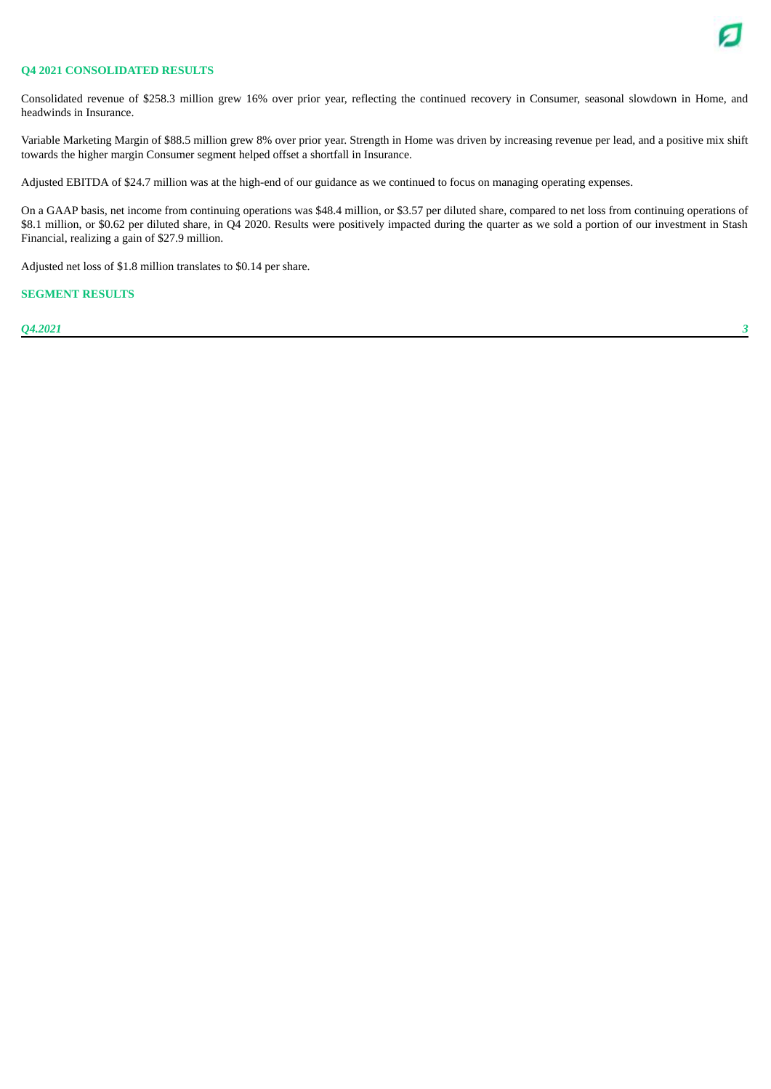

#### **Q4 2021 CONSOLIDATED RESULTS**

Consolidated revenue of \$258.3 million grew 16% over prior year, reflecting the continued recovery in Consumer, seasonal slowdown in Home, and headwinds in Insurance.

Variable Marketing Margin of \$88.5 million grew 8% over prior year. Strength in Home was driven by increasing revenue per lead, and a positive mix shift towards the higher margin Consumer segment helped offset a shortfall in Insurance.

Adjusted EBITDA of \$24.7 million was at the high-end of our guidance as we continued to focus on managing operating expenses.

On a GAAP basis, net income from continuing operations was \$48.4 million, or \$3.57 per diluted share, compared to net loss from continuing operations of \$8.1 million, or \$0.62 per diluted share, in Q4 2020. Results were positively impacted during the quarter as we sold a portion of our investment in Stash Financial, realizing a gain of \$27.9 million.

Adjusted net loss of \$1.8 million translates to \$0.14 per share.

#### **SEGMENT RESULTS**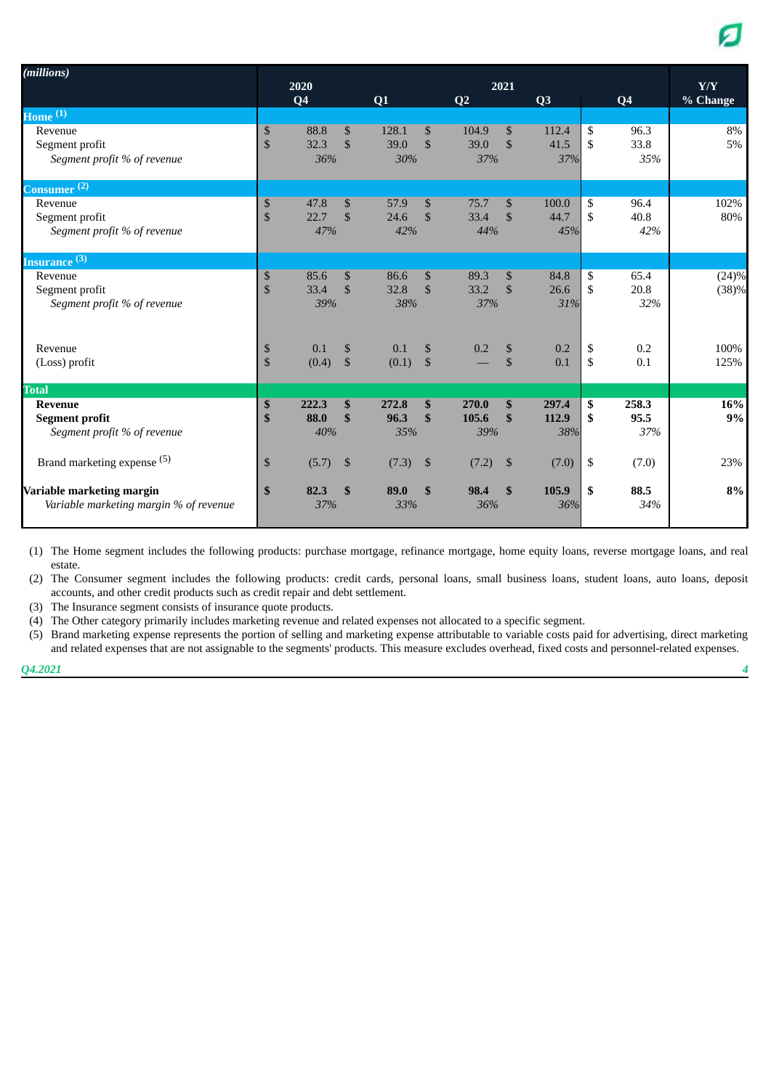| (millions)                                                             |                     | 2020<br>Q <sub>4</sub> |                                | Q1                   |                     | Q <sub>2</sub>        | 2021                      | Q3                    |                                 | Q <sub>4</sub>       | $\mathbf{Y}/\mathbf{Y}$<br>% Change |
|------------------------------------------------------------------------|---------------------|------------------------|--------------------------------|----------------------|---------------------|-----------------------|---------------------------|-----------------------|---------------------------------|----------------------|-------------------------------------|
| Home $^{(1)}$                                                          |                     |                        |                                |                      |                     |                       |                           |                       |                                 |                      |                                     |
| Revenue<br>Segment profit<br>Segment profit % of revenue               | \$<br>$\mathbb{S}$  | 88.8<br>32.3<br>36%    | $\mathcal{S}$<br>$\mathcal{S}$ | 128.1<br>39.0<br>30% | \$<br>$\mathbb{S}$  | 104.9<br>39.0<br>37%  | \$<br>$\mathbb{S}$        | 112.4<br>41.5<br>37%  | <sup>\$</sup><br><sup>\$</sup>  | 96.3<br>33.8<br>35%  | 8%<br>5%                            |
| Consumer <sup>(2)</sup>                                                |                     |                        |                                |                      |                     |                       |                           |                       |                                 |                      |                                     |
| Revenue<br>Segment profit<br>Segment profit % of revenue               | \$<br>\$            | 47.8<br>22.7<br>47%    | $\mathbb{S}$<br>$\mathcal{S}$  | 57.9<br>24.6<br>42%  | \$<br>$\mathbb{S}$  | 75.7<br>33.4<br>44%   | \$<br>$\mathbf{\$}$       | 100.0<br>44.7<br>45%  | \$<br>$\mathcal{S}$             | 96.4<br>40.8<br>42%  | 102%<br>80%                         |
| Insurance (3)                                                          |                     |                        |                                |                      |                     |                       |                           |                       |                                 |                      |                                     |
| Revenue<br>Segment profit<br>Segment profit % of revenue               | \$<br>$\mathbf{\$}$ | 85.6<br>33.4<br>39%    | $\mathbb{S}$<br>$\mathcal{S}$  | 86.6<br>32.8<br>38%  | \$<br>$\mathcal{S}$ | 89.3<br>33.2<br>37%   | \$<br>$\mathbf{\$}$       | 84.8<br>26.6<br>31%   | \$<br>$\mathcal{S}$             | 65.4<br>20.8<br>32%  | (24)%<br>(38)%                      |
| Revenue<br>(Loss) profit                                               | \$<br>\$            | 0.1<br>(0.4)           | \$<br>$\mathfrak{S}$           | 0.1<br>(0.1)         | \$<br>$\mathbb{S}$  | 0.2                   | \$<br>$\mathbb{S}$        | 0.2<br>0.1            | \$<br>$\boldsymbol{\mathsf{S}}$ | 0.2<br>0.1           | 100%<br>125%                        |
| <b>Total</b>                                                           |                     |                        |                                |                      |                     |                       |                           |                       |                                 |                      |                                     |
| <b>Revenue</b><br><b>Segment profit</b><br>Segment profit % of revenue | \$<br>\$            | 222.3<br>88.0<br>40%   | \$<br>\$                       | 272.8<br>96.3<br>35% | \$<br>\$            | 270.0<br>105.6<br>39% | \$<br>\$                  | 297.4<br>112.9<br>38% | \$<br>\$                        | 258.3<br>95.5<br>37% | 16%<br>9%                           |
| Brand marketing expense (5)                                            | \$                  | (5.7)                  | $\mathfrak{S}$                 | (7.3)                | $\mathfrak{S}$      | (7.2)                 | $\boldsymbol{\mathsf{S}}$ | (7.0)                 | \$                              | (7.0)                | 23%                                 |
| Variable marketing margin<br>Variable marketing margin % of revenue    | \$                  | 82.3<br>37%            | $\mathbf{s}$                   | 89.0<br>33%          | \$                  | 98.4<br>36%           | \$                        | 105.9<br>36%          | \$                              | 88.5<br>34%          | 8%                                  |

(1) The Home segment includes the following products: purchase mortgage, refinance mortgage, home equity loans, reverse mortgage loans, and real estate.

(2) The Consumer segment includes the following products: credit cards, personal loans, small business loans, student loans, auto loans, deposit accounts, and other credit products such as credit repair and debt settlement.

(3) The Insurance segment consists of insurance quote products.

(4) The Other category primarily includes marketing revenue and related expenses not allocated to a specific segment.

(5) Brand marketing expense represents the portion of selling and marketing expense attributable to variable costs paid for advertising, direct marketing and related expenses that are not assignable to the segments' products. This measure excludes overhead, fixed costs and personnel-related expenses.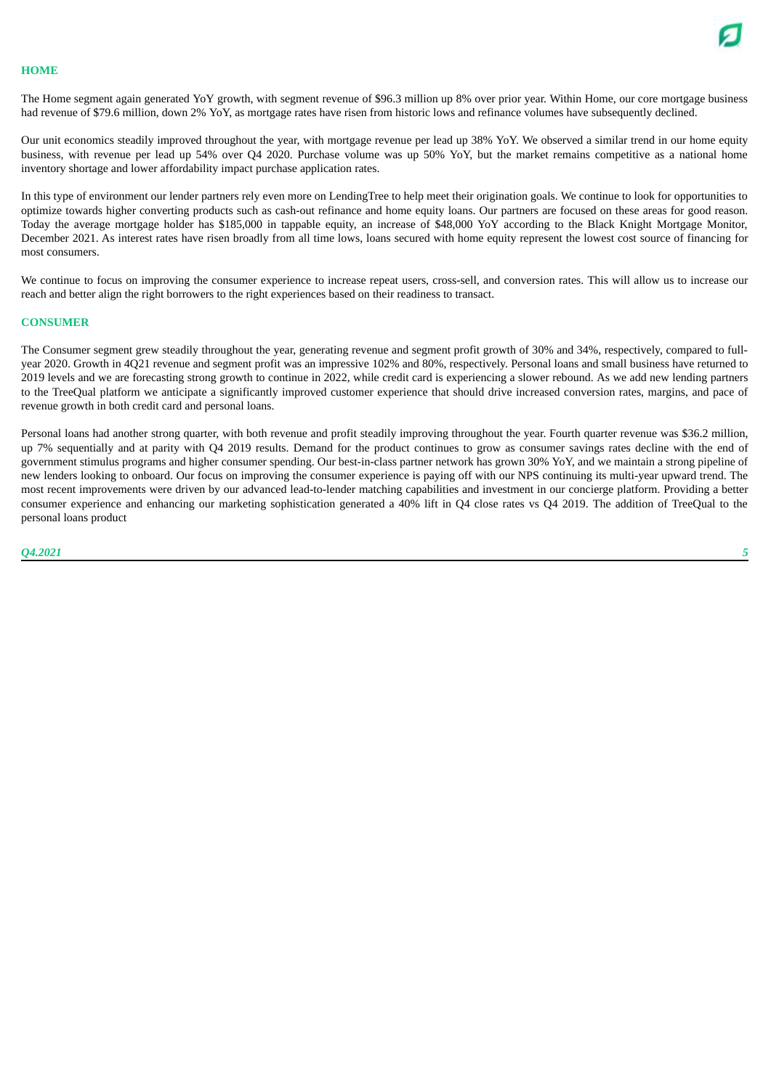

#### **HOME**

The Home segment again generated YoY growth, with segment revenue of \$96.3 million up 8% over prior year. Within Home, our core mortgage business had revenue of \$79.6 million, down 2% YoY, as mortgage rates have risen from historic lows and refinance volumes have subsequently declined.

Our unit economics steadily improved throughout the year, with mortgage revenue per lead up 38% YoY. We observed a similar trend in our home equity business, with revenue per lead up 54% over Q4 2020. Purchase volume was up 50% YoY, but the market remains competitive as a national home inventory shortage and lower affordability impact purchase application rates.

In this type of environment our lender partners rely even more on LendingTree to help meet their origination goals. We continue to look for opportunities to optimize towards higher converting products such as cash-out refinance and home equity loans. Our partners are focused on these areas for good reason. Today the average mortgage holder has \$185,000 in tappable equity, an increase of \$48,000 YoY according to the Black Knight Mortgage Monitor, December 2021. As interest rates have risen broadly from all time lows, loans secured with home equity represent the lowest cost source of financing for most consumers.

We continue to focus on improving the consumer experience to increase repeat users, cross-sell, and conversion rates. This will allow us to increase our reach and better align the right borrowers to the right experiences based on their readiness to transact.

#### **CONSUMER**

The Consumer segment grew steadily throughout the year, generating revenue and segment profit growth of 30% and 34%, respectively, compared to fullyear 2020. Growth in 4Q21 revenue and segment profit was an impressive 102% and 80%, respectively. Personal loans and small business have returned to 2019 levels and we are forecasting strong growth to continue in 2022, while credit card is experiencing a slower rebound. As we add new lending partners to the TreeQual platform we anticipate a significantly improved customer experience that should drive increased conversion rates, margins, and pace of revenue growth in both credit card and personal loans.

Personal loans had another strong quarter, with both revenue and profit steadily improving throughout the year. Fourth quarter revenue was \$36.2 million, up 7% sequentially and at parity with Q4 2019 results. Demand for the product continues to grow as consumer savings rates decline with the end of government stimulus programs and higher consumer spending. Our best-in-class partner network has grown 30% YoY, and we maintain a strong pipeline of new lenders looking to onboard. Our focus on improving the consumer experience is paying off with our NPS continuing its multi-year upward trend. The most recent improvements were driven by our advanced lead-to-lender matching capabilities and investment in our concierge platform. Providing a better consumer experience and enhancing our marketing sophistication generated a 40% lift in Q4 close rates vs Q4 2019. The addition of TreeQual to the personal loans product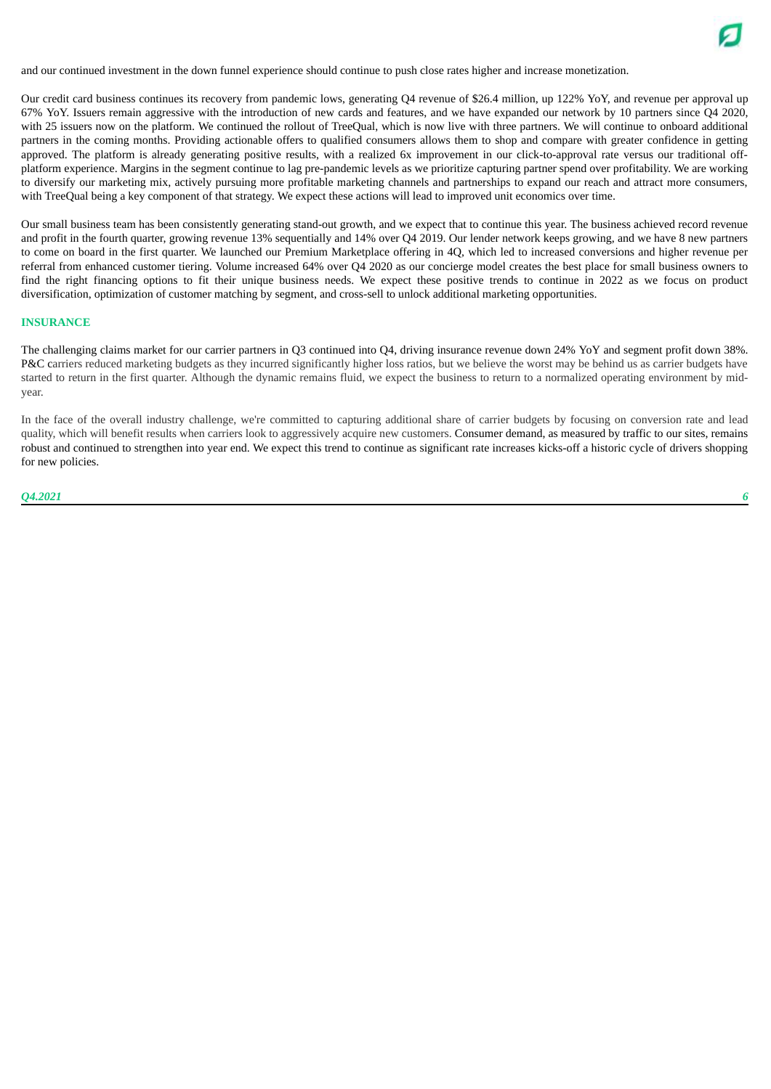and our continued investment in the down funnel experience should continue to push close rates higher and increase monetization.

Our credit card business continues its recovery from pandemic lows, generating Q4 revenue of \$26.4 million, up 122% YoY, and revenue per approval up 67% YoY. Issuers remain aggressive with the introduction of new cards and features, and we have expanded our network by 10 partners since Q4 2020, with 25 issuers now on the platform. We continued the rollout of TreeQual, which is now live with three partners. We will continue to onboard additional partners in the coming months. Providing actionable offers to qualified consumers allows them to shop and compare with greater confidence in getting approved. The platform is already generating positive results, with a realized 6x improvement in our click-to-approval rate versus our traditional offplatform experience. Margins in the segment continue to lag pre-pandemic levels as we prioritize capturing partner spend over profitability. We are working to diversify our marketing mix, actively pursuing more profitable marketing channels and partnerships to expand our reach and attract more consumers, with TreeQual being a key component of that strategy. We expect these actions will lead to improved unit economics over time.

Our small business team has been consistently generating stand-out growth, and we expect that to continue this year. The business achieved record revenue and profit in the fourth quarter, growing revenue 13% sequentially and 14% over Q4 2019. Our lender network keeps growing, and we have 8 new partners to come on board in the first quarter. We launched our Premium Marketplace offering in 4Q, which led to increased conversions and higher revenue per referral from enhanced customer tiering. Volume increased 64% over Q4 2020 as our concierge model creates the best place for small business owners to find the right financing options to fit their unique business needs. We expect these positive trends to continue in 2022 as we focus on product diversification, optimization of customer matching by segment, and cross-sell to unlock additional marketing opportunities.

#### **INSURANCE**

The challenging claims market for our carrier partners in Q3 continued into Q4, driving insurance revenue down 24% YoY and segment profit down 38%. P&C carriers reduced marketing budgets as they incurred significantly higher loss ratios, but we believe the worst may be behind us as carrier budgets have started to return in the first quarter. Although the dynamic remains fluid, we expect the business to return to a normalized operating environment by midyear.

In the face of the overall industry challenge, we're committed to capturing additional share of carrier budgets by focusing on conversion rate and lead quality, which will benefit results when carriers look to aggressively acquire new customers. Consumer demand, as measured by traffic to our sites, remains robust and continued to strengthen into year end. We expect this trend to continue as significant rate increases kicks-off a historic cycle of drivers shopping for new policies.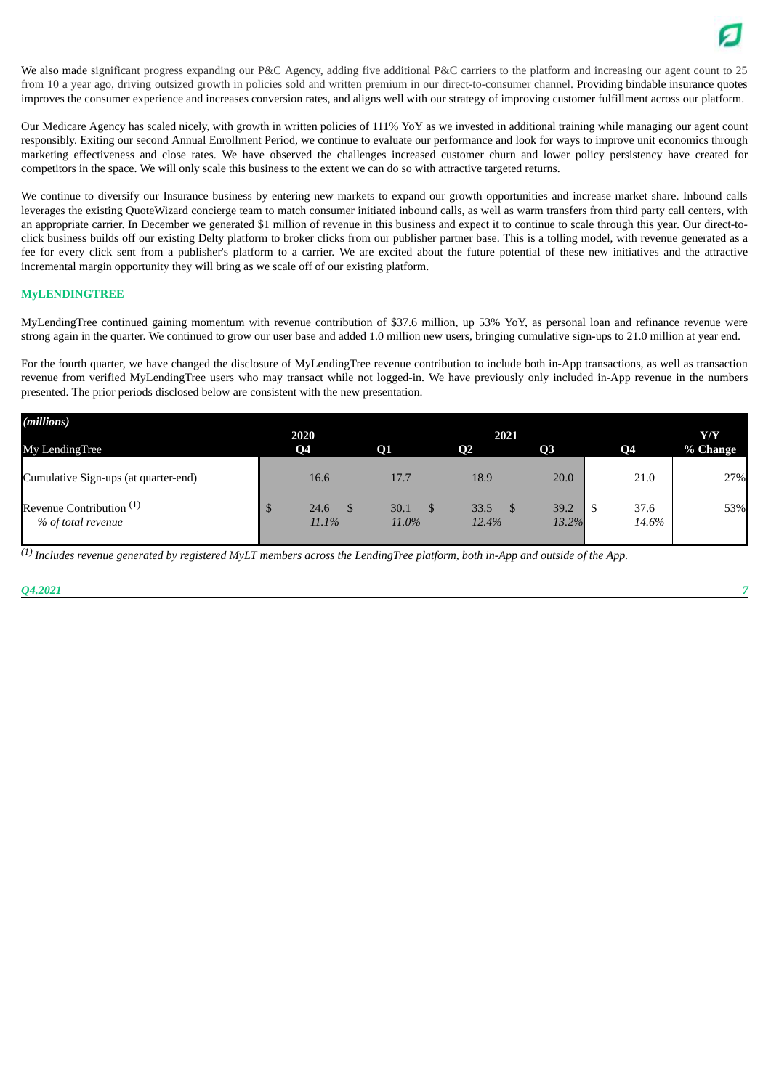

We also made significant progress expanding our P&C Agency, adding five additional P&C carriers to the platform and increasing our agent count to 25 from 10 a year ago, driving outsized growth in policies sold and written premium in our direct-to-consumer channel. Providing bindable insurance quotes improves the consumer experience and increases conversion rates, and aligns well with our strategy of improving customer fulfillment across our platform.

Our Medicare Agency has scaled nicely, with growth in written policies of 111% YoY as we invested in additional training while managing our agent count responsibly. Exiting our second Annual Enrollment Period, we continue to evaluate our performance and look for ways to improve unit economics through marketing effectiveness and close rates. We have observed the challenges increased customer churn and lower policy persistency have created for competitors in the space. We will only scale this business to the extent we can do so with attractive targeted returns.

We continue to diversify our Insurance business by entering new markets to expand our growth opportunities and increase market share. Inbound calls leverages the existing QuoteWizard concierge team to match consumer initiated inbound calls, as well as warm transfers from third party call centers, with an appropriate carrier. In December we generated \$1 million of revenue in this business and expect it to continue to scale through this year. Our direct-toclick business builds off our existing Delty platform to broker clicks from our publisher partner base. This is a tolling model, with revenue generated as a fee for every click sent from a publisher's platform to a carrier. We are excited about the future potential of these new initiatives and the attractive incremental margin opportunity they will bring as we scale off of our existing platform.

#### **MyLENDINGTREE**

MyLendingTree continued gaining momentum with revenue contribution of \$37.6 million, up 53% YoY, as personal loan and refinance revenue were strong again in the quarter. We continued to grow our user base and added 1.0 million new users, bringing cumulative sign-ups to 21.0 million at year end.

For the fourth quarter, we have changed the disclosure of MyLendingTree revenue contribution to include both in-App transactions, as well as transaction revenue from verified MyLendingTree users who may transact while not logged-in. We have previously only included in-App revenue in the numbers presented. The prior periods disclosed below are consistent with the new presentation.

| (millions)                                                | 2020          |               | 2021          |                |               | Y/Y      |
|-----------------------------------------------------------|---------------|---------------|---------------|----------------|---------------|----------|
| <b>My LendingTree</b>                                     | <b>Q4</b>     | <b>O1</b>     | $\mathbf{Q}$  | O <sub>3</sub> | <b>Q4</b>     | % Change |
| Cumulative Sign-ups (at quarter-end)                      | 16.6          | 17.7          | 18.9          | 20.0           | 21.0          | 27%      |
| Revenue Contribution <sup>(1)</sup><br>% of total revenue | 24.6<br>11.1% | 30.1<br>11.0% | 33.5<br>12.4% | 39.2<br>13.2%  | 37.6<br>14.6% | 53%      |

 $^{(1)}$  Includes revenue generated by registered MyLT members across the LendingTree platform, both in-App and outside of the App.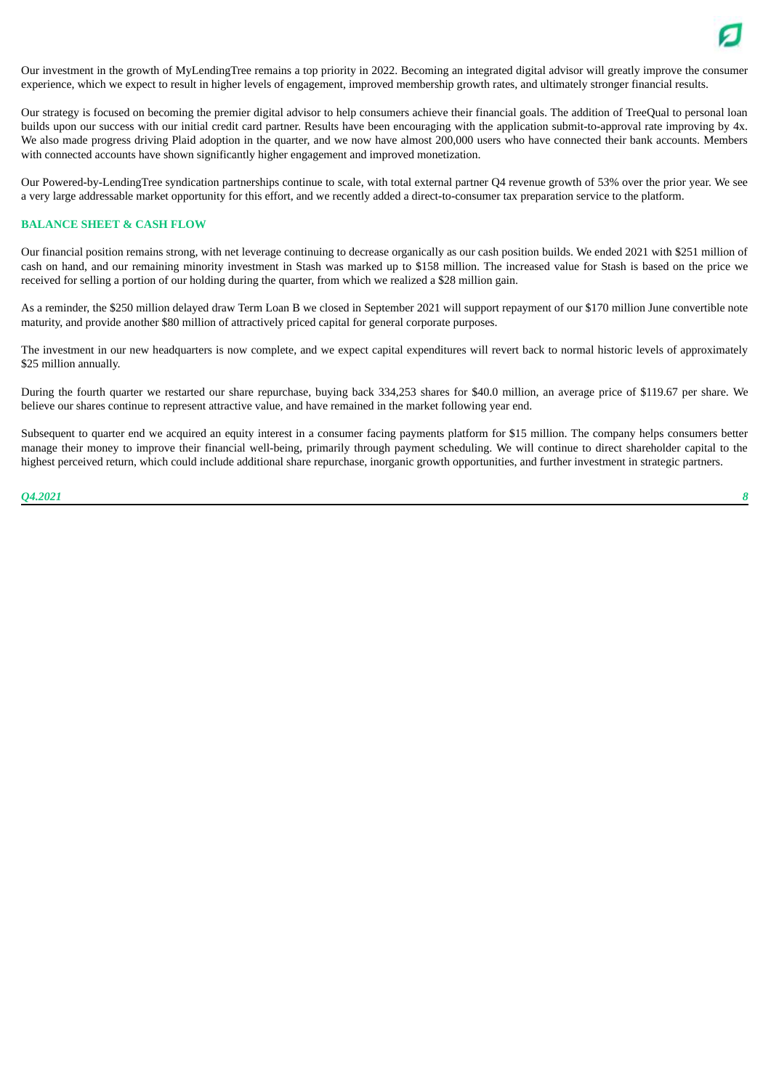

Our investment in the growth of MyLendingTree remains a top priority in 2022. Becoming an integrated digital advisor will greatly improve the consumer experience, which we expect to result in higher levels of engagement, improved membership growth rates, and ultimately stronger financial results.

Our strategy is focused on becoming the premier digital advisor to help consumers achieve their financial goals. The addition of TreeQual to personal loan builds upon our success with our initial credit card partner. Results have been encouraging with the application submit-to-approval rate improving by 4x. We also made progress driving Plaid adoption in the quarter, and we now have almost 200,000 users who have connected their bank accounts. Members with connected accounts have shown significantly higher engagement and improved monetization.

Our Powered-by-LendingTree syndication partnerships continue to scale, with total external partner Q4 revenue growth of 53% over the prior year. We see a very large addressable market opportunity for this effort, and we recently added a direct-to-consumer tax preparation service to the platform.

#### **BALANCE SHEET & CASH FLOW**

Our financial position remains strong, with net leverage continuing to decrease organically as our cash position builds. We ended 2021 with \$251 million of cash on hand, and our remaining minority investment in Stash was marked up to \$158 million. The increased value for Stash is based on the price we received for selling a portion of our holding during the quarter, from which we realized a \$28 million gain.

As a reminder, the \$250 million delayed draw Term Loan B we closed in September 2021 will support repayment of our \$170 million June convertible note maturity, and provide another \$80 million of attractively priced capital for general corporate purposes.

The investment in our new headquarters is now complete, and we expect capital expenditures will revert back to normal historic levels of approximately \$25 million annually.

During the fourth quarter we restarted our share repurchase, buying back 334,253 shares for \$40.0 million, an average price of \$119.67 per share. We believe our shares continue to represent attractive value, and have remained in the market following year end.

Subsequent to quarter end we acquired an equity interest in a consumer facing payments platform for \$15 million. The company helps consumers better manage their money to improve their financial well-being, primarily through payment scheduling. We will continue to direct shareholder capital to the highest perceived return, which could include additional share repurchase, inorganic growth opportunities, and further investment in strategic partners.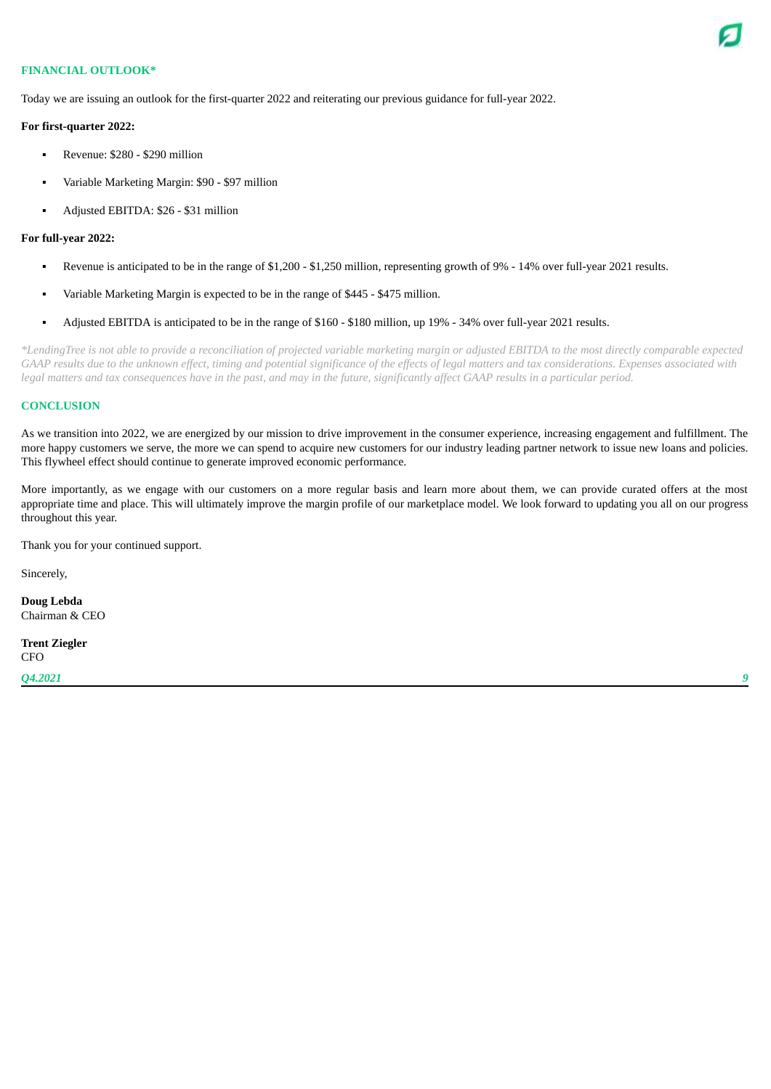

## **FINANCIAL OUTLOOK\***

Today we are issuing an outlook for the first-quarter 2022 and reiterating our previous guidance for full-year 2022.

#### **For first-quarter 2022:**

- Revenue: \$280 \$290 million
- Variable Marketing Margin: \$90 \$97 million
- Adjusted EBITDA: \$26 \$31 million

#### **For full-year 2022:**

- Revenue is anticipated to be in the range of \$1,200 \$1,250 million, representing growth of 9% 14% over full-year 2021 results.
- Variable Marketing Margin is expected to be in the range of \$445 \$475 million.
- Adjusted EBITDA is anticipated to be in the range of \$160 \$180 million, up 19% 34% over full-year 2021 results.

\*LendingTree is not able to provide a reconciliation of projected variable marketing margin or adjusted EBITDA to the most directly comparable expected GAAP results due to the unknown effect, timing and potential significance of the effects of legal matters and tax considerations. Expenses associated with legal matters and tax consequences have in the past, and may in the future, significantly affect GAAP results in a particular period.

#### **CONCLUSION**

As we transition into 2022, we are energized by our mission to drive improvement in the consumer experience, increasing engagement and fulfillment. The more happy customers we serve, the more we can spend to acquire new customers for our industry leading partner network to issue new loans and policies. This flywheel effect should continue to generate improved economic performance.

More importantly, as we engage with our customers on a more regular basis and learn more about them, we can provide curated offers at the most appropriate time and place. This will ultimately improve the margin profile of our marketplace model. We look forward to updating you all on our progress throughout this year.

Thank you for your continued support.

Sincerely,

**Doug Lebda** Chairman & CEO

**Trent Ziegler CFO**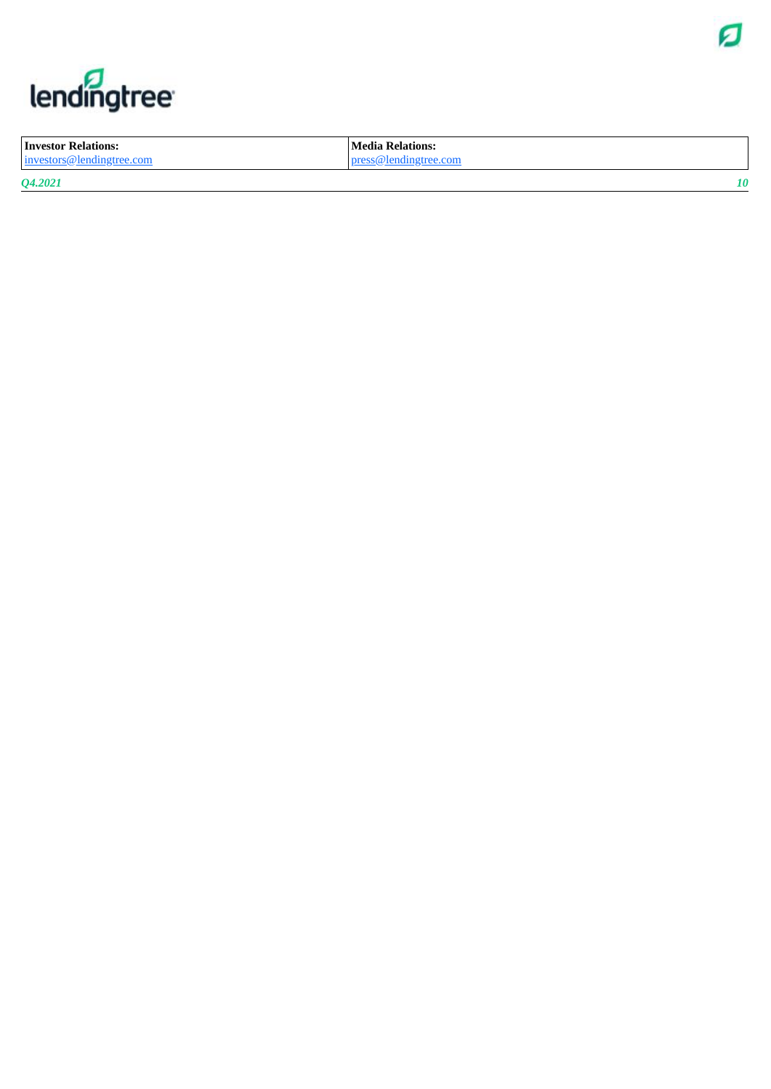

# lendingtree

| <b>Investor Relations:</b> | Media Relations:      |
|----------------------------|-----------------------|
| investors@lendingtree.com  | press@lendingtree.com |
| Q4.2021                    |                       |

*Q 4 . 2 0 2 1*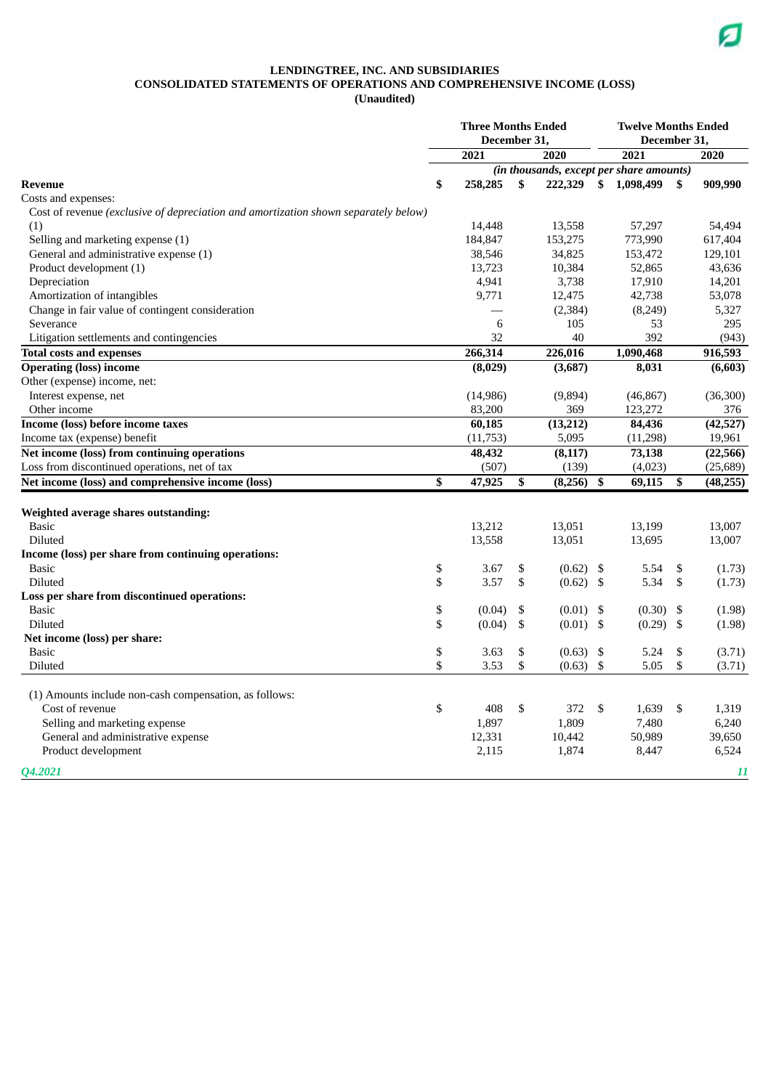## **LENDINGTREE, INC. AND SUBSIDIARIES CONSOLIDATED STATEMENTS OF OPERATIONS AND COMPREHENSIVE INCOME (LOSS)**

**(Unaudited)**

|                                                                                     | <b>Three Months Ended</b><br>December 31, |                                          |    |          |    | <b>Twelve Months Ended</b><br>December 31, |    |           |  |
|-------------------------------------------------------------------------------------|-------------------------------------------|------------------------------------------|----|----------|----|--------------------------------------------|----|-----------|--|
|                                                                                     |                                           | 2021                                     |    | 2020     |    | 2021                                       |    | 2020      |  |
|                                                                                     |                                           | (in thousands, except per share amounts) |    |          |    |                                            |    |           |  |
| <b>Revenue</b>                                                                      | \$                                        | 258,285                                  | \$ | 222,329  |    | \$1,098,499                                | \$ | 909,990   |  |
| Costs and expenses:                                                                 |                                           |                                          |    |          |    |                                            |    |           |  |
| Cost of revenue (exclusive of depreciation and amortization shown separately below) |                                           |                                          |    |          |    |                                            |    |           |  |
| (1)                                                                                 |                                           | 14,448                                   |    | 13,558   |    | 57,297                                     |    | 54,494    |  |
| Selling and marketing expense (1)                                                   |                                           | 184,847                                  |    | 153,275  |    | 773,990                                    |    | 617,404   |  |
| General and administrative expense (1)                                              |                                           | 38,546                                   |    | 34,825   |    | 153,472                                    |    | 129,101   |  |
| Product development (1)                                                             |                                           | 13,723                                   |    | 10,384   |    | 52,865                                     |    | 43,636    |  |
| Depreciation                                                                        |                                           | 4,941                                    |    | 3,738    |    | 17,910                                     |    | 14,201    |  |
| Amortization of intangibles                                                         |                                           | 9,771                                    |    | 12,475   |    | 42,738                                     |    | 53,078    |  |
| Change in fair value of contingent consideration                                    |                                           |                                          |    | (2, 384) |    | (8,249)                                    |    | 5,327     |  |
| Severance                                                                           |                                           | 6                                        |    | 105      |    | 53                                         |    | 295       |  |
| Litigation settlements and contingencies                                            |                                           | 32                                       |    | 40       |    | 392                                        |    | (943)     |  |
| <b>Total costs and expenses</b>                                                     |                                           | 266,314                                  |    | 226,016  |    | 1,090,468                                  |    | 916,593   |  |
| <b>Operating (loss) income</b>                                                      |                                           | (8,029)                                  |    | (3,687)  |    | 8,031                                      |    | (6,603)   |  |
| Other (expense) income, net:                                                        |                                           |                                          |    |          |    |                                            |    |           |  |
| Interest expense, net                                                               |                                           | (14, 986)                                |    | (9,894)  |    | (46, 867)                                  |    | (36,300)  |  |
| Other income                                                                        |                                           | 83,200                                   |    | 369      |    | 123,272                                    |    | 376       |  |
| <b>Income (loss) before income taxes</b>                                            |                                           | 60,185                                   |    | (13,212) |    | 84,436                                     |    | (42, 527) |  |
| Income tax (expense) benefit                                                        |                                           | (11, 753)                                |    | 5,095    |    | (11, 298)                                  |    | 19,961    |  |
| Net income (loss) from continuing operations                                        |                                           | 48,432                                   |    | (8, 117) |    | 73,138                                     |    | (22, 566) |  |
| Loss from discontinued operations, net of tax                                       |                                           | (507)                                    |    | (139)    |    | (4,023)                                    |    | (25,689)  |  |
| Net income (loss) and comprehensive income (loss)                                   | \$                                        | 47,925                                   | \$ | (8,256)  | \$ | 69,115                                     | \$ | (48, 255) |  |
|                                                                                     |                                           |                                          |    |          |    |                                            |    |           |  |
| Weighted average shares outstanding:                                                |                                           |                                          |    |          |    |                                            |    |           |  |
| <b>Basic</b>                                                                        |                                           | 13,212                                   |    | 13,051   |    | 13,199                                     |    | 13,007    |  |
| <b>Diluted</b>                                                                      |                                           | 13,558                                   |    | 13,051   |    | 13,695                                     |    | 13,007    |  |
| Income (loss) per share from continuing operations:                                 |                                           |                                          |    |          |    |                                            |    |           |  |
| <b>Basic</b>                                                                        | \$                                        | 3.67                                     | \$ | (0.62)   | \$ | 5.54                                       | \$ | (1.73)    |  |
| Diluted                                                                             | \$                                        | 3.57                                     | \$ | (0.62)   | \$ | 5.34                                       | \$ | (1.73)    |  |
| Loss per share from discontinued operations:                                        |                                           |                                          |    |          |    |                                            |    |           |  |
| <b>Basic</b>                                                                        | \$                                        | (0.04)                                   | \$ | (0.01)   | \$ | (0.30)                                     | \$ | (1.98)    |  |
| Diluted                                                                             | \$                                        | (0.04)                                   | \$ | (0.01)   | \$ | (0.29)                                     | \$ | (1.98)    |  |
| Net income (loss) per share:                                                        |                                           |                                          |    |          |    |                                            |    |           |  |
| <b>Basic</b>                                                                        | \$                                        | 3.63                                     | \$ | (0.63)   | \$ | 5.24                                       | \$ | (3.71)    |  |
| Diluted                                                                             | \$                                        | 3.53                                     | \$ | (0.63)   | \$ | 5.05                                       | \$ | (3.71)    |  |
|                                                                                     |                                           |                                          |    |          |    |                                            |    |           |  |
| (1) Amounts include non-cash compensation, as follows:                              |                                           |                                          |    |          |    |                                            |    |           |  |
| Cost of revenue                                                                     | \$                                        | 408                                      | \$ | 372      | \$ | 1,639                                      | \$ | 1,319     |  |
| Selling and marketing expense                                                       |                                           | 1,897                                    |    | 1,809    |    | 7,480                                      |    | 6,240     |  |
| General and administrative expense                                                  |                                           | 12,331                                   |    | 10,442   |    | 50,989                                     |    | 39,650    |  |
| Product development                                                                 |                                           |                                          |    | 1,874    |    | 8,447                                      |    | 6,524     |  |
|                                                                                     |                                           | 2,115                                    |    |          |    |                                            |    |           |  |
| <b>04.2021</b>                                                                      |                                           |                                          |    |          |    |                                            |    | 11        |  |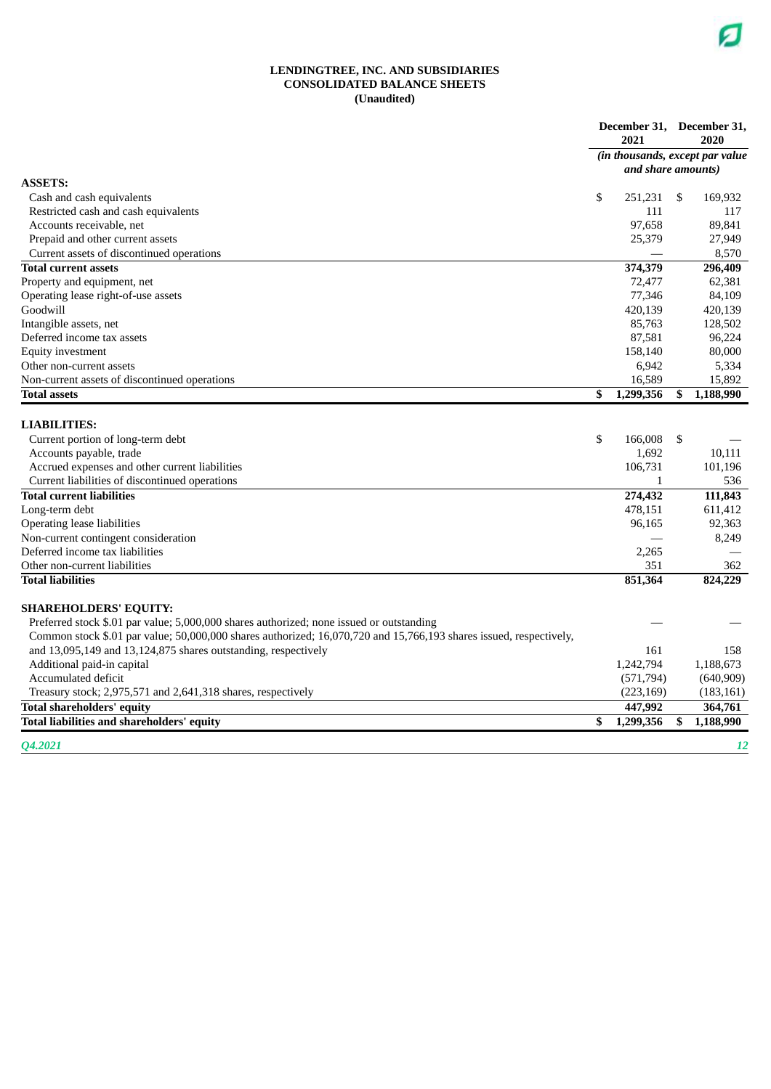#### **LENDINGTREE, INC. AND SUBSIDIARIES CONSOLIDATED BALANCE SHEETS (Unaudited)**

|                                                                                                                    | December 31, December 31,<br>2021 |                                 | 2020       |  |
|--------------------------------------------------------------------------------------------------------------------|-----------------------------------|---------------------------------|------------|--|
|                                                                                                                    |                                   | (in thousands, except par value |            |  |
|                                                                                                                    | and share amounts)                |                                 |            |  |
| <b>ASSETS:</b>                                                                                                     |                                   |                                 |            |  |
| Cash and cash equivalents                                                                                          | \$<br>251,231                     | - \$                            | 169,932    |  |
| Restricted cash and cash equivalents                                                                               | 111                               |                                 | 117        |  |
| Accounts receivable, net                                                                                           | 97,658                            |                                 | 89.841     |  |
| Prepaid and other current assets                                                                                   | 25,379                            |                                 | 27,949     |  |
| Current assets of discontinued operations                                                                          |                                   |                                 | 8,570      |  |
| <b>Total current assets</b>                                                                                        | 374,379                           |                                 | 296,409    |  |
| Property and equipment, net                                                                                        | 72,477                            |                                 | 62,381     |  |
| Operating lease right-of-use assets                                                                                | 77,346                            |                                 | 84,109     |  |
| Goodwill                                                                                                           | 420,139                           |                                 | 420,139    |  |
| Intangible assets, net                                                                                             | 85,763                            |                                 | 128,502    |  |
| Deferred income tax assets                                                                                         | 87,581                            |                                 | 96,224     |  |
| Equity investment                                                                                                  | 158,140                           |                                 | 80,000     |  |
| Other non-current assets                                                                                           | 6,942                             |                                 | 5,334      |  |
| Non-current assets of discontinued operations                                                                      | 16,589                            |                                 | 15,892     |  |
| <b>Total assets</b>                                                                                                | \$<br>1,299,356                   | \$                              | 1,188,990  |  |
|                                                                                                                    |                                   |                                 |            |  |
| <b>LIABILITIES:</b>                                                                                                |                                   |                                 |            |  |
| Current portion of long-term debt                                                                                  | \$<br>166,008                     | \$                              |            |  |
| Accounts payable, trade                                                                                            | 1,692                             |                                 | 10,111     |  |
| Accrued expenses and other current liabilities                                                                     | 106,731                           |                                 | 101,196    |  |
| Current liabilities of discontinued operations                                                                     | $\mathbf{1}$                      |                                 | 536        |  |
| <b>Total current liabilities</b>                                                                                   | 274,432                           |                                 | 111,843    |  |
| Long-term debt                                                                                                     | 478,151                           |                                 | 611,412    |  |
| Operating lease liabilities                                                                                        | 96,165                            |                                 | 92,363     |  |
| Non-current contingent consideration                                                                               |                                   |                                 | 8,249      |  |
| Deferred income tax liabilities                                                                                    | 2,265                             |                                 |            |  |
| Other non-current liabilities                                                                                      | 351                               |                                 | 362        |  |
| <b>Total liabilities</b>                                                                                           | 851,364                           |                                 | 824,229    |  |
|                                                                                                                    |                                   |                                 |            |  |
| <b>SHAREHOLDERS' EQUITY:</b>                                                                                       |                                   |                                 |            |  |
| Preferred stock \$.01 par value; 5,000,000 shares authorized; none issued or outstanding                           |                                   |                                 |            |  |
| Common stock \$.01 par value; 50,000,000 shares authorized; 16,070,720 and 15,766,193 shares issued, respectively, |                                   |                                 |            |  |
| and 13,095,149 and 13,124,875 shares outstanding, respectively                                                     | 161                               |                                 | 158        |  |
| Additional paid-in capital                                                                                         | 1,242,794                         |                                 | 1,188,673  |  |
| Accumulated deficit                                                                                                | (571, 794)                        |                                 | (640, 909) |  |
| Treasury stock; 2,975,571 and 2,641,318 shares, respectively                                                       | (223, 169)                        |                                 | (183, 161) |  |
| <b>Total shareholders' equity</b>                                                                                  | 447,992                           |                                 | 364,761    |  |
| Total liabilities and shareholders' equitv                                                                         | \$<br>1,299,356                   | \$                              | 1,188,990  |  |
| 04.2021                                                                                                            |                                   |                                 | 12         |  |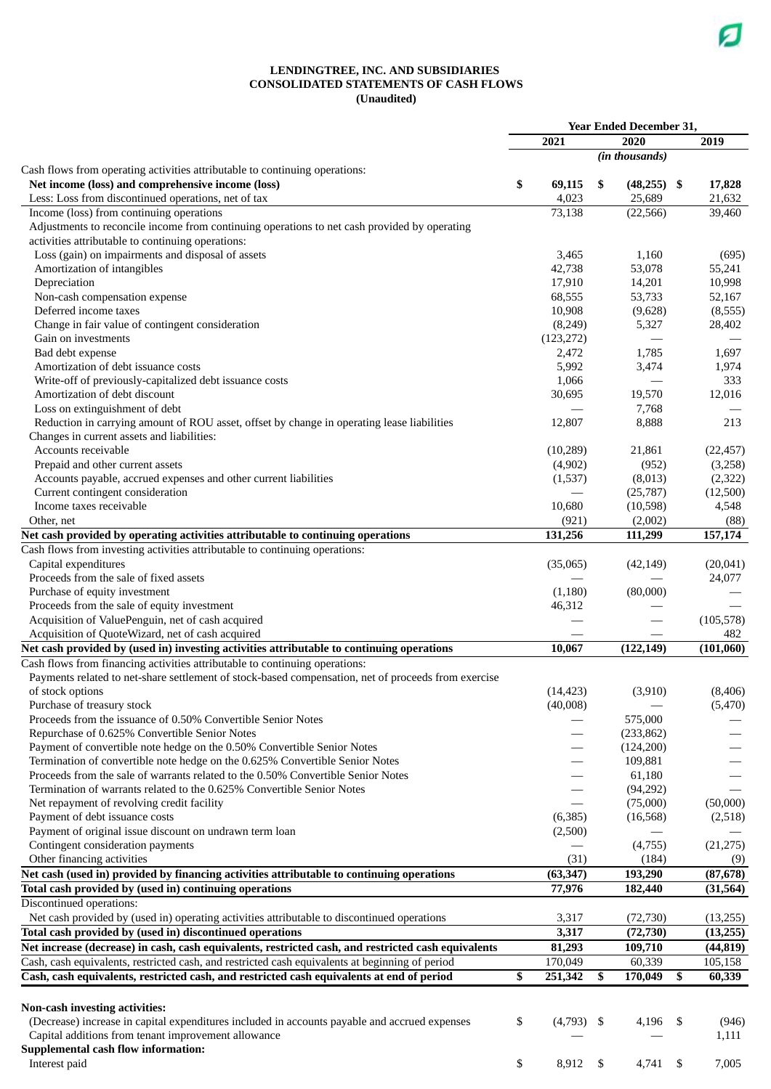#### **LENDINGTREE, INC. AND SUBSIDIARIES CONSOLIDATED STATEMENTS OF CASH FLOWS (Unaudited)**

|                                                                                                     |               | <b>Year Ended December 31,</b> |              |
|-----------------------------------------------------------------------------------------------------|---------------|--------------------------------|--------------|
|                                                                                                     | 2021          | 2020                           | 2019         |
|                                                                                                     |               | (in thousands)                 |              |
| Cash flows from operating activities attributable to continuing operations:                         |               |                                |              |
| Net income (loss) and comprehensive income (loss)                                                   | \$<br>69,115  | \$<br>$(48,255)$ \$            | 17,828       |
| Less: Loss from discontinued operations, net of tax                                                 | 4,023         | 25,689                         | 21,632       |
| Income (loss) from continuing operations                                                            | 73,138        | (22, 566)                      | 39,460       |
| Adjustments to reconcile income from continuing operations to net cash provided by operating        |               |                                |              |
| activities attributable to continuing operations:                                                   | 3,465         | 1,160                          | (695)        |
| Loss (gain) on impairments and disposal of assets<br>Amortization of intangibles                    | 42,738        | 53,078                         | 55,241       |
| Depreciation                                                                                        | 17,910        | 14,201                         | 10,998       |
| Non-cash compensation expense                                                                       | 68,555        | 53,733                         | 52,167       |
| Deferred income taxes                                                                               | 10,908        | (9,628)                        | (8,555)      |
| Change in fair value of contingent consideration                                                    | (8, 249)      | 5,327                          | 28,402       |
| Gain on investments                                                                                 | (123, 272)    |                                |              |
| Bad debt expense                                                                                    | 2,472         | 1,785                          | 1,697        |
| Amortization of debt issuance costs                                                                 | 5,992         | 3,474                          | 1,974        |
| Write-off of previously-capitalized debt issuance costs                                             | 1,066         |                                | 333          |
| Amortization of debt discount                                                                       | 30,695        | 19,570                         | 12,016       |
| Loss on extinguishment of debt                                                                      |               | 7,768                          |              |
| Reduction in carrying amount of ROU asset, offset by change in operating lease liabilities          | 12,807        | 8,888                          | 213          |
| Changes in current assets and liabilities:                                                          |               |                                |              |
| Accounts receivable                                                                                 | (10, 289)     | 21,861                         | (22, 457)    |
| Prepaid and other current assets                                                                    | (4,902)       | (952)                          | (3,258)      |
| Accounts payable, accrued expenses and other current liabilities                                    | (1,537)       | (8,013)                        | (2, 322)     |
| Current contingent consideration                                                                    |               | (25,787)                       | (12,500)     |
| Income taxes receivable                                                                             | 10,680        | (10,598)                       | 4,548        |
| Other, net                                                                                          | (921)         | (2,002)                        | (88)         |
| Net cash provided by operating activities attributable to continuing operations                     | 131,256       | 111,299                        | 157,174      |
| Cash flows from investing activities attributable to continuing operations:                         |               |                                |              |
| Capital expenditures                                                                                | (35,065)      | (42, 149)                      | (20, 041)    |
| Proceeds from the sale of fixed assets                                                              |               |                                | 24,077       |
| Purchase of equity investment                                                                       | (1, 180)      | (80,000)                       |              |
| Proceeds from the sale of equity investment<br>Acquisition of ValuePenguin, net of cash acquired    | 46,312        |                                | (105, 578)   |
| Acquisition of QuoteWizard, net of cash acquired                                                    |               |                                | 482          |
| Net cash provided by (used in) investing activities attributable to continuing operations           | 10,067        | (122, 149)                     | (101,060)    |
| Cash flows from financing activities attributable to continuing operations:                         |               |                                |              |
| Payments related to net-share settlement of stock-based compensation, net of proceeds from exercise |               |                                |              |
| of stock options                                                                                    | (14, 423)     | (3,910)                        | (8, 406)     |
| Purchase of treasury stock                                                                          | (40,008)      |                                | (5, 470)     |
| Proceeds from the issuance of 0.50% Convertible Senior Notes                                        |               | 575,000                        |              |
| Repurchase of 0.625% Convertible Senior Notes                                                       |               | (233, 862)                     |              |
| Payment of convertible note hedge on the 0.50% Convertible Senior Notes                             |               | (124,200)                      |              |
| Termination of convertible note hedge on the 0.625% Convertible Senior Notes                        |               | 109,881                        |              |
| Proceeds from the sale of warrants related to the 0.50% Convertible Senior Notes                    |               | 61,180                         |              |
| Termination of warrants related to the 0.625% Convertible Senior Notes                              |               | (94,292)                       |              |
| Net repayment of revolving credit facility                                                          |               | (75,000)                       | (50,000)     |
| Payment of debt issuance costs                                                                      | (6,385)       | (16, 568)                      | (2,518)      |
| Payment of original issue discount on undrawn term loan                                             | (2,500)       |                                |              |
| Contingent consideration payments                                                                   |               | (4,755)                        | (21, 275)    |
| Other financing activities                                                                          | (31)          | (184)                          | (9)          |
| Net cash (used in) provided by financing activities attributable to continuing operations           | (63, 347)     | 193,290                        | (87, 678)    |
| Total cash provided by (used in) continuing operations                                              | 77,976        | 182,440                        | (31, 564)    |
| Discontinued operations:                                                                            |               |                                |              |
| Net cash provided by (used in) operating activities attributable to discontinued operations         | 3,317         | (72, 730)                      | (13,255)     |
| Total cash provided by (used in) discontinued operations                                            | 3,317         | (72, 730)                      | (13,255)     |
| Net increase (decrease) in cash, cash equivalents, restricted cash, and restricted cash equivalents | 81,293        | 109,710                        | (44, 819)    |
| Cash, cash equivalents, restricted cash, and restricted cash equivalents at beginning of period     | 170,049       | 60,339                         | 105,158      |
| Cash, cash equivalents, restricted cash, and restricted cash equivalents at end of period           | \$<br>251,342 | \$<br>170,049                  | \$<br>60,339 |
|                                                                                                     |               |                                |              |
| Non-cash investing activities:                                                                      |               |                                |              |
| (Decrease) increase in capital expenditures included in accounts payable and accrued expenses       | \$<br>(4,793) | \$<br>4,196                    | \$<br>(946)  |
| Capital additions from tenant improvement allowance                                                 |               |                                | 1,111        |
| <b>Supplemental cash flow information:</b>                                                          |               |                                |              |
| Interest paid                                                                                       | \$<br>8,912   | \$<br>4,741                    | \$<br>7,005  |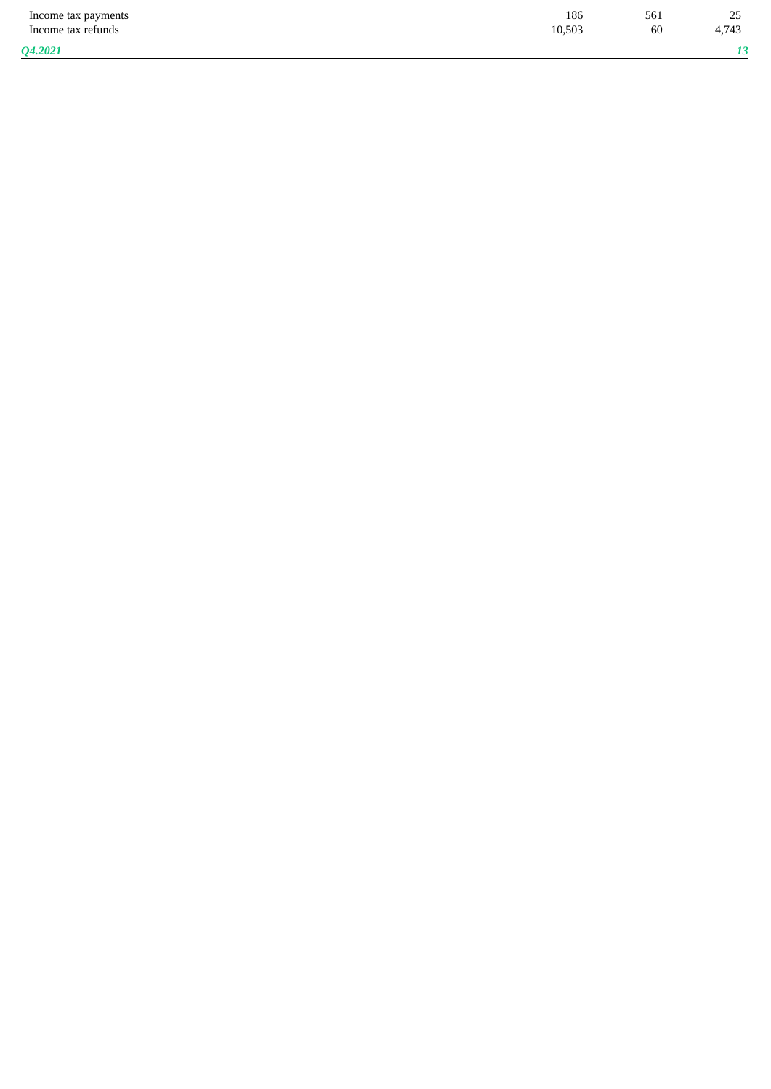| Income tax payments<br>Income tax refunds | 186<br>10,503 | 561<br>60 | $\sim$ $\sim$<br>$\sim$<br>4.743 |
|-------------------------------------------|---------------|-----------|----------------------------------|
| <b>04.2021</b>                            |               |           |                                  |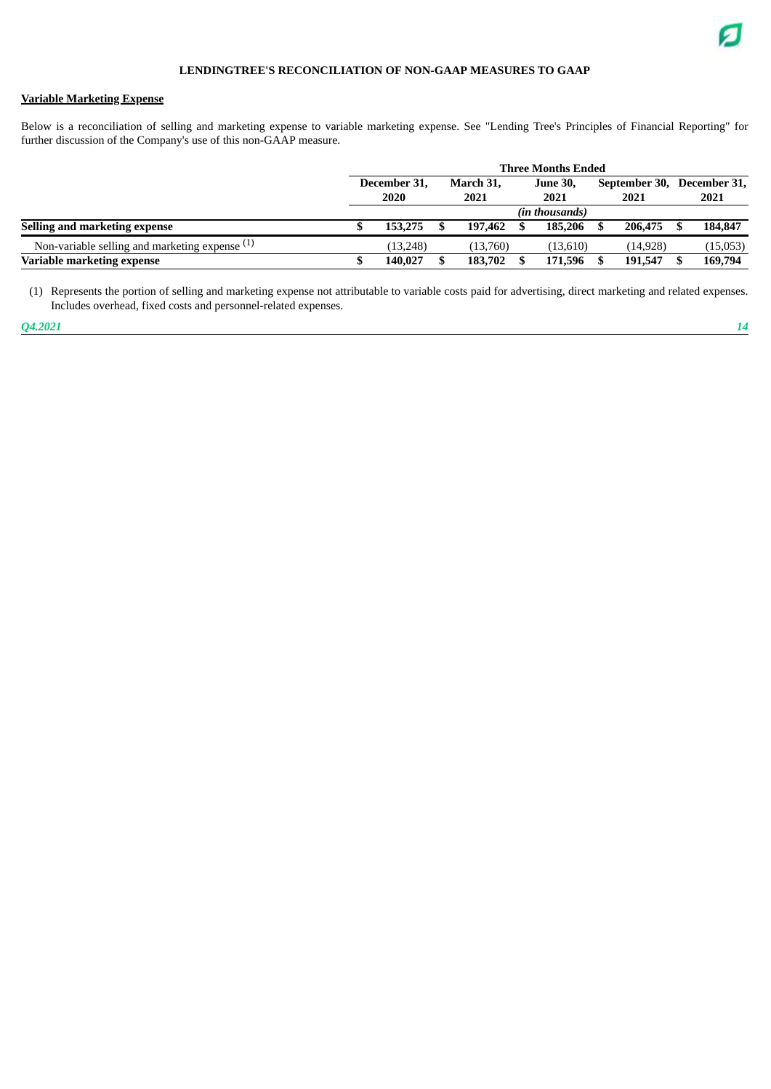## **Variable Marketing Expense**

Below is a reconciliation of selling and marketing expense to variable marketing expense. See "Lending Tree's Principles of Financial Reporting" for further discussion of the Company's use of this non-GAAP measure.

|                                                  | <b>Three Months Ended</b> |                      |  |                   |  |                 |               |           |  |              |  |  |
|--------------------------------------------------|---------------------------|----------------------|--|-------------------|--|-----------------|---------------|-----------|--|--------------|--|--|
|                                                  |                           | December 31,<br>2020 |  | March 31,<br>2021 |  | <b>June 30,</b> | September 30, |           |  | December 31, |  |  |
|                                                  |                           |                      |  |                   |  | 2021            |               | 2021      |  | 2021         |  |  |
|                                                  |                           |                      |  |                   |  | (in thousands)  |               |           |  |              |  |  |
| Selling and marketing expense                    |                           | 153,275              |  | 197,462           |  | 185,206         |               | 206,475   |  | 184,847      |  |  |
| Non-variable selling and marketing expense $(1)$ |                           | (13.248)             |  | (13,760)          |  | (13,610)        |               | (14, 928) |  | (15,053)     |  |  |
| Variable marketing expense                       |                           | 140,027              |  | 183,702           |  | 171,596         |               | 191,547   |  | 169,794      |  |  |

(1) Represents the portion of selling and marketing expense not attributable to variable costs paid for advertising, direct marketing and related expenses. Includes overhead, fixed costs and personnel-related expenses.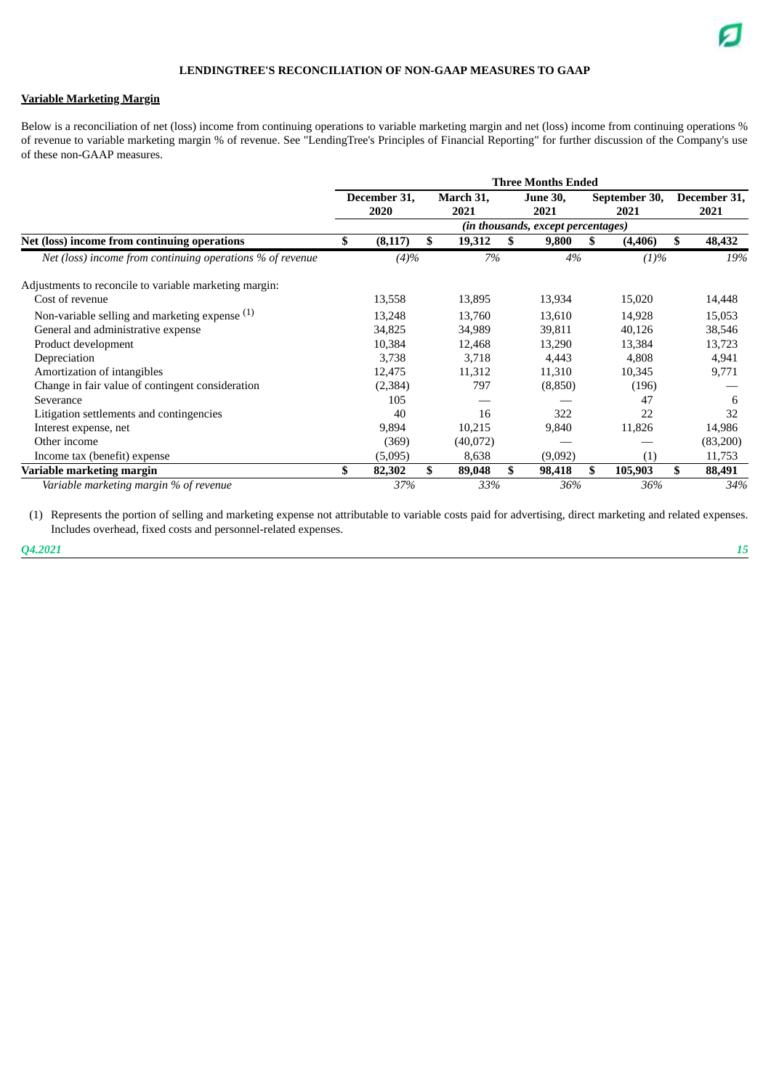## **Variable Marketing Margin**

Below is a reconciliation of net (loss) income from continuing operations to variable marketing margin and net (loss) income from continuing operations % of revenue to variable marketing margin % of revenue. See "LendingTree's Principles of Financial Reporting" for further discussion of the Company's use of these non-GAAP measures.

|                                                           | <b>Three Months Ended</b> |              |    |           |                 |                                    |               |          |     |                      |  |  |  |
|-----------------------------------------------------------|---------------------------|--------------|----|-----------|-----------------|------------------------------------|---------------|----------|-----|----------------------|--|--|--|
|                                                           |                           | December 31, |    | March 31, | <b>June 30,</b> |                                    | September 30, |          |     | December 31,<br>2021 |  |  |  |
|                                                           |                           | 2020         |    | 2021      |                 | 2021                               | 2021          |          |     |                      |  |  |  |
|                                                           |                           |              |    |           |                 | (in thousands, except percentages) |               |          |     |                      |  |  |  |
| Net (loss) income from continuing operations              | \$                        | (8, 117)     | \$ | 19,312    | S               | 9,800                              | S             | (4, 406) |     | 48,432               |  |  |  |
| Net (loss) income from continuing operations % of revenue |                           | (4)%         |    | 7%        |                 | 4%                                 |               | (1)%     |     | 19%                  |  |  |  |
| Adjustments to reconcile to variable marketing margin:    |                           |              |    |           |                 |                                    |               |          |     |                      |  |  |  |
| Cost of revenue                                           |                           | 13,558       |    | 13,895    |                 | 13,934                             |               | 15,020   |     | 14,448               |  |  |  |
| Non-variable selling and marketing expense $(1)$          |                           | 13,248       |    | 13,760    |                 | 13,610                             |               | 14,928   |     | 15,053               |  |  |  |
| General and administrative expense                        |                           | 34,825       |    | 34,989    |                 | 39,811                             |               | 40,126   |     | 38,546               |  |  |  |
| Product development                                       |                           | 10,384       |    | 12,468    |                 | 13,290                             |               | 13,384   |     | 13,723               |  |  |  |
| Depreciation                                              |                           | 3,738        |    | 3,718     |                 | 4,443                              |               | 4,808    |     | 4,941                |  |  |  |
| Amortization of intangibles                               |                           | 12,475       |    | 11,312    |                 | 11,310                             |               | 10,345   |     | 9,771                |  |  |  |
| Change in fair value of contingent consideration          |                           | (2, 384)     |    | 797       |                 | (8,850)                            |               | (196)    |     |                      |  |  |  |
| Severance                                                 |                           | 105          |    |           |                 |                                    |               | 47       |     | 6                    |  |  |  |
| Litigation settlements and contingencies                  |                           | 40           |    | 16        |                 | 322                                |               | 22       |     | 32                   |  |  |  |
| Interest expense, net                                     |                           | 9,894        |    | 10,215    |                 | 9,840                              |               | 11,826   |     | 14,986               |  |  |  |
| Other income                                              |                           | (369)        |    | (40,072)  |                 |                                    |               |          |     | (83,200)             |  |  |  |
| Income tax (benefit) expense                              |                           | (5,095)      |    | 8,638     |                 | (9,092)                            |               | (1)      |     | 11,753               |  |  |  |
| Variable marketing margin                                 | \$                        | 82,302       | \$ | 89,048    | \$              | 98,418                             | \$            | 105,903  | \$. | 88,491               |  |  |  |
| Variable marketing margin % of revenue                    |                           | 37%          |    | 33%       |                 | 36%                                |               | 36%      |     | 34%                  |  |  |  |

(1) Represents the portion of selling and marketing expense not attributable to variable costs paid for advertising, direct marketing and related expenses. Includes overhead, fixed costs and personnel-related expenses.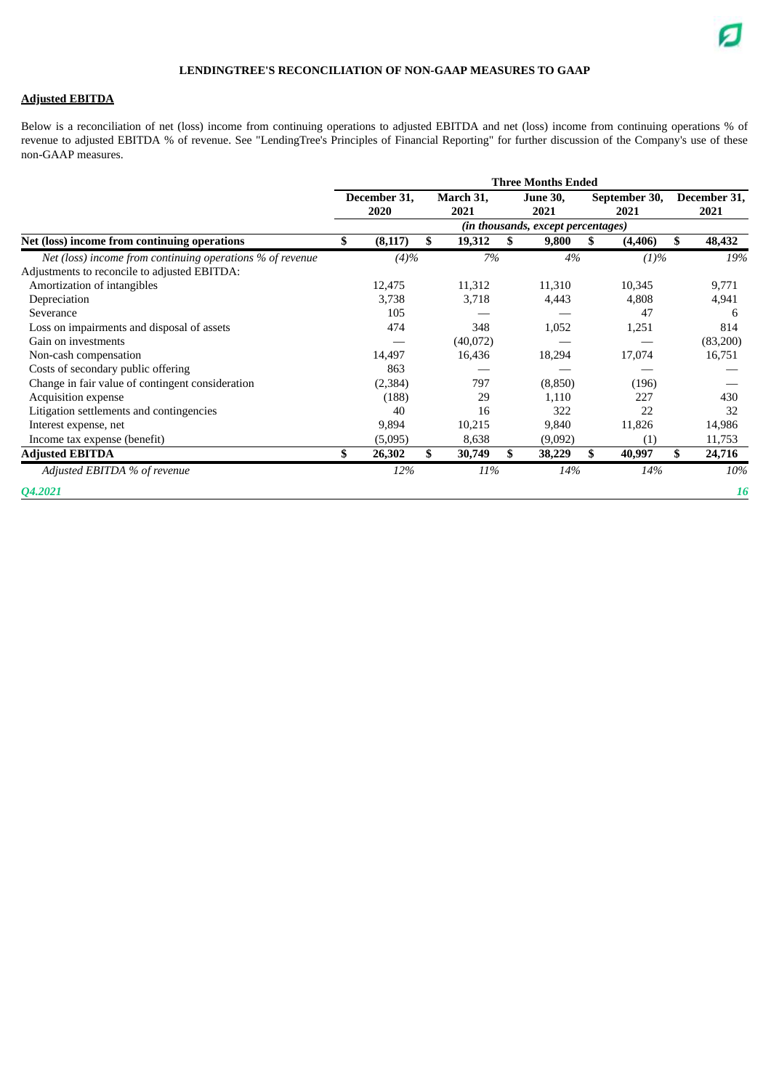## **Adjusted EBITDA**

Below is a reconciliation of net (loss) income from continuing operations to adjusted EBITDA and net (loss) income from continuing operations % of revenue to adjusted EBITDA % of revenue. See "LendingTree's Principles of Financial Reporting" for further discussion of the Company's use of these non-GAAP measures.

| <b>Three Months Ended</b> |          |                      |           |      |                 |      |           |                                                             |              |  |  |  |  |
|---------------------------|----------|----------------------|-----------|------|-----------------|------|-----------|-------------------------------------------------------------|--------------|--|--|--|--|
|                           |          |                      | March 31, |      | <b>June 30,</b> |      |           |                                                             | December 31, |  |  |  |  |
|                           |          |                      |           |      |                 |      |           |                                                             | 2021         |  |  |  |  |
|                           |          |                      |           |      |                 |      |           |                                                             |              |  |  |  |  |
| S                         | (8, 117) | \$                   | 19,312    | \$   | 9,800           | S    | (4, 406)  | S.                                                          | 48,432       |  |  |  |  |
|                           |          |                      |           |      |                 |      |           |                                                             | 19%          |  |  |  |  |
|                           |          |                      |           |      |                 |      |           |                                                             |              |  |  |  |  |
|                           | 12,475   |                      | 11,312    |      | 11,310          |      | 10,345    |                                                             | 9,771        |  |  |  |  |
|                           | 3,738    |                      | 3,718     |      | 4,443           |      | 4,808     |                                                             | 4,941        |  |  |  |  |
|                           | 105      |                      |           |      |                 |      | 47        |                                                             | 6            |  |  |  |  |
|                           | 474      |                      | 348       |      | 1,052           |      | 1,251     |                                                             | 814          |  |  |  |  |
|                           |          |                      | (40,072)  |      |                 |      |           |                                                             | (83,200)     |  |  |  |  |
|                           | 14,497   |                      | 16,436    |      | 18,294          |      | 17,074    |                                                             | 16,751       |  |  |  |  |
|                           | 863      |                      |           |      |                 |      |           |                                                             |              |  |  |  |  |
|                           | (2, 384) |                      | 797       |      | (8,850)         |      | (196)     |                                                             |              |  |  |  |  |
|                           | (188)    |                      | 29        |      | 1,110           |      | 227       |                                                             | 430          |  |  |  |  |
|                           | 40       |                      | 16        |      | 322             |      | 22        |                                                             | 32           |  |  |  |  |
|                           | 9,894    |                      | 10,215    |      | 9,840           |      | 11,826    |                                                             | 14,986       |  |  |  |  |
|                           | (5,095)  |                      | 8,638     |      | (9,092)         |      | (1)       |                                                             | 11,753       |  |  |  |  |
| \$                        | 26,302   | \$                   | 30,749    | \$   | 38,229          | \$   | 40,997    | \$                                                          | 24,716       |  |  |  |  |
|                           | 12%      |                      |           |      |                 |      | 14%       |                                                             | 10%          |  |  |  |  |
|                           |          |                      |           |      |                 |      |           |                                                             | <b>16</b>    |  |  |  |  |
|                           |          | December 31,<br>2020 | (4)%      | 2021 | 7%<br>11%       | 2021 | 4%<br>14% | September 30,<br>2021<br>(in thousands, except percentages) | (1)%         |  |  |  |  |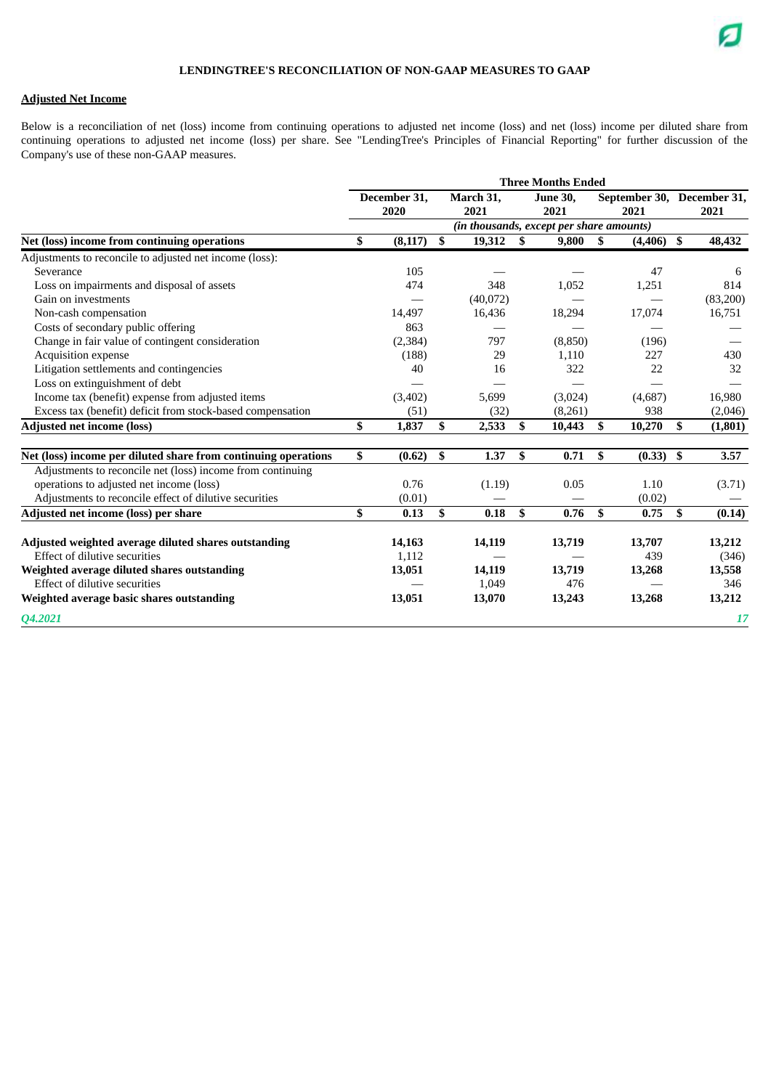## **Adjusted Net Income**

Below is a reconciliation of net (loss) income from continuing operations to adjusted net income (loss) and net (loss) income per diluted share from continuing operations to adjusted net income (loss) per share. See "LendingTree's Principles of Financial Reporting" for further discussion of the Company's use of these non-GAAP measures.

|                                                                | <b>Three Months Ended</b> |                      |    |                   |    |                                          |                                    |              |      |          |  |
|----------------------------------------------------------------|---------------------------|----------------------|----|-------------------|----|------------------------------------------|------------------------------------|--------------|------|----------|--|
|                                                                |                           | December 31,<br>2020 |    | March 31,<br>2021 |    | <b>June 30,</b><br>2021                  | September 30, December 31,<br>2021 |              |      | 2021     |  |
|                                                                |                           |                      |    |                   |    | (in thousands, except per share amounts) |                                    |              |      |          |  |
| Net (loss) income from continuing operations                   | S.                        | (8, 117)             | \$ | 19,312            | \$ | 9,800                                    | \$                                 | $(4,406)$ \$ |      | 48,432   |  |
| Adjustments to reconcile to adjusted net income (loss):        |                           |                      |    |                   |    |                                          |                                    |              |      |          |  |
| Severance                                                      |                           | 105                  |    |                   |    |                                          |                                    | 47           |      | 6        |  |
| Loss on impairments and disposal of assets                     |                           | 474                  |    | 348               |    | 1,052                                    |                                    | 1,251        |      | 814      |  |
| Gain on investments                                            |                           |                      |    | (40,072)          |    |                                          |                                    |              |      | (83,200) |  |
| Non-cash compensation                                          |                           | 14,497               |    | 16,436            |    | 18,294                                   |                                    | 17,074       |      | 16,751   |  |
| Costs of secondary public offering                             |                           | 863                  |    |                   |    |                                          |                                    |              |      |          |  |
| Change in fair value of contingent consideration               |                           | (2, 384)             |    | 797               |    | (8,850)                                  |                                    | (196)        |      |          |  |
| <b>Acquisition expense</b>                                     |                           | (188)                |    | 29                |    | 1,110                                    |                                    | 227          |      | 430      |  |
| Litigation settlements and contingencies                       |                           | 40                   |    | 16                |    | 322                                      |                                    | 22           |      | 32       |  |
| Loss on extinguishment of debt                                 |                           |                      |    |                   |    |                                          |                                    |              |      |          |  |
| Income tax (benefit) expense from adjusted items               |                           | (3, 402)             |    | 5,699             |    | (3,024)                                  |                                    | (4,687)      |      | 16,980   |  |
| Excess tax (benefit) deficit from stock-based compensation     |                           | (51)                 |    | (32)              |    | (8,261)                                  |                                    | 938          |      | (2,046)  |  |
| <b>Adjusted net income (loss)</b>                              | \$                        | 1,837                | \$ | 2,533             | \$ | 10,443                                   | \$                                 | 10,270       | \$   | (1,801)  |  |
|                                                                |                           |                      |    |                   |    |                                          |                                    |              |      |          |  |
| Net (loss) income per diluted share from continuing operations | \$                        | (0.62)               | \$ | 1.37              | \$ | 0.71                                     | \$                                 | $(0.33)$ \$  |      | 3.57     |  |
| Adjustments to reconcile net (loss) income from continuing     |                           |                      |    |                   |    |                                          |                                    |              |      |          |  |
| operations to adjusted net income (loss)                       |                           | 0.76                 |    | (1.19)            |    | 0.05                                     |                                    | 1.10         |      | (3.71)   |  |
| Adjustments to reconcile effect of dilutive securities         |                           | (0.01)               |    |                   |    |                                          |                                    | (0.02)       |      |          |  |
| Adjusted net income (loss) per share                           | \$                        | 0.13                 | \$ | 0.18              | \$ | 0.76                                     | \$                                 | 0.75         | - \$ | (0.14)   |  |
| Adjusted weighted average diluted shares outstanding           |                           | 14,163               |    | 14,119            |    | 13,719                                   |                                    | 13,707       |      | 13,212   |  |
| Effect of dilutive securities                                  |                           | 1,112                |    |                   |    |                                          |                                    | 439          |      | (346)    |  |
| Weighted average diluted shares outstanding                    |                           | 13,051               |    | 14,119            |    | 13,719                                   |                                    | 13,268       |      | 13,558   |  |
| Effect of dilutive securities                                  |                           |                      |    | 1,049             |    | 476                                      |                                    |              |      | 346      |  |
| Weighted average basic shares outstanding                      |                           | 13,051               |    | 13,070            |    | 13,243                                   |                                    | 13,268       |      | 13,212   |  |
| Q4.2021                                                        |                           |                      |    |                   |    |                                          |                                    |              |      | 17       |  |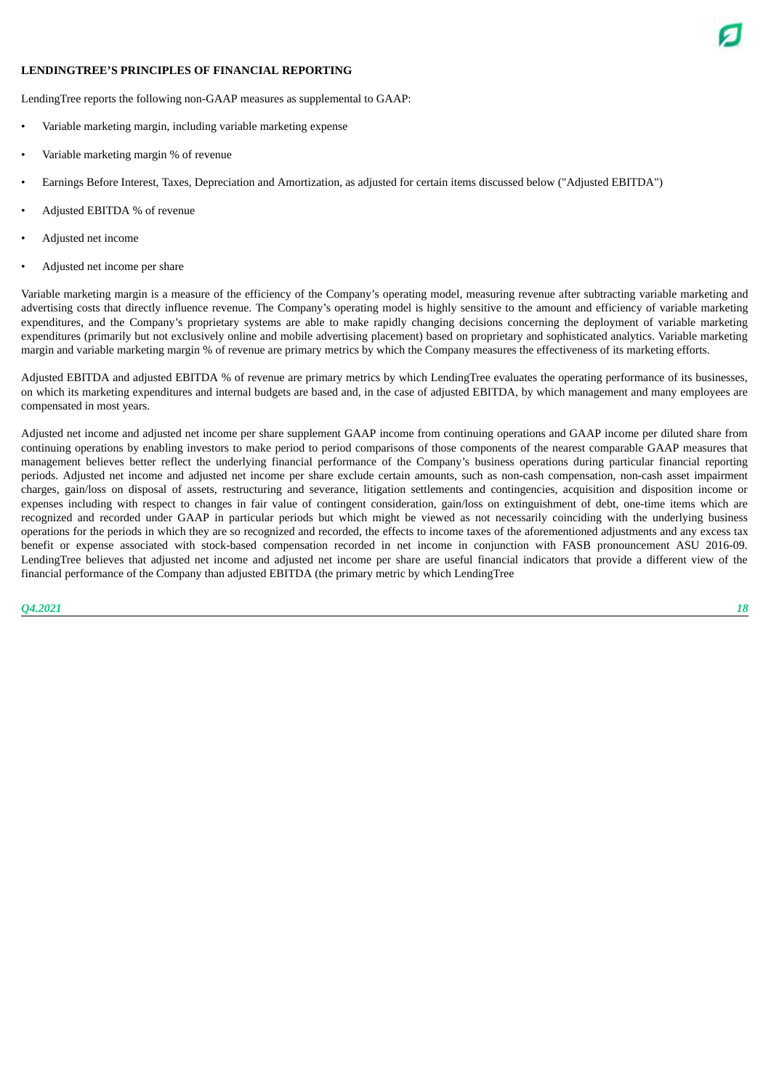## **LENDINGTREE'S PRINCIPLES OF FINANCIAL REPORTING**



LendingTree reports the following non-GAAP measures as supplemental to GAAP:

- Variable marketing margin, including variable marketing expense
- Variable marketing margin % of revenue
- Earnings Before Interest, Taxes, Depreciation and Amortization, as adjusted for certain items discussed below ("Adjusted EBITDA")
- Adjusted EBITDA % of revenue
- Adjusted net income
- Adjusted net income per share

Variable marketing margin is a measure of the efficiency of the Company's operating model, measuring revenue after subtracting variable marketing and advertising costs that directly influence revenue. The Company's operating model is highly sensitive to the amount and efficiency of variable marketing expenditures, and the Company's proprietary systems are able to make rapidly changing decisions concerning the deployment of variable marketing expenditures (primarily but not exclusively online and mobile advertising placement) based on proprietary and sophisticated analytics. Variable marketing margin and variable marketing margin % of revenue are primary metrics by which the Company measures the effectiveness of its marketing efforts.

Adjusted EBITDA and adjusted EBITDA % of revenue are primary metrics by which LendingTree evaluates the operating performance of its businesses. on which its marketing expenditures and internal budgets are based and, in the case of adjusted EBITDA, by which management and many employees are compensated in most years.

Adjusted net income and adjusted net income per share supplement GAAP income from continuing operations and GAAP income per diluted share from continuing operations by enabling investors to make period to period comparisons of those components of the nearest comparable GAAP measures that management believes better reflect the underlying financial performance of the Company's business operations during particular financial reporting periods. Adjusted net income and adjusted net income per share exclude certain amounts, such as non-cash compensation, non-cash asset impairment charges, gain/loss on disposal of assets, restructuring and severance, litigation settlements and contingencies, acquisition and disposition income or expenses including with respect to changes in fair value of contingent consideration, gain/loss on extinguishment of debt, one-time items which are recognized and recorded under GAAP in particular periods but which might be viewed as not necessarily coinciding with the underlying business operations for the periods in which they are so recognized and recorded, the effects to income taxes of the aforementioned adjustments and any excess tax benefit or expense associated with stock-based compensation recorded in net income in conjunction with FASB pronouncement ASU 2016-09. LendingTree believes that adjusted net income and adjusted net income per share are useful financial indicators that provide a different view of the financial performance of the Company than adjusted EBITDA (the primary metric by which LendingTree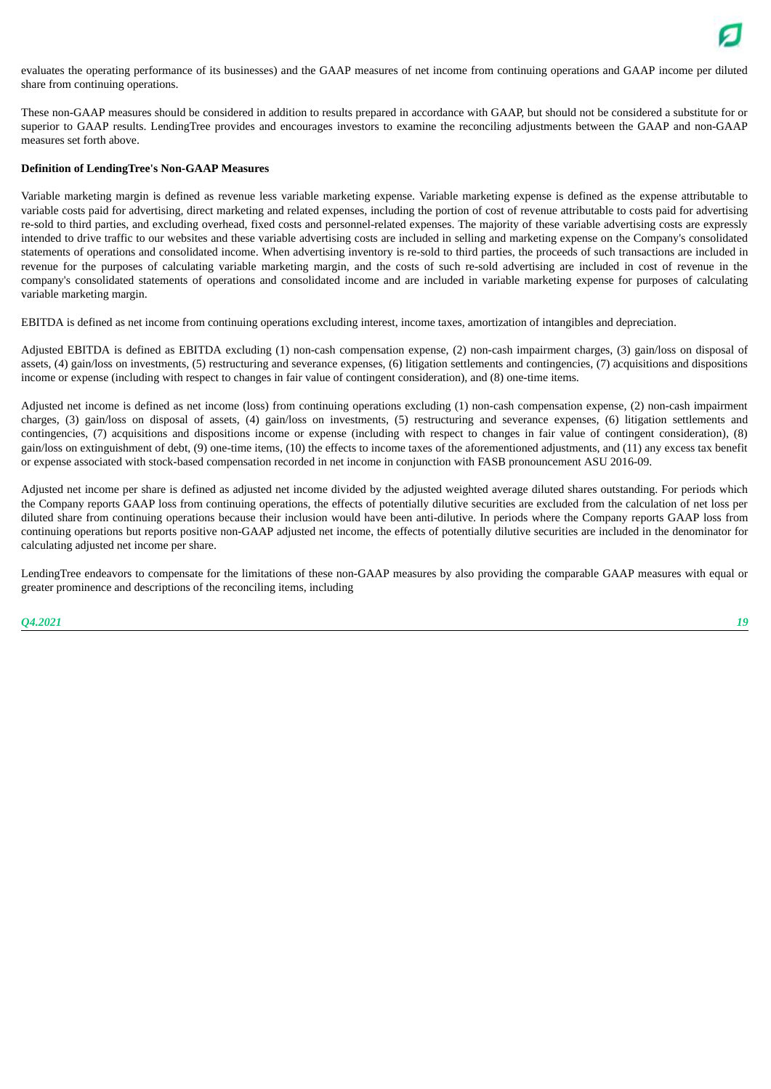evaluates the operating performance of its businesses) and the GAAP measures of net income from continuing operations and GAAP income per diluted share from continuing operations.

These non-GAAP measures should be considered in addition to results prepared in accordance with GAAP, but should not be considered a substitute for or superior to GAAP results. LendingTree provides and encourages investors to examine the reconciling adjustments between the GAAP and non-GAAP measures set forth above.

#### **Definition of LendingTree's Non-GAAP Measures**

Variable marketing margin is defined as revenue less variable marketing expense. Variable marketing expense is defined as the expense attributable to variable costs paid for advertising, direct marketing and related expenses, including the portion of cost of revenue attributable to costs paid for advertising re-sold to third parties, and excluding overhead, fixed costs and personnel-related expenses. The majority of these variable advertising costs are expressly intended to drive traffic to our websites and these variable advertising costs are included in selling and marketing expense on the Company's consolidated statements of operations and consolidated income. When advertising inventory is re-sold to third parties, the proceeds of such transactions are included in revenue for the purposes of calculating variable marketing margin, and the costs of such re-sold advertising are included in cost of revenue in the company's consolidated statements of operations and consolidated income and are included in variable marketing expense for purposes of calculating variable marketing margin.

EBITDA is defined as net income from continuing operations excluding interest, income taxes, amortization of intangibles and depreciation.

Adjusted EBITDA is defined as EBITDA excluding (1) non-cash compensation expense, (2) non-cash impairment charges, (3) gain/loss on disposal of assets, (4) gain/loss on investments, (5) restructuring and severance expenses, (6) litigation settlements and contingencies, (7) acquisitions and dispositions income or expense (including with respect to changes in fair value of contingent consideration), and (8) one-time items.

Adjusted net income is defined as net income (loss) from continuing operations excluding (1) non-cash compensation expense, (2) non-cash impairment charges, (3) gain/loss on disposal of assets, (4) gain/loss on investments, (5) restructuring and severance expenses, (6) litigation settlements and contingencies, (7) acquisitions and dispositions income or expense (including with respect to changes in fair value of contingent consideration), (8) gain/loss on extinguishment of debt, (9) one-time items, (10) the effects to income taxes of the aforementioned adjustments, and (11) any excess tax benefit or expense associated with stock-based compensation recorded in net income in conjunction with FASB pronouncement ASU 2016-09.

Adjusted net income per share is defined as adjusted net income divided by the adjusted weighted average diluted shares outstanding. For periods which the Company reports GAAP loss from continuing operations, the effects of potentially dilutive securities are excluded from the calculation of net loss per diluted share from continuing operations because their inclusion would have been anti-dilutive. In periods where the Company reports GAAP loss from continuing operations but reports positive non-GAAP adjusted net income, the effects of potentially dilutive securities are included in the denominator for calculating adjusted net income per share.

LendingTree endeavors to compensate for the limitations of these non-GAAP measures by also providing the comparable GAAP measures with equal or greater prominence and descriptions of the reconciling items, including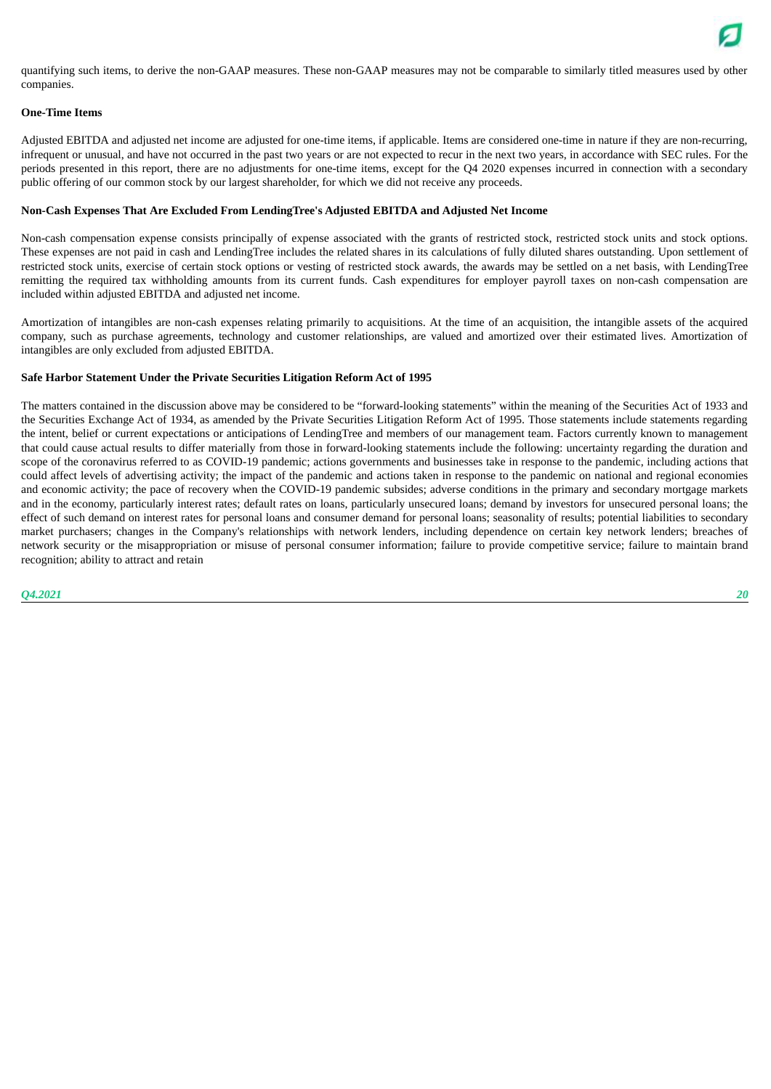quantifying such items, to derive the non-GAAP measures. These non-GAAP measures may not be comparable to similarly titled measures used by other companies.

#### **One-Time Items**

Adjusted EBITDA and adjusted net income are adjusted for one-time items, if applicable. Items are considered one-time in nature if they are non-recurring, infrequent or unusual, and have not occurred in the past two years or are not expected to recur in the next two years, in accordance with SEC rules. For the periods presented in this report, there are no adjustments for one-time items, except for the Q4 2020 expenses incurred in connection with a secondary public offering of our common stock by our largest shareholder, for which we did not receive any proceeds.

#### **Non-Cash Expenses That Are Excluded From LendingTree's Adjusted EBITDA and Adjusted Net Income**

Non-cash compensation expense consists principally of expense associated with the grants of restricted stock, restricted stock units and stock options. These expenses are not paid in cash and LendingTree includes the related shares in its calculations of fully diluted shares outstanding. Upon settlement of restricted stock units, exercise of certain stock options or vesting of restricted stock awards, the awards may be settled on a net basis, with LendingTree remitting the required tax withholding amounts from its current funds. Cash expenditures for employer payroll taxes on non-cash compensation are included within adjusted EBITDA and adjusted net income.

Amortization of intangibles are non-cash expenses relating primarily to acquisitions. At the time of an acquisition, the intangible assets of the acquired company, such as purchase agreements, technology and customer relationships, are valued and amortized over their estimated lives. Amortization of intangibles are only excluded from adjusted EBITDA.

#### **Safe Harbor Statement Under the Private Securities Litigation Reform Act of 1995**

The matters contained in the discussion above may be considered to be "forward-looking statements" within the meaning of the Securities Act of 1933 and the Securities Exchange Act of 1934, as amended by the Private Securities Litigation Reform Act of 1995. Those statements include statements regarding the intent, belief or current expectations or anticipations of LendingTree and members of our management team. Factors currently known to management that could cause actual results to differ materially from those in forward-looking statements include the following: uncertainty regarding the duration and scope of the coronavirus referred to as COVID-19 pandemic; actions governments and businesses take in response to the pandemic, including actions that could affect levels of advertising activity; the impact of the pandemic and actions taken in response to the pandemic on national and regional economies and economic activity; the pace of recovery when the COVID-19 pandemic subsides; adverse conditions in the primary and secondary mortgage markets and in the economy, particularly interest rates; default rates on loans, particularly unsecured loans; demand by investors for unsecured personal loans; the effect of such demand on interest rates for personal loans and consumer demand for personal loans; seasonality of results; potential liabilities to secondary market purchasers; changes in the Company's relationships with network lenders, including dependence on certain key network lenders; breaches of network security or the misappropriation or misuse of personal consumer information; failure to provide competitive service; failure to maintain brand recognition; ability to attract and retain